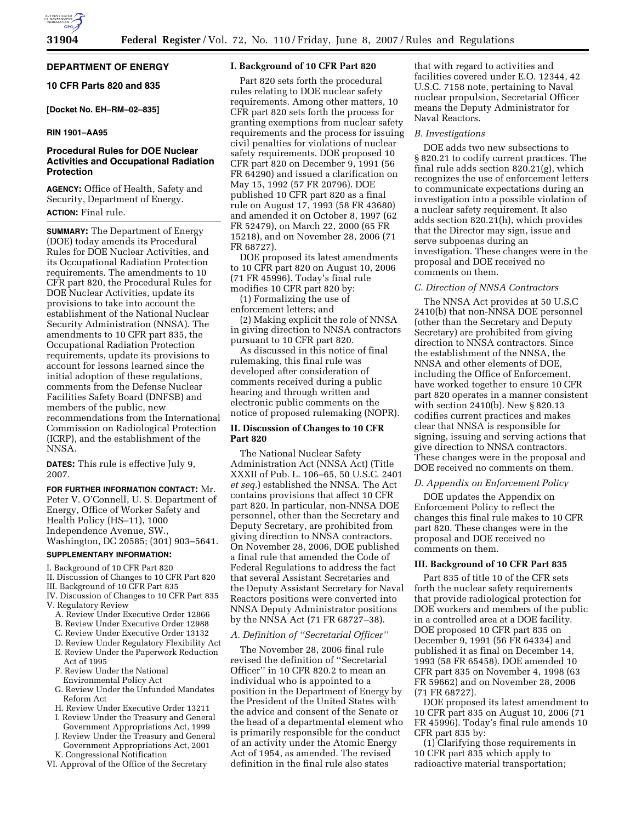# **DEPARTMENT OF ENERGY**

## **10 CFR Parts 820 and 835**

## **[Docket No. EH–RM–02–835]**

## **RIN 1901–AA95**

## **Procedural Rules for DOE Nuclear Activities and Occupational Radiation Protection**

**AGENCY:** Office of Health, Safety and Security, Department of Energy. **ACTION:** Final rule.

**SUMMARY:** The Department of Energy (DOE) today amends its Procedural Rules for DOE Nuclear Activities, and its Occupational Radiation Protection requirements. The amendments to 10 CFR part 820, the Procedural Rules for DOE Nuclear Activities, update its provisions to take into account the establishment of the National Nuclear Security Administration (NNSA). The amendments to 10 CFR part 835, the Occupational Radiation Protection requirements, update its provisions to account for lessons learned since the initial adoption of these regulations, comments from the Defense Nuclear Facilities Safety Board (DNFSB) and members of the public, new recommendations from the International Commission on Radiological Protection (ICRP), and the establishment of the NNSA.

**DATES:** This rule is effective July 9, 2007.

**FOR FURTHER INFORMATION CONTACT:** Mr. Peter V. O'Connell, U. S. Department of Energy, Office of Worker Safety and Health Policy (HS–11), 1000 Independence Avenue, SW., Washington, DC 20585; (301) 903–5641.

## **SUPPLEMENTARY INFORMATION:**

- I. Background of 10 CFR Part 820
- II. Discussion of Changes to 10 CFR Part 820
- III. Background of 10 CFR Part 835
- IV. Discussion of Changes to 10 CFR Part 835
- V. Regulatory Review
	- A. Review Under Executive Order 12866
	- B. Review Under Executive Order 12988
	- C. Review Under Executive Order 13132
	- D. Review Under Regulatory Flexibility Act
	- E. Review Under the Paperwork Reduction Act of 1995
	- F. Review Under the National Environmental Policy Act
	- G. Review Under the Unfunded Mandates Reform Act
	- H. Review Under Executive Order 13211
	- I. Review Under the Treasury and General Government Appropriations Act, 1999
- J. Review Under the Treasury and General Government Appropriations Act, 2001 K. Congressional Notification
- VI. Approval of the Office of the Secretary

## **I. Background of 10 CFR Part 820**

Part 820 sets forth the procedural rules relating to DOE nuclear safety requirements. Among other matters, 10 CFR part 820 sets forth the process for granting exemptions from nuclear safety requirements and the process for issuing civil penalties for violations of nuclear safety requirements. DOE proposed 10 CFR part 820 on December 9, 1991 (56 FR 64290) and issued a clarification on May 15, 1992 (57 FR 20796). DOE published 10 CFR part 820 as a final rule on August 17, 1993 (58 FR 43680) and amended it on October 8, 1997 (62 FR 52479), on March 22, 2000 (65 FR 15218), and on November 28, 2006 (71 FR 68727).

DOE proposed its latest amendments to 10 CFR part 820 on August 10, 2006 (71 FR 45996). Today's final rule modifies 10 CFR part 820 by:

(1) Formalizing the use of enforcement letters; and

(2) Making explicit the role of NNSA in giving direction to NNSA contractors pursuant to 10 CFR part 820.

As discussed in this notice of final rulemaking, this final rule was developed after consideration of comments received during a public hearing and through written and electronic public comments on the notice of proposed rulemaking (NOPR).

## **II. Discussion of Changes to 10 CFR Part 820**

The National Nuclear Safety Administration Act (NNSA Act) (Title XXXII of Pub. L. 106–65, 50 U.S.C. 2401 *et seq.*) established the NNSA. The Act contains provisions that affect 10 CFR part 820. In particular, non-NNSA DOE personnel, other than the Secretary and Deputy Secretary, are prohibited from giving direction to NNSA contractors. On November 28, 2006, DOE published a final rule that amended the Code of Federal Regulations to address the fact that several Assistant Secretaries and the Deputy Assistant Secretary for Naval Reactors positions were converted into NNSA Deputy Administrator positions by the NNSA Act (71 FR 68727–38).

## *A. Definition of ''Secretarial Officer''*

The November 28, 2006 final rule revised the definition of ''Secretarial Officer'' in 10 CFR 820.2 to mean an individual who is appointed to a position in the Department of Energy by the President of the United States with the advice and consent of the Senate or the head of a departmental element who is primarily responsible for the conduct of an activity under the Atomic Energy Act of 1954, as amended. The revised definition in the final rule also states

that with regard to activities and facilities covered under E.O. 12344, 42 U.S.C. 7158 note, pertaining to Naval nuclear propulsion, Secretarial Officer means the Deputy Administrator for Naval Reactors.

### *B. Investigations*

DOE adds two new subsections to § 820.21 to codify current practices. The final rule adds section 820.21(g), which recognizes the use of enforcement letters to communicate expectations during an investigation into a possible violation of a nuclear safety requirement. It also adds section 820.21(h), which provides that the Director may sign, issue and serve subpoenas during an investigation. These changes were in the proposal and DOE received no comments on them.

### *C. Direction of NNSA Contractors*

The NNSA Act provides at 50 U.S.C 2410(b) that non-NNSA DOE personnel (other than the Secretary and Deputy Secretary) are prohibited from giving direction to NNSA contractors. Since the establishment of the NNSA, the NNSA and other elements of DOE, including the Office of Enforcement, have worked together to ensure 10 CFR part 820 operates in a manner consistent with section 2410(b). New § 820.13 codifies current practices and makes clear that NNSA is responsible for signing, issuing and serving actions that give direction to NNSA contractors. These changes were in the proposal and DOE received no comments on them.

## *D. Appendix on Enforcement Policy*

DOE updates the Appendix on Enforcement Policy to reflect the changes this final rule makes to 10 CFR part 820. These changes were in the proposal and DOE received no comments on them.

## **III. Background of 10 CFR Part 835**

Part 835 of title 10 of the CFR sets forth the nuclear safety requirements that provide radiological protection for DOE workers and members of the public in a controlled area at a DOE facility. DOE proposed 10 CFR part 835 on December 9, 1991 (56 FR 64334) and published it as final on December 14, 1993 (58 FR 65458). DOE amended 10 CFR part 835 on November 4, 1998 (63 FR 59662) and on November 28, 2006 (71 FR 68727).

DOE proposed its latest amendment to 10 CFR part 835 on August 10, 2006 (71 FR 45996). Today's final rule amends 10 CFR part 835 by:

(1) Clarifying those requirements in 10 CFR part 835 which apply to radioactive material transportation;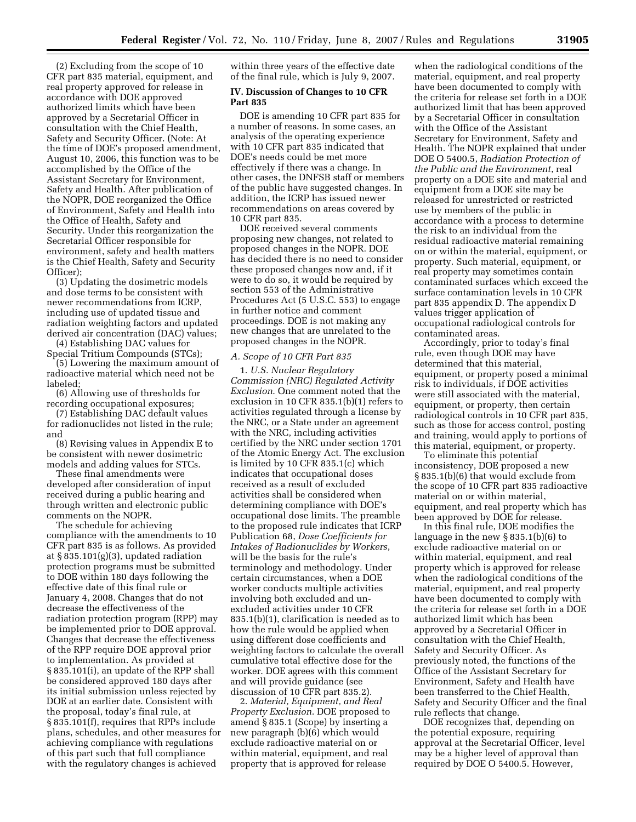(2) Excluding from the scope of 10 CFR part 835 material, equipment, and real property approved for release in accordance with DOE approved authorized limits which have been approved by a Secretarial Officer in consultation with the Chief Health, Safety and Security Officer. (Note: At the time of DOE's proposed amendment, August 10, 2006, this function was to be accomplished by the Office of the Assistant Secretary for Environment, Safety and Health. After publication of the NOPR, DOE reorganized the Office of Environment, Safety and Health into the Office of Health, Safety and Security. Under this reorganization the Secretarial Officer responsible for environment, safety and health matters is the Chief Health, Safety and Security Officer);

(3) Updating the dosimetric models and dose terms to be consistent with newer recommendations from ICRP, including use of updated tissue and radiation weighting factors and updated derived air concentration (DAC) values;

(4) Establishing DAC values for Special Tritium Compounds (STCs);

(5) Lowering the maximum amount of radioactive material which need not be labeled;

(6) Allowing use of thresholds for recording occupational exposures;

(7) Establishing DAC default values for radionuclides not listed in the rule; and

(8) Revising values in Appendix E to be consistent with newer dosimetric models and adding values for STCs.

These final amendments were developed after consideration of input received during a public hearing and through written and electronic public comments on the NOPR.

The schedule for achieving compliance with the amendments to 10 CFR part 835 is as follows. As provided at § 835.101(g)(3), updated radiation protection programs must be submitted to DOE within 180 days following the effective date of this final rule or January 4, 2008. Changes that do not decrease the effectiveness of the radiation protection program (RPP) may be implemented prior to DOE approval. Changes that decrease the effectiveness of the RPP require DOE approval prior to implementation. As provided at § 835.101(i), an update of the RPP shall be considered approved 180 days after its initial submission unless rejected by DOE at an earlier date. Consistent with the proposal, today's final rule, at § 835.101(f), requires that RPPs include plans, schedules, and other measures for achieving compliance with regulations of this part such that full compliance with the regulatory changes is achieved

within three years of the effective date of the final rule, which is July 9, 2007.

## **IV. Discussion of Changes to 10 CFR Part 835**

DOE is amending 10 CFR part 835 for a number of reasons. In some cases, an analysis of the operating experience with 10 CFR part 835 indicated that DOE's needs could be met more effectively if there was a change. In other cases, the DNFSB staff or members of the public have suggested changes. In addition, the ICRP has issued newer recommendations on areas covered by 10 CFR part 835.

DOE received several comments proposing new changes, not related to proposed changes in the NOPR. DOE has decided there is no need to consider these proposed changes now and, if it were to do so, it would be required by section 553 of the Administrative Procedures Act (5 U.S.C. 553) to engage in further notice and comment proceedings. DOE is not making any new changes that are unrelated to the proposed changes in the NOPR.

#### *A. Scope of 10 CFR Part 835*

1. *U.S. Nuclear Regulatory Commission (NRC) Regulated Activity Exclusion*. One comment noted that the exclusion in 10 CFR 835.1(b)(1) refers to activities regulated through a license by the NRC, or a State under an agreement with the NRC, including activities certified by the NRC under section 1701 of the Atomic Energy Act. The exclusion is limited by 10 CFR 835.1(c) which indicates that occupational doses received as a result of excluded activities shall be considered when determining compliance with DOE's occupational dose limits. The preamble to the proposed rule indicates that ICRP Publication 68, *Dose Coefficients for Intakes of Radionuclides by Workers*, will be the basis for the rule's terminology and methodology. Under certain circumstances, when a DOE worker conducts multiple activities involving both excluded and unexcluded activities under 10 CFR 835.1(b)(1), clarification is needed as to how the rule would be applied when using different dose coefficients and weighting factors to calculate the overall cumulative total effective dose for the worker. DOE agrees with this comment and will provide guidance (see discussion of 10 CFR part 835.2).

2. *Material, Equipment, and Real Property Exclusion*. DOE proposed to amend § 835.1 (Scope) by inserting a new paragraph (b)(6) which would exclude radioactive material on or within material, equipment, and real property that is approved for release

when the radiological conditions of the material, equipment, and real property have been documented to comply with the criteria for release set forth in a DOE authorized limit that has been approved by a Secretarial Officer in consultation with the Office of the Assistant Secretary for Environment, Safety and Health. The NOPR explained that under DOE O 5400.5, *Radiation Protection of the Public and the Environment*, real property on a DOE site and material and equipment from a DOE site may be released for unrestricted or restricted use by members of the public in accordance with a process to determine the risk to an individual from the residual radioactive material remaining on or within the material, equipment, or property. Such material, equipment, or real property may sometimes contain contaminated surfaces which exceed the surface contamination levels in 10 CFR part 835 appendix D. The appendix D values trigger application of occupational radiological controls for contaminated areas.

Accordingly, prior to today's final rule, even though DOE may have determined that this material, equipment, or property posed a minimal risk to individuals, if DOE activities were still associated with the material, equipment, or property, then certain radiological controls in 10 CFR part 835, such as those for access control, posting and training, would apply to portions of this material, equipment, or property.

To eliminate this potential inconsistency, DOE proposed a new § 835.1(b)(6) that would exclude from the scope of 10 CFR part 835 radioactive material on or within material, equipment, and real property which has been approved by DOE for release.

In this final rule, DOE modifies the language in the new § 835.1(b)(6) to exclude radioactive material on or within material, equipment, and real property which is approved for release when the radiological conditions of the material, equipment, and real property have been documented to comply with the criteria for release set forth in a DOE authorized limit which has been approved by a Secretarial Officer in consultation with the Chief Health, Safety and Security Officer. As previously noted, the functions of the Office of the Assistant Secretary for Environment, Safety and Health have been transferred to the Chief Health, Safety and Security Officer and the final rule reflects that change.

DOE recognizes that, depending on the potential exposure, requiring approval at the Secretarial Officer, level may be a higher level of approval than required by DOE O 5400.5. However,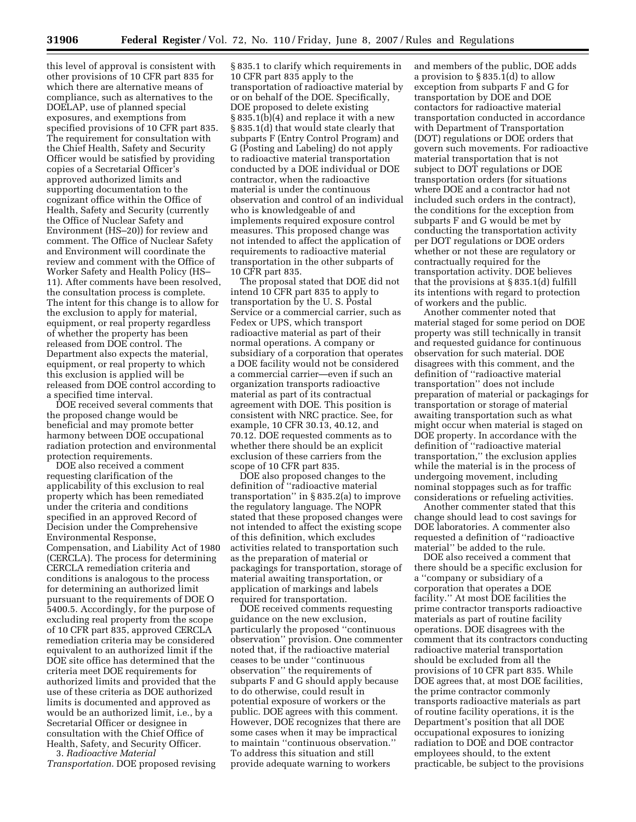this level of approval is consistent with other provisions of 10 CFR part 835 for which there are alternative means of compliance, such as alternatives to the DOELAP, use of planned special exposures, and exemptions from specified provisions of 10 CFR part 835. The requirement for consultation with the Chief Health, Safety and Security Officer would be satisfied by providing copies of a Secretarial Officer's approved authorized limits and supporting documentation to the cognizant office within the Office of Health, Safety and Security (currently the Office of Nuclear Safety and Environment (HS–20)) for review and comment. The Office of Nuclear Safety and Environment will coordinate the review and comment with the Office of Worker Safety and Health Policy (HS– 11). After comments have been resolved, the consultation process is complete. The intent for this change is to allow for the exclusion to apply for material, equipment, or real property regardless of whether the property has been released from DOE control. The Department also expects the material, equipment, or real property to which this exclusion is applied will be released from DOE control according to a specified time interval.

DOE received several comments that the proposed change would be beneficial and may promote better harmony between DOE occupational radiation protection and environmental protection requirements.

DOE also received a comment requesting clarification of the applicability of this exclusion to real property which has been remediated under the criteria and conditions specified in an approved Record of Decision under the Comprehensive Environmental Response, Compensation, and Liability Act of 1980 (CERCLA). The process for determining CERCLA remediation criteria and conditions is analogous to the process for determining an authorized limit pursuant to the requirements of DOE O 5400.5. Accordingly, for the purpose of excluding real property from the scope of 10 CFR part 835, approved CERCLA remediation criteria may be considered equivalent to an authorized limit if the DOE site office has determined that the criteria meet DOE requirements for authorized limits and provided that the use of these criteria as DOE authorized limits is documented and approved as would be an authorized limit, i.e., by a Secretarial Officer or designee in consultation with the Chief Office of Health, Safety, and Security Officer. 3. *Radioactive Material* 

*Transportation*. DOE proposed revising

§ 835.1 to clarify which requirements in 10 CFR part 835 apply to the transportation of radioactive material by or on behalf of the DOE. Specifically, DOE proposed to delete existing § 835.1(b)(4) and replace it with a new § 835.1(d) that would state clearly that subparts F (Entry Control Program) and G (Posting and Labeling) do not apply to radioactive material transportation conducted by a DOE individual or DOE contractor, when the radioactive material is under the continuous observation and control of an individual who is knowledgeable of and implements required exposure control measures. This proposed change was not intended to affect the application of requirements to radioactive material transportation in the other subparts of 10 CFR part 835.

The proposal stated that DOE did not intend 10 CFR part 835 to apply to transportation by the U. S. Postal Service or a commercial carrier, such as Fedex or UPS, which transport radioactive material as part of their normal operations. A company or subsidiary of a corporation that operates a DOE facility would not be considered a commercial carrier—even if such an organization transports radioactive material as part of its contractual agreement with DOE. This position is consistent with NRC practice. See, for example, 10 CFR 30.13, 40.12, and 70.12. DOE requested comments as to whether there should be an explicit exclusion of these carriers from the scope of 10 CFR part 835.

DOE also proposed changes to the definition of ''radioactive material transportation'' in § 835.2(a) to improve the regulatory language. The NOPR stated that these proposed changes were not intended to affect the existing scope of this definition, which excludes activities related to transportation such as the preparation of material or packagings for transportation, storage of material awaiting transportation, or application of markings and labels required for transportation.

DOE received comments requesting guidance on the new exclusion, particularly the proposed ''continuous observation'' provision. One commenter noted that, if the radioactive material ceases to be under ''continuous observation'' the requirements of subparts F and G should apply because to do otherwise, could result in potential exposure of workers or the public. DOE agrees with this comment. However, DOE recognizes that there are some cases when it may be impractical to maintain ''continuous observation.'' To address this situation and still provide adequate warning to workers

and members of the public, DOE adds a provision to § 835.1(d) to allow exception from subparts F and G for transportation by DOE and DOE contactors for radioactive material transportation conducted in accordance with Department of Transportation (DOT) regulations or DOE orders that govern such movements. For radioactive material transportation that is not subject to DOT regulations or DOE transportation orders (for situations where DOE and a contractor had not included such orders in the contract), the conditions for the exception from subparts F and G would be met by conducting the transportation activity per DOT regulations or DOE orders whether or not these are regulatory or contractually required for the transportation activity. DOE believes that the provisions at § 835.1(d) fulfill its intentions with regard to protection of workers and the public.

Another commenter noted that material staged for some period on DOE property was still technically in transit and requested guidance for continuous observation for such material. DOE disagrees with this comment, and the definition of ''radioactive material transportation'' does not include preparation of material or packagings for transportation or storage of material awaiting transportation such as what might occur when material is staged on DOE property. In accordance with the definition of ''radioactive material transportation,'' the exclusion applies while the material is in the process of undergoing movement, including nominal stoppages such as for traffic considerations or refueling activities.

Another commenter stated that this change should lead to cost savings for DOE laboratories. A commenter also requested a definition of ''radioactive material'' be added to the rule.

DOE also received a comment that there should be a specific exclusion for a ''company or subsidiary of a corporation that operates a DOE facility.'' At most DOE facilities the prime contractor transports radioactive materials as part of routine facility operations. DOE disagrees with the comment that its contractors conducting radioactive material transportation should be excluded from all the provisions of 10 CFR part 835. While DOE agrees that, at most DOE facilities, the prime contractor commonly transports radioactive materials as part of routine facility operations, it is the Department's position that all DOE occupational exposures to ionizing radiation to DOE and DOE contractor employees should, to the extent practicable, be subject to the provisions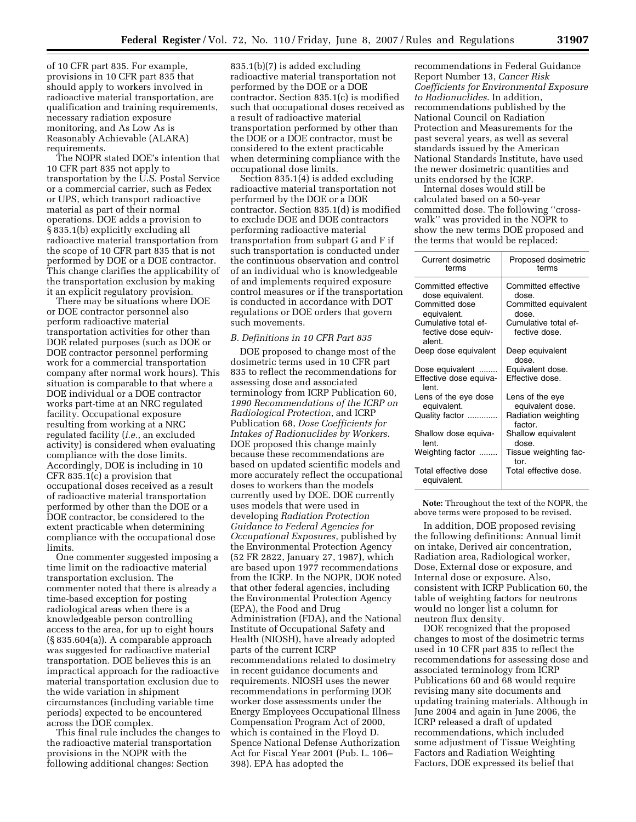of 10 CFR part 835. For example, provisions in 10 CFR part 835 that should apply to workers involved in radioactive material transportation, are qualification and training requirements, necessary radiation exposure monitoring, and As Low As is Reasonably Achievable (ALARA) requirements.

The NOPR stated DOE's intention that 10 CFR part 835 not apply to transportation by the U.S. Postal Service or a commercial carrier, such as Fedex or UPS, which transport radioactive material as part of their normal operations. DOE adds a provision to § 835.1(b) explicitly excluding all radioactive material transportation from the scope of 10 CFR part 835 that is not performed by DOE or a DOE contractor. This change clarifies the applicability of the transportation exclusion by making it an explicit regulatory provision.

There may be situations where DOE or DOE contractor personnel also perform radioactive material transportation activities for other than DOE related purposes (such as DOE or DOE contractor personnel performing work for a commercial transportation company after normal work hours). This situation is comparable to that where a DOE individual or a DOE contractor works part-time at an NRC regulated facility. Occupational exposure resulting from working at a NRC regulated facility (*i.e.*, an excluded activity) is considered when evaluating compliance with the dose limits. Accordingly, DOE is including in 10 CFR 835.1(c) a provision that occupational doses received as a result of radioactive material transportation performed by other than the DOE or a DOE contractor, be considered to the extent practicable when determining compliance with the occupational dose limits.

One commenter suggested imposing a time limit on the radioactive material transportation exclusion. The commenter noted that there is already a time-based exception for posting radiological areas when there is a knowledgeable person controlling access to the area, for up to eight hours (§ 835.604(a)). A comparable approach was suggested for radioactive material transportation. DOE believes this is an impractical approach for the radioactive material transportation exclusion due to the wide variation in shipment circumstances (including variable time periods) expected to be encountered across the DOE complex.

This final rule includes the changes to the radioactive material transportation provisions in the NOPR with the following additional changes: Section

835.1(b)(7) is added excluding radioactive material transportation not performed by the DOE or a DOE contractor. Section 835.1(c) is modified such that occupational doses received as a result of radioactive material transportation performed by other than the DOE or a DOE contractor, must be considered to the extent practicable when determining compliance with the occupational dose limits.

Section 835.1(4) is added excluding radioactive material transportation not performed by the DOE or a DOE contractor. Section 835.1(d) is modified to exclude DOE and DOE contractors performing radioactive material transportation from subpart G and F if such transportation is conducted under the continuous observation and control of an individual who is knowledgeable of and implements required exposure control measures or if the transportation is conducted in accordance with DOT regulations or DOE orders that govern such movements.

#### *B. Definitions in 10 CFR Part 835*

DOE proposed to change most of the dosimetric terms used in 10 CFR part 835 to reflect the recommendations for assessing dose and associated terminology from ICRP Publication 60, *1990 Recommendations of the ICRP on Radiological Protection*, and ICRP Publication 68, *Dose Coefficients for Intakes of Radionuclides by Workers*. DOE proposed this change mainly because these recommendations are based on updated scientific models and more accurately reflect the occupational doses to workers than the models currently used by DOE. DOE currently uses models that were used in developing *Radiation Protection Guidance to Federal Agencies for Occupational Exposures*, published by the Environmental Protection Agency (52 FR 2822, January 27, 1987), which are based upon 1977 recommendations from the ICRP. In the NOPR, DOE noted that other federal agencies, including the Environmental Protection Agency (EPA), the Food and Drug Administration (FDA), and the National Institute of Occupational Safety and Health (NIOSH), have already adopted parts of the current ICRP recommendations related to dosimetry in recent guidance documents and requirements. NIOSH uses the newer recommendations in performing DOE worker dose assessments under the Energy Employees Occupational Illness Compensation Program Act of 2000, which is contained in the Floyd D. Spence National Defense Authorization Act for Fiscal Year 2001 (Pub. L. 106– 398). EPA has adopted the

recommendations in Federal Guidance Report Number 13, *Cancer Risk Coefficients for Environmental Exposure to Radionuclides*. In addition, recommendations published by the National Council on Radiation Protection and Measurements for the past several years, as well as several standards issued by the American National Standards Institute, have used the newer dosimetric quantities and units endorsed by the ICRP.

Internal doses would still be calculated based on a 50-year committed dose. The following ''crosswalk'' was provided in the NOPR to show the new terms DOE proposed and the terms that would be replaced:

| Current dosimetric<br>terms                           | Proposed dosimetric<br>terms          |
|-------------------------------------------------------|---------------------------------------|
| Committed effective<br>dose equivalent.               | Committed effective<br>dose.          |
| Committed dose<br>equivalent.                         | Committed equivalent<br>dose.         |
| Cumulative total ef-<br>fective dose equiv-<br>alent. | Cumulative total ef-<br>fective dose. |
| Deep dose equivalent                                  | Deep equivalent<br>dose.              |
| Dose equivalent                                       | Equivalent dose.                      |
| Effective dose equiva-<br>lent.                       | Effective dose.                       |
| Lens of the eye dose<br>equivalent.                   | Lens of the eye<br>equivalent dose.   |
| Quality factor                                        | Radiation weighting<br>factor.        |
| Shallow dose equiva-<br>lent.                         | Shallow equivalent<br>dose.           |
| Weighting factor                                      | Tissue weighting fac-<br>tor.         |
| Total effective dose<br>equivalent.                   | Total effective dose.                 |

**Note:** Throughout the text of the NOPR, the above terms were proposed to be revised.

In addition, DOE proposed revising the following definitions: Annual limit on intake, Derived air concentration, Radiation area, Radiological worker, Dose, External dose or exposure, and Internal dose or exposure. Also, consistent with ICRP Publication 60, the table of weighting factors for neutrons would no longer list a column for neutron flux density.

DOE recognized that the proposed changes to most of the dosimetric terms used in 10 CFR part 835 to reflect the recommendations for assessing dose and associated terminology from ICRP Publications 60 and 68 would require revising many site documents and updating training materials. Although in June 2004 and again in June 2006, the ICRP released a draft of updated recommendations, which included some adjustment of Tissue Weighting Factors and Radiation Weighting Factors, DOE expressed its belief that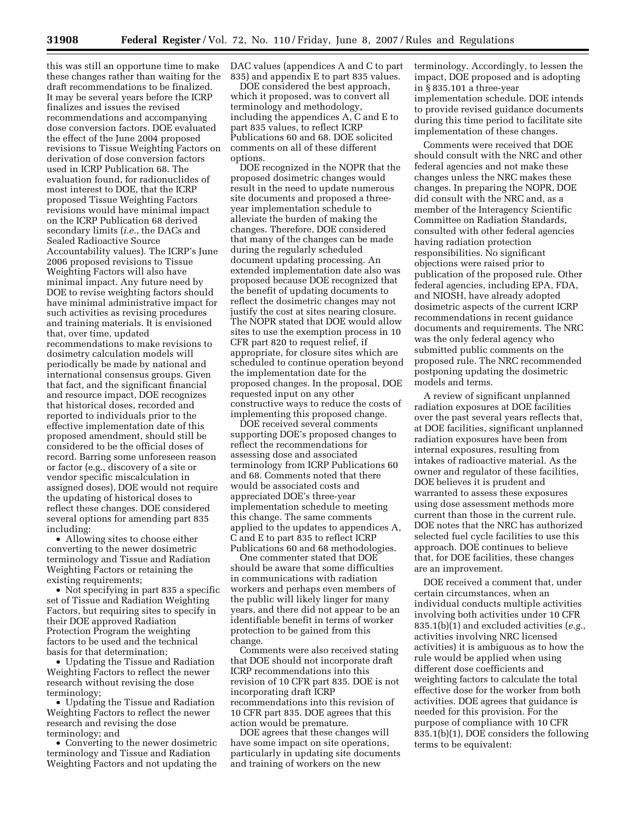this was still an opportune time to make these changes rather than waiting for the draft recommendations to be finalized. It may be several years before the ICRP finalizes and issues the revised recommendations and accompanying dose conversion factors. DOE evaluated the effect of the June 2004 proposed revisions to Tissue Weighting Factors on derivation of dose conversion factors used in ICRP Publication 68. The evaluation found, for radionuclides of most interest to DOE, that the ICRP proposed Tissue Weighting Factors revisions would have minimal impact on the ICRP Publication 68 derived secondary limits (*i.e.*, the DACs and Sealed Radioactive Source Accountability values). The ICRP's June 2006 proposed revisions to Tissue Weighting Factors will also have minimal impact. Any future need by DOE to revise weighting factors should have minimal administrative impact for such activities as revising procedures and training materials. It is envisioned that, over time, updated recommendations to make revisions to dosimetry calculation models will periodically be made by national and international consensus groups. Given that fact, and the significant financial and resource impact, DOE recognizes that historical doses, recorded and reported to individuals prior to the effective implementation date of this proposed amendment, should still be considered to be the official doses of record. Barring some unforeseen reason or factor (e.g., discovery of a site or vendor specific miscalculation in assigned doses), DOE would not require the updating of historical doses to reflect these changes. DOE considered several options for amending part 835 including:

• Allowing sites to choose either converting to the newer dosimetric terminology and Tissue and Radiation Weighting Factors or retaining the existing requirements;

• Not specifying in part 835 a specific set of Tissue and Radiation Weighting Factors, but requiring sites to specify in their DOE approved Radiation Protection Program the weighting factors to be used and the technical basis for that determination;

• Updating the Tissue and Radiation Weighting Factors to reflect the newer research without revising the dose terminology;

• Updating the Tissue and Radiation Weighting Factors to reflect the newer research and revising the dose terminology; and

• Converting to the newer dosimetric terminology and Tissue and Radiation Weighting Factors and not updating the DAC values (appendices A and C to part 835) and appendix E to part 835 values.

DOE considered the best approach, which it proposed, was to convert all terminology and methodology, including the appendices A, C and E to part 835 values, to reflect ICRP Publications 60 and 68. DOE solicited comments on all of these different options.

DOE recognized in the NOPR that the proposed dosimetric changes would result in the need to update numerous site documents and proposed a threeyear implementation schedule to alleviate the burden of making the changes. Therefore, DOE considered that many of the changes can be made during the regularly scheduled document updating processing. An extended implementation date also was proposed because DOE recognized that the benefit of updating documents to reflect the dosimetric changes may not justify the cost at sites nearing closure. The NOPR stated that DOE would allow sites to use the exemption process in 10 CFR part 820 to request relief, if appropriate, for closure sites which are scheduled to continue operation beyond the implementation date for the proposed changes. In the proposal, DOE requested input on any other constructive ways to reduce the costs of implementing this proposed change.

DOE received several comments supporting DOE's proposed changes to reflect the recommendations for assessing dose and associated terminology from ICRP Publications 60 and 68. Comments noted that there would be associated costs and appreciated DOE's three-year implementation schedule to meeting this change. The same comments applied to the updates to appendices A, C and E to part 835 to reflect ICRP Publications 60 and 68 methodologies.

One commenter stated that DOE should be aware that some difficulties in communications with radiation workers and perhaps even members of the public will likely linger for many years, and there did not appear to be an identifiable benefit in terms of worker protection to be gained from this change.

Comments were also received stating that DOE should not incorporate draft ICRP recommendations into this revision of 10 CFR part 835. DOE is not incorporating draft ICRP recommendations into this revision of 10 CFR part 835. DOE agrees that this action would be premature.

DOE agrees that these changes will have some impact on site operations, particularly in updating site documents and training of workers on the new

terminology. Accordingly, to lessen the impact, DOE proposed and is adopting in § 835.101 a three-year implementation schedule. DOE intends to provide revised guidance documents during this time period to facilitate site implementation of these changes.

Comments were received that DOE should consult with the NRC and other federal agencies and not make these changes unless the NRC makes these changes. In preparing the NOPR, DOE did consult with the NRC and, as a member of the Interagency Scientific Committee on Radiation Standards, consulted with other federal agencies having radiation protection responsibilities. No significant objections were raised prior to publication of the proposed rule. Other federal agencies, including EPA, FDA, and NIOSH, have already adopted dosimetric aspects of the current ICRP recommendations in recent guidance documents and requirements. The NRC was the only federal agency who submitted public comments on the proposed rule. The NRC recommended postponing updating the dosimetric models and terms.

A review of significant unplanned radiation exposures at DOE facilities over the past several years reflects that, at DOE facilities, significant unplanned radiation exposures have been from internal exposures, resulting from intakes of radioactive material. As the owner and regulator of these facilities, DOE believes it is prudent and warranted to assess these exposures using dose assessment methods more current than those in the current rule. DOE notes that the NRC has authorized selected fuel cycle facilities to use this approach. DOE continues to believe that, for DOE facilities, these changes are an improvement.

DOE received a comment that, under certain circumstances, when an individual conducts multiple activities involving both activities under 10 CFR 835.1(b)(1) and excluded activities (*e.g.*, activities involving NRC licensed activities) it is ambiguous as to how the rule would be applied when using different dose coefficients and weighting factors to calculate the total effective dose for the worker from both activities. DOE agrees that guidance is needed for this provision. For the purpose of compliance with 10 CFR 835.1(b)(1), DOE considers the following terms to be equivalent: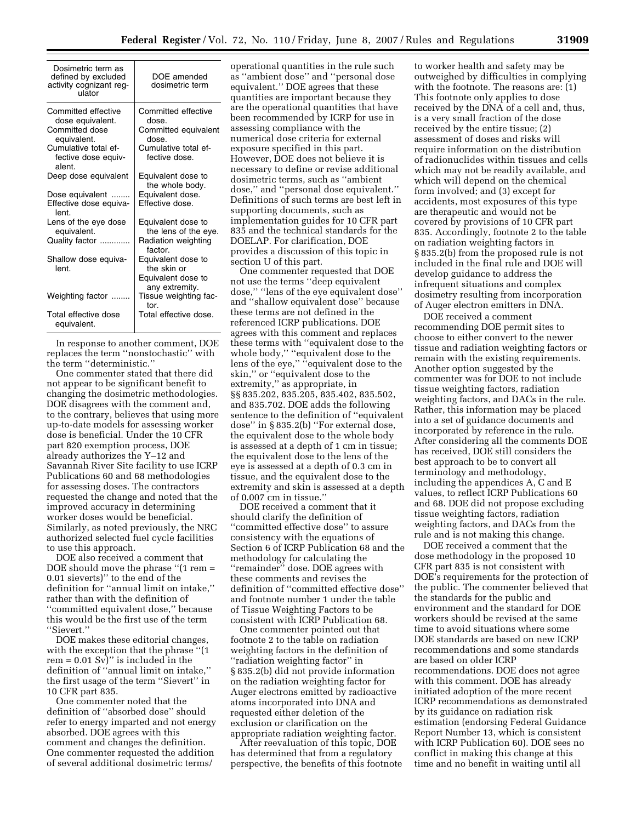| Dosimetric term as<br>defined by excluded<br>activity cognizant reg-<br>ulator | DOE amended<br>dosimetric term                                            |
|--------------------------------------------------------------------------------|---------------------------------------------------------------------------|
| Committed effective<br>dose equivalent.                                        | Committed effective<br>dose.                                              |
| Committed dose<br>equivalent.                                                  | Committed equivalent<br>dose.                                             |
| Cumulative total ef-<br>fective dose equiv-<br>alent.                          | Cumulative total ef-<br>fective dose.                                     |
| Deep dose equivalent                                                           | Equivalent dose to<br>the whole body.                                     |
| Dose equivalent<br>Effective dose equiva-<br>lent.                             | Equivalent dose.<br>Effective dose.                                       |
| Lens of the eye dose<br>equivalent.                                            | Equivalent dose to<br>the lens of the eye.                                |
| Quality factor                                                                 | Radiation weighting<br>factor.                                            |
| Shallow dose equiva-<br>lent.                                                  | Equivalent dose to<br>the skin or<br>Equivalent dose to<br>any extremity. |
| Weighting factor                                                               | Tissue weighting fac-<br>tor.                                             |
| Total effective dose<br>equivalent.                                            | Total effective dose.                                                     |

In response to another comment, DOE replaces the term ''nonstochastic'' with the term ''deterministic.''

One commenter stated that there did not appear to be significant benefit to changing the dosimetric methodologies. DOE disagrees with the comment and, to the contrary, believes that using more up-to-date models for assessing worker dose is beneficial. Under the 10 CFR part 820 exemption process, DOE already authorizes the Y–12 and Savannah River Site facility to use ICRP Publications 60 and 68 methodologies for assessing doses. The contractors requested the change and noted that the improved accuracy in determining worker doses would be beneficial. Similarly, as noted previously, the NRC authorized selected fuel cycle facilities to use this approach.

DOE also received a comment that DOE should move the phrase ''(1 rem = 0.01 sieverts)'' to the end of the definition for ''annual limit on intake,'' rather than with the definition of ''committed equivalent dose,'' because this would be the first use of the term ''Sievert.''

DOE makes these editorial changes, with the exception that the phrase ''(1  $rem = 0.01 Sv$ " is included in the definition of ''annual limit on intake,'' the first usage of the term ''Sievert'' in 10 CFR part 835.

One commenter noted that the definition of ''absorbed dose'' should refer to energy imparted and not energy absorbed. DOE agrees with this comment and changes the definition. One commenter requested the addition of several additional dosimetric terms/

operational quantities in the rule such as ''ambient dose'' and ''personal dose equivalent.'' DOE agrees that these quantities are important because they are the operational quantities that have been recommended by ICRP for use in assessing compliance with the numerical dose criteria for external exposure specified in this part. However, DOE does not believe it is necessary to define or revise additional dosimetric terms, such as ''ambient dose,'' and ''personal dose equivalent.'' Definitions of such terms are best left in supporting documents, such as implementation guides for 10 CFR part 835 and the technical standards for the DOELAP. For clarification, DOE provides a discussion of this topic in section U of this part.

One commenter requested that DOE not use the terms ''deep equivalent dose,'' ''lens of the eye equivalent dose'' and ''shallow equivalent dose'' because these terms are not defined in the referenced ICRP publications. DOE agrees with this comment and replaces these terms with ''equivalent dose to the whole body,'' ''equivalent dose to the lens of the eye,'' ''equivalent dose to the skin,'' or ''equivalent dose to the extremity,'' as appropriate, in §§ 835.202, 835.205, 835.402, 835.502, and 835.702. DOE adds the following sentence to the definition of ''equivalent dose'' in § 835.2(b) ''For external dose, the equivalent dose to the whole body is assessed at a depth of 1 cm in tissue; the equivalent dose to the lens of the eye is assessed at a depth of 0.3 cm in tissue, and the equivalent dose to the extremity and skin is assessed at a depth of 0.007 cm in tissue.''

DOE received a comment that it should clarify the definition of ''committed effective dose'' to assure consistency with the equations of Section 6 of ICRP Publication 68 and the methodology for calculating the "remainder" dose. DOE agrees with these comments and revises the definition of ''committed effective dose'' and footnote number 1 under the table of Tissue Weighting Factors to be consistent with ICRP Publication 68.

One commenter pointed out that footnote 2 to the table on radiation weighting factors in the definition of ''radiation weighting factor'' in § 835.2(b) did not provide information on the radiation weighting factor for Auger electrons emitted by radioactive atoms incorporated into DNA and requested either deletion of the exclusion or clarification on the appropriate radiation weighting factor.

After reevaluation of this topic, DOE has determined that from a regulatory perspective, the benefits of this footnote to worker health and safety may be outweighed by difficulties in complying with the footnote. The reasons are: (1) This footnote only applies to dose received by the DNA of a cell and, thus, is a very small fraction of the dose received by the entire tissue; (2) assessment of doses and risks will require information on the distribution of radionuclides within tissues and cells which may not be readily available, and which will depend on the chemical form involved; and (3) except for accidents, most exposures of this type are therapeutic and would not be covered by provisions of 10 CFR part 835. Accordingly, footnote 2 to the table on radiation weighting factors in § 835.2(b) from the proposed rule is not included in the final rule and DOE will develop guidance to address the infrequent situations and complex dosimetry resulting from incorporation of Auger electron emitters in DNA.

DOE received a comment recommending DOE permit sites to choose to either convert to the newer tissue and radiation weighting factors or remain with the existing requirements. Another option suggested by the commenter was for DOE to not include tissue weighting factors, radiation weighting factors, and DACs in the rule. Rather, this information may be placed into a set of guidance documents and incorporated by reference in the rule. After considering all the comments DOE has received, DOE still considers the best approach to be to convert all terminology and methodology, including the appendices A, C and E values, to reflect ICRP Publications 60 and 68. DOE did not propose excluding tissue weighting factors, radiation weighting factors, and DACs from the rule and is not making this change.

DOE received a comment that the dose methodology in the proposed 10 CFR part 835 is not consistent with DOE's requirements for the protection of the public. The commenter believed that the standards for the public and environment and the standard for DOE workers should be revised at the same time to avoid situations where some DOE standards are based on new ICRP recommendations and some standards are based on older ICRP recommendations. DOE does not agree with this comment. DOE has already initiated adoption of the more recent ICRP recommendations as demonstrated by its guidance on radiation risk estimation (endorsing Federal Guidance Report Number 13, which is consistent with ICRP Publication 60). DOE sees no conflict in making this change at this time and no benefit in waiting until all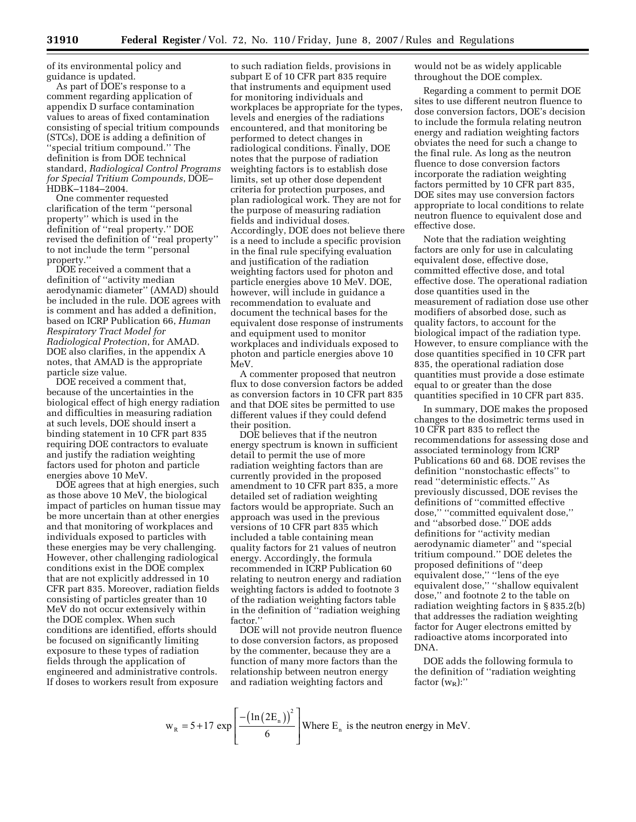of its environmental policy and guidance is updated.

As part of DOE's response to a comment regarding application of appendix D surface contamination values to areas of fixed contamination consisting of special tritium compounds (STCs), DOE is adding a definition of ''special tritium compound.'' The definition is from DOE technical standard, *Radiological Control Programs for Special Tritium Compounds*, DOE– HDBK–1184–2004.

One commenter requested clarification of the term ''personal property'' which is used in the definition of ''real property.'' DOE revised the definition of ''real property'' to not include the term ''personal property.''

DOE received a comment that a definition of ''activity median aerodynamic diameter'' (AMAD) should be included in the rule. DOE agrees with is comment and has added a definition, based on ICRP Publication 66, *Human Respiratory Tract Model for Radiological Protection*, for AMAD. DOE also clarifies, in the appendix A notes, that AMAD is the appropriate particle size value.

DOE received a comment that, because of the uncertainties in the biological effect of high energy radiation and difficulties in measuring radiation at such levels, DOE should insert a binding statement in 10 CFR part 835 requiring DOE contractors to evaluate and justify the radiation weighting factors used for photon and particle energies above 10 MeV.

DOE agrees that at high energies, such as those above 10 MeV, the biological impact of particles on human tissue may be more uncertain than at other energies and that monitoring of workplaces and individuals exposed to particles with these energies may be very challenging. However, other challenging radiological conditions exist in the DOE complex that are not explicitly addressed in 10 CFR part 835. Moreover, radiation fields consisting of particles greater than 10 MeV do not occur extensively within the DOE complex. When such conditions are identified, efforts should be focused on significantly limiting exposure to these types of radiation fields through the application of engineered and administrative controls. If doses to workers result from exposure

to such radiation fields, provisions in subpart E of 10 CFR part 835 require that instruments and equipment used for monitoring individuals and workplaces be appropriate for the types, levels and energies of the radiations encountered, and that monitoring be performed to detect changes in radiological conditions. Finally, DOE notes that the purpose of radiation weighting factors is to establish dose limits, set up other dose dependent criteria for protection purposes, and plan radiological work. They are not for the purpose of measuring radiation fields and individual doses. Accordingly, DOE does not believe there is a need to include a specific provision in the final rule specifying evaluation and justification of the radiation weighting factors used for photon and particle energies above 10 MeV. DOE, however, will include in guidance a recommendation to evaluate and document the technical bases for the equivalent dose response of instruments and equipment used to monitor workplaces and individuals exposed to photon and particle energies above 10 MeV.

A commenter proposed that neutron flux to dose conversion factors be added as conversion factors in 10 CFR part 835 and that DOE sites be permitted to use different values if they could defend their position.

DOE believes that if the neutron energy spectrum is known in sufficient detail to permit the use of more radiation weighting factors than are currently provided in the proposed amendment to 10 CFR part 835, a more detailed set of radiation weighting factors would be appropriate. Such an approach was used in the previous versions of 10 CFR part 835 which included a table containing mean quality factors for 21 values of neutron energy. Accordingly, the formula recommended in ICRP Publication 60 relating to neutron energy and radiation weighting factors is added to footnote 3 of the radiation weighting factors table in the definition of ''radiation weighing factor.''

DOE will not provide neutron fluence to dose conversion factors, as proposed by the commenter, because they are a function of many more factors than the relationship between neutron energy and radiation weighting factors and

would not be as widely applicable throughout the DOE complex.

Regarding a comment to permit DOE sites to use different neutron fluence to dose conversion factors, DOE's decision to include the formula relating neutron energy and radiation weighting factors obviates the need for such a change to the final rule. As long as the neutron fluence to dose conversion factors incorporate the radiation weighting factors permitted by 10 CFR part 835, DOE sites may use conversion factors appropriate to local conditions to relate neutron fluence to equivalent dose and effective dose.

Note that the radiation weighting factors are only for use in calculating equivalent dose, effective dose, committed effective dose, and total effective dose. The operational radiation dose quantities used in the measurement of radiation dose use other modifiers of absorbed dose, such as quality factors, to account for the biological impact of the radiation type. However, to ensure compliance with the dose quantities specified in 10 CFR part 835, the operational radiation dose quantities must provide a dose estimate equal to or greater than the dose quantities specified in 10 CFR part 835.

In summary, DOE makes the proposed changes to the dosimetric terms used in 10 CFR part 835 to reflect the recommendations for assessing dose and associated terminology from ICRP Publications 60 and 68. DOE revises the definition ''nonstochastic effects'' to read ''deterministic effects.'' As previously discussed, DOE revises the definitions of ''committed effective dose,'' ''committed equivalent dose,'' and ''absorbed dose.'' DOE adds definitions for ''activity median aerodynamic diameter'' and ''special tritium compound.'' DOE deletes the proposed definitions of ''deep equivalent dose,'' ''lens of the eye equivalent dose,'' ''shallow equivalent dose,'' and footnote 2 to the table on radiation weighting factors in § 835.2(b) that addresses the radiation weighting factor for Auger electrons emitted by radioactive atoms incorporated into DNA.

DOE adds the following formula to the definition of ''radiation weighting factor  $(w_R)$ :"

$$
w_R = 5 + 17 \exp\left[\frac{-\left(\ln(2E_n)\right)^2}{6}\right]
$$
 Where E<sub>n</sub> is the neutron energy in MeV.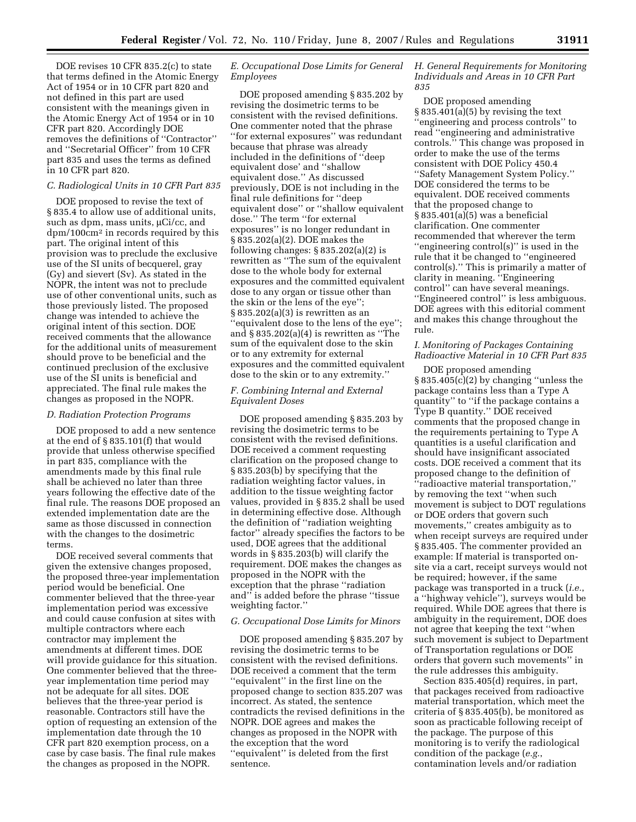DOE revises 10 CFR 835.2(c) to state that terms defined in the Atomic Energy Act of 1954 or in 10 CFR part 820 and not defined in this part are used consistent with the meanings given in the Atomic Energy Act of 1954 or in 10 CFR part 820. Accordingly DOE removes the definitions of ''Contractor'' and ''Secretarial Officer'' from 10 CFR part 835 and uses the terms as defined in 10 CFR part 820.

#### *C. Radiological Units in 10 CFR Part 835*

DOE proposed to revise the text of § 835.4 to allow use of additional units, such as dpm, mass units,  $\mu$ Ci/cc, and dpm/100cm2 in records required by this part. The original intent of this provision was to preclude the exclusive use of the SI units of becquerel, gray (Gy) and sievert (Sv). As stated in the NOPR, the intent was not to preclude use of other conventional units, such as those previously listed. The proposed change was intended to achieve the original intent of this section. DOE received comments that the allowance for the additional units of measurement should prove to be beneficial and the continued preclusion of the exclusive use of the SI units is beneficial and appreciated. The final rule makes the changes as proposed in the NOPR.

#### *D. Radiation Protection Programs*

DOE proposed to add a new sentence at the end of § 835.101(f) that would provide that unless otherwise specified in part 835, compliance with the amendments made by this final rule shall be achieved no later than three years following the effective date of the final rule. The reasons DOE proposed an extended implementation date are the same as those discussed in connection with the changes to the dosimetric terms.

DOE received several comments that given the extensive changes proposed, the proposed three-year implementation period would be beneficial. One commenter believed that the three-year implementation period was excessive and could cause confusion at sites with multiple contractors where each contractor may implement the amendments at different times. DOE will provide guidance for this situation. One commenter believed that the threeyear implementation time period may not be adequate for all sites. DOE believes that the three-year period is reasonable. Contractors still have the option of requesting an extension of the implementation date through the 10 CFR part 820 exemption process, on a case by case basis. The final rule makes the changes as proposed in the NOPR.

## *E. Occupational Dose Limits for General Employees*

DOE proposed amending § 835.202 by revising the dosimetric terms to be consistent with the revised definitions. One commenter noted that the phrase ''for external exposures'' was redundant because that phrase was already included in the definitions of ''deep equivalent dose' and ''shallow equivalent dose.'' As discussed previously, DOE is not including in the final rule definitions for ''deep equivalent dose'' or ''shallow equivalent dose.'' The term ''for external exposures'' is no longer redundant in § 835.202(a)(2). DOE makes the following changes:  $\S 835.202(a)(2)$  is rewritten as ''The sum of the equivalent dose to the whole body for external exposures and the committed equivalent dose to any organ or tissue other than the skin or the lens of the eye''; § 835.202(a)(3) is rewritten as an ''equivalent dose to the lens of the eye''; and § 835.202(a)(4) is rewritten as ''The sum of the equivalent dose to the skin or to any extremity for external exposures and the committed equivalent dose to the skin or to any extremity.''

### *F. Combining Internal and External Equivalent Doses*

DOE proposed amending § 835.203 by revising the dosimetric terms to be consistent with the revised definitions. DOE received a comment requesting clarification on the proposed change to § 835.203(b) by specifying that the radiation weighting factor values, in addition to the tissue weighting factor values, provided in § 835.2 shall be used in determining effective dose. Although the definition of ''radiation weighting factor'' already specifies the factors to be used, DOE agrees that the additional words in § 835.203(b) will clarify the requirement. DOE makes the changes as proposed in the NOPR with the exception that the phrase ''radiation and'' is added before the phrase ''tissue weighting factor.''

### *G. Occupational Dose Limits for Minors*

DOE proposed amending § 835.207 by revising the dosimetric terms to be consistent with the revised definitions. DOE received a comment that the term ''equivalent'' in the first line on the proposed change to section 835.207 was incorrect. As stated, the sentence contradicts the revised definitions in the NOPR. DOE agrees and makes the changes as proposed in the NOPR with the exception that the word ''equivalent'' is deleted from the first sentence.

### *H. General Requirements for Monitoring Individuals and Areas in 10 CFR Part 835*

DOE proposed amending § 835.401(a)(5) by revising the text ''engineering and process controls'' to read ''engineering and administrative controls.'' This change was proposed in order to make the use of the terms consistent with DOE Policy 450.4 ''Safety Management System Policy.'' DOE considered the terms to be equivalent. DOE received comments that the proposed change to § 835.401(a)(5) was a beneficial clarification. One commenter recommended that wherever the term ''engineering control(s)'' is used in the rule that it be changed to ''engineered control(s).'' This is primarily a matter of clarity in meaning. ''Engineering control'' can have several meanings. ''Engineered control'' is less ambiguous. DOE agrees with this editorial comment and makes this change throughout the rule.

## *I. Monitoring of Packages Containing Radioactive Material in 10 CFR Part 835*

DOE proposed amending § 835.405(c)(2) by changing ''unless the package contains less than a Type A quantity'' to ''if the package contains a Type B quantity.'' DOE received comments that the proposed change in the requirements pertaining to Type A quantities is a useful clarification and should have insignificant associated costs. DOE received a comment that its proposed change to the definition of ''radioactive material transportation,'' by removing the text ''when such movement is subject to DOT regulations or DOE orders that govern such movements,'' creates ambiguity as to when receipt surveys are required under § 835.405. The commenter provided an example: If material is transported onsite via a cart, receipt surveys would not be required; however, if the same package was transported in a truck (*i.e.*, a ''highway vehicle''), surveys would be required. While DOE agrees that there is ambiguity in the requirement, DOE does not agree that keeping the text ''when such movement is subject to Department of Transportation regulations or DOE orders that govern such movements'' in the rule addresses this ambiguity.

Section 835.405(d) requires, in part, that packages received from radioactive material transportation, which meet the criteria of § 835.405(b), be monitored as soon as practicable following receipt of the package. The purpose of this monitoring is to verify the radiological condition of the package (*e.g.*, contamination levels and/or radiation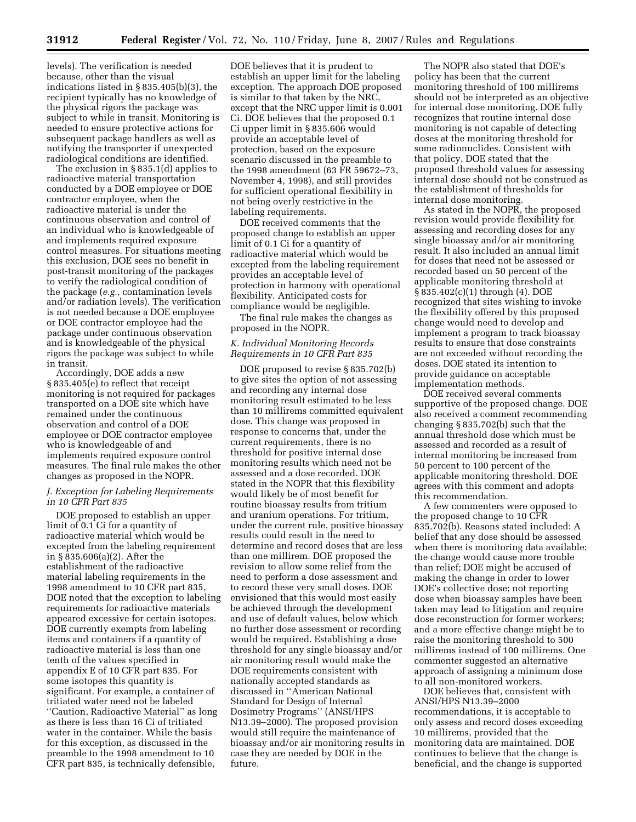levels). The verification is needed because, other than the visual indications listed in § 835.405(b)(3), the recipient typically has no knowledge of the physical rigors the package was subject to while in transit. Monitoring is needed to ensure protective actions for subsequent package handlers as well as notifying the transporter if unexpected radiological conditions are identified.

The exclusion in § 835.1(d) applies to radioactive material transportation conducted by a DOE employee or DOE contractor employee, when the radioactive material is under the continuous observation and control of an individual who is knowledgeable of and implements required exposure control measures. For situations meeting this exclusion, DOE sees no benefit in post-transit monitoring of the packages to verify the radiological condition of the package (*e.g.*, contamination levels and/or radiation levels). The verification is not needed because a DOE employee or DOE contractor employee had the package under continuous observation and is knowledgeable of the physical rigors the package was subject to while in transit.

Accordingly, DOE adds a new § 835.405(e) to reflect that receipt monitoring is not required for packages transported on a DOE site which have remained under the continuous observation and control of a DOE employee or DOE contractor employee who is knowledgeable of and implements required exposure control measures. The final rule makes the other changes as proposed in the NOPR.

### *J. Exception for Labeling Requirements in 10 CFR Part 835*

DOE proposed to establish an upper limit of 0.1 Ci for a quantity of radioactive material which would be excepted from the labeling requirement in § 835.606(a)(2). After the establishment of the radioactive material labeling requirements in the 1998 amendment to 10 CFR part 835, DOE noted that the exception to labeling requirements for radioactive materials appeared excessive for certain isotopes. DOE currently exempts from labeling items and containers if a quantity of radioactive material is less than one tenth of the values specified in appendix E of 10 CFR part 835. For some isotopes this quantity is significant. For example, a container of tritiated water need not be labeled ''Caution, Radioactive Material'' as long as there is less than 16 Ci of tritiated water in the container. While the basis for this exception, as discussed in the preamble to the 1998 amendment to 10 CFR part 835, is technically defensible,

DOE believes that it is prudent to establish an upper limit for the labeling exception. The approach DOE proposed is similar to that taken by the NRC, except that the NRC upper limit is 0.001 Ci. DOE believes that the proposed 0.1 Ci upper limit in § 835.606 would provide an acceptable level of protection, based on the exposure scenario discussed in the preamble to the 1998 amendment (63 FR 59672–73, November 4, 1998), and still provides for sufficient operational flexibility in not being overly restrictive in the labeling requirements.

DOE received comments that the proposed change to establish an upper limit of 0.1 Ci for a quantity of radioactive material which would be excepted from the labeling requirement provides an acceptable level of protection in harmony with operational flexibility. Anticipated costs for compliance would be negligible.

The final rule makes the changes as proposed in the NOPR.

## *K. Individual Monitoring Records Requirements in 10 CFR Part 835*

DOE proposed to revise § 835.702(b) to give sites the option of not assessing and recording any internal dose monitoring result estimated to be less than 10 millirems committed equivalent dose. This change was proposed in response to concerns that, under the current requirements, there is no threshold for positive internal dose monitoring results which need not be assessed and a dose recorded. DOE stated in the NOPR that this flexibility would likely be of most benefit for routine bioassay results from tritium and uranium operations. For tritium, under the current rule, positive bioassay results could result in the need to determine and record doses that are less than one millirem. DOE proposed the revision to allow some relief from the need to perform a dose assessment and to record these very small doses. DOE envisioned that this would most easily be achieved through the development and use of default values, below which no further dose assessment or recording would be required. Establishing a dose threshold for any single bioassay and/or air monitoring result would make the DOE requirements consistent with nationally accepted standards as discussed in ''American National Standard for Design of Internal Dosimetry Programs'' (ANSI/HPS N13.39–2000). The proposed provision would still require the maintenance of bioassay and/or air monitoring results in case they are needed by DOE in the future.

The NOPR also stated that DOE's policy has been that the current monitoring threshold of 100 millirems should not be interpreted as an objective for internal dose monitoring. DOE fully recognizes that routine internal dose monitoring is not capable of detecting doses at the monitoring threshold for some radionuclides. Consistent with that policy, DOE stated that the proposed threshold values for assessing internal dose should not be construed as the establishment of thresholds for internal dose monitoring.

As stated in the NOPR, the proposed revision would provide flexibility for assessing and recording doses for any single bioassay and/or air monitoring result. It also included an annual limit for doses that need not be assessed or recorded based on 50 percent of the applicable monitoring threshold at § 835.402(c)(1) through (4). DOE recognized that sites wishing to invoke the flexibility offered by this proposed change would need to develop and implement a program to track bioassay results to ensure that dose constraints are not exceeded without recording the doses. DOE stated its intention to provide guidance on acceptable implementation methods.

DOE received several comments supportive of the proposed change. DOE also received a comment recommending changing § 835.702(b) such that the annual threshold dose which must be assessed and recorded as a result of internal monitoring be increased from 50 percent to 100 percent of the applicable monitoring threshold. DOE agrees with this comment and adopts this recommendation.

A few commenters were opposed to the proposed change to 10 CFR 835.702(b). Reasons stated included: A belief that any dose should be assessed when there is monitoring data available; the change would cause more trouble than relief; DOE might be accused of making the change in order to lower DOE's collective dose; not reporting dose when bioassay samples have been taken may lead to litigation and require dose reconstruction for former workers; and a more effective change might be to raise the monitoring threshold to 500 millirems instead of 100 millirems. One commenter suggested an alternative approach of assigning a minimum dose to all non-monitored workers.

DOE believes that, consistent with ANSI/HPS N13.39–2000 recommendations, it is acceptable to only assess and record doses exceeding 10 millirems, provided that the monitoring data are maintained. DOE continues to believe that the change is beneficial, and the change is supported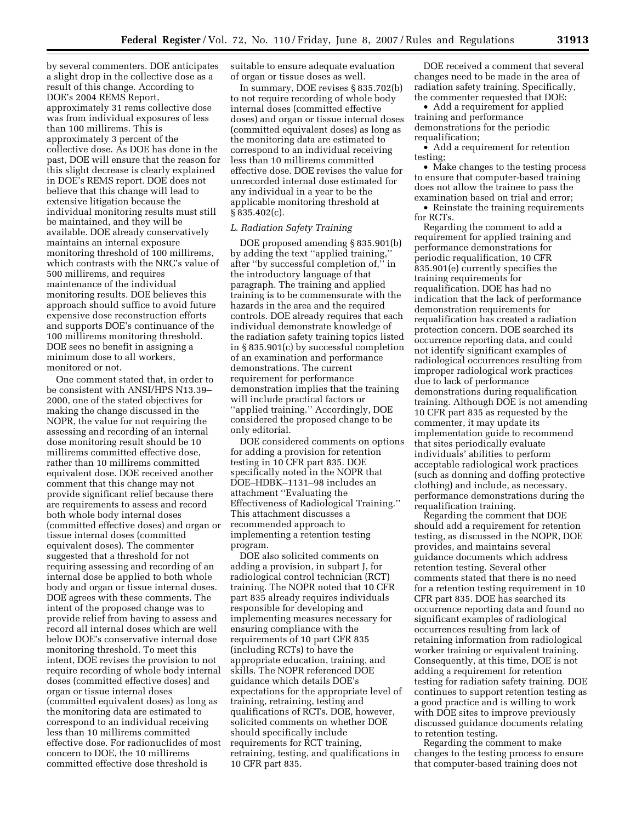by several commenters. DOE anticipates a slight drop in the collective dose as a result of this change. According to DOE's 2004 REMS Report, approximately 31 rems collective dose was from individual exposures of less than 100 millirems. This is approximately 3 percent of the collective dose. As DOE has done in the past, DOE will ensure that the reason for this slight decrease is clearly explained in DOE's REMS report. DOE does not believe that this change will lead to extensive litigation because the individual monitoring results must still be maintained, and they will be available. DOE already conservatively maintains an internal exposure monitoring threshold of 100 millirems, which contrasts with the NRC's value of 500 millirems, and requires maintenance of the individual monitoring results. DOE believes this approach should suffice to avoid future expensive dose reconstruction efforts and supports DOE's continuance of the 100 millirems monitoring threshold. DOE sees no benefit in assigning a minimum dose to all workers, monitored or not.

One comment stated that, in order to be consistent with ANSI/HPS N13.39– 2000, one of the stated objectives for making the change discussed in the NOPR, the value for not requiring the assessing and recording of an internal dose monitoring result should be 10 millirems committed effective dose, rather than 10 millirems committed equivalent dose. DOE received another comment that this change may not provide significant relief because there are requirements to assess and record both whole body internal doses (committed effective doses) and organ or tissue internal doses (committed equivalent doses). The commenter suggested that a threshold for not requiring assessing and recording of an internal dose be applied to both whole body and organ or tissue internal doses. DOE agrees with these comments. The intent of the proposed change was to provide relief from having to assess and record all internal doses which are well below DOE's conservative internal dose monitoring threshold. To meet this intent, DOE revises the provision to not require recording of whole body internal doses (committed effective doses) and organ or tissue internal doses (committed equivalent doses) as long as the monitoring data are estimated to correspond to an individual receiving less than 10 millirems committed effective dose. For radionuclides of most concern to DOE, the 10 millirems committed effective dose threshold is

suitable to ensure adequate evaluation of organ or tissue doses as well.

In summary, DOE revises § 835.702(b) to not require recording of whole body internal doses (committed effective doses) and organ or tissue internal doses (committed equivalent doses) as long as the monitoring data are estimated to correspond to an individual receiving less than 10 millirems committed effective dose. DOE revises the value for unrecorded internal dose estimated for any individual in a year to be the applicable monitoring threshold at § 835.402(c).

## *L. Radiation Safety Training*

DOE proposed amending § 835.901(b) by adding the text ''applied training,'' after ''by successful completion of,'' in the introductory language of that paragraph. The training and applied training is to be commensurate with the hazards in the area and the required controls. DOE already requires that each individual demonstrate knowledge of the radiation safety training topics listed in § 835.901(c) by successful completion of an examination and performance demonstrations. The current requirement for performance demonstration implies that the training will include practical factors or ''applied training.'' Accordingly, DOE considered the proposed change to be only editorial.

DOE considered comments on options for adding a provision for retention testing in 10 CFR part 835. DOE specifically noted in the NOPR that DOE–HDBK–1131–98 includes an attachment ''Evaluating the Effectiveness of Radiological Training.'' This attachment discusses a recommended approach to implementing a retention testing program.

DOE also solicited comments on adding a provision, in subpart J, for radiological control technician (RCT) training. The NOPR noted that 10 CFR part 835 already requires individuals responsible for developing and implementing measures necessary for ensuring compliance with the requirements of 10 part CFR 835 (including RCTs) to have the appropriate education, training, and skills. The NOPR referenced DOE guidance which details DOE's expectations for the appropriate level of training, retraining, testing and qualifications of RCTs. DOE, however, solicited comments on whether DOE should specifically include requirements for RCT training, retraining, testing, and qualifications in 10 CFR part 835.

DOE received a comment that several changes need to be made in the area of radiation safety training. Specifically, the commenter requested that DOE:

• Add a requirement for applied training and performance demonstrations for the periodic requalification;

• Add a requirement for retention testing;

• Make changes to the testing process to ensure that computer-based training does not allow the trainee to pass the examination based on trial and error;

• Reinstate the training requirements for RCTs.

Regarding the comment to add a requirement for applied training and performance demonstrations for periodic requalification, 10 CFR 835.901(e) currently specifies the training requirements for requalification. DOE has had no indication that the lack of performance demonstration requirements for requalification has created a radiation protection concern. DOE searched its occurrence reporting data, and could not identify significant examples of radiological occurrences resulting from improper radiological work practices due to lack of performance demonstrations during requalification training. Although DOE is not amending 10 CFR part 835 as requested by the commenter, it may update its implementation guide to recommend that sites periodically evaluate individuals' abilities to perform acceptable radiological work practices (such as donning and doffing protective clothing) and include, as necessary, performance demonstrations during the requalification training.

Regarding the comment that DOE should add a requirement for retention testing, as discussed in the NOPR, DOE provides, and maintains several guidance documents which address retention testing. Several other comments stated that there is no need for a retention testing requirement in 10 CFR part 835. DOE has searched its occurrence reporting data and found no significant examples of radiological occurrences resulting from lack of retaining information from radiological worker training or equivalent training. Consequently, at this time, DOE is not adding a requirement for retention testing for radiation safety training. DOE continues to support retention testing as a good practice and is willing to work with DOE sites to improve previously discussed guidance documents relating to retention testing.

Regarding the comment to make changes to the testing process to ensure that computer-based training does not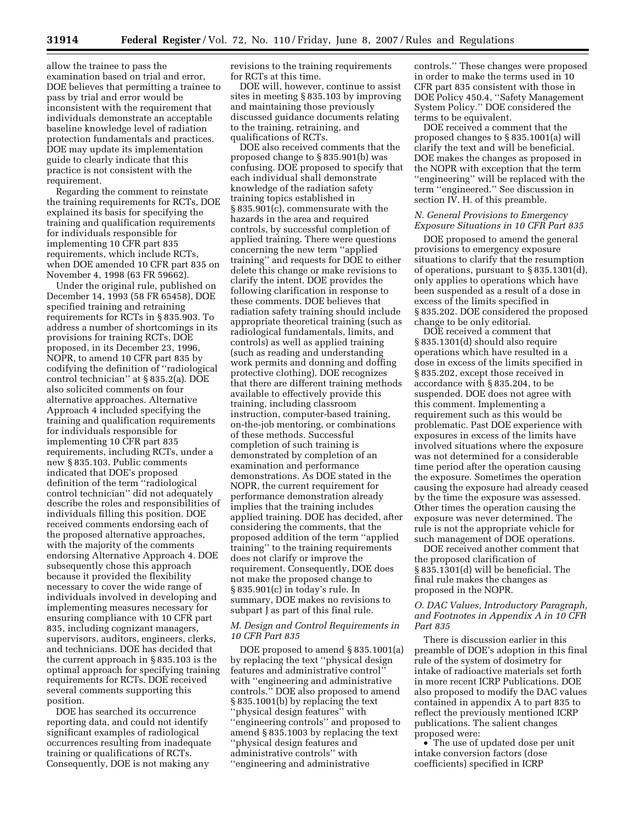allow the trainee to pass the examination based on trial and error, DOE believes that permitting a trainee to pass by trial and error would be inconsistent with the requirement that individuals demonstrate an acceptable baseline knowledge level of radiation protection fundamentals and practices. DOE may update its implementation guide to clearly indicate that this practice is not consistent with the requirement.

Regarding the comment to reinstate the training requirements for RCTs, DOE explained its basis for specifying the training and qualification requirements for individuals responsible for implementing 10 CFR part 835 requirements, which include RCTs, when DOE amended 10 CFR part 835 on November 4, 1998 (63 FR 59662).

Under the original rule, published on December 14, 1993 (58 FR 65458), DOE specified training and retraining requirements for RCTs in § 835.903. To address a number of shortcomings in its provisions for training RCTs, DOE proposed, in its December 23, 1996, NOPR, to amend 10 CFR part 835 by codifying the definition of ''radiological control technician'' at § 835.2(a). DOE also solicited comments on four alternative approaches. Alternative Approach 4 included specifying the training and qualification requirements for individuals responsible for implementing 10 CFR part 835 requirements, including RCTs, under a new § 835.103. Public comments indicated that DOE's proposed definition of the term ''radiological control technician'' did not adequately describe the roles and responsibilities of individuals filling this position. DOE received comments endorsing each of the proposed alternative approaches, with the majority of the comments endorsing Alternative Approach 4. DOE subsequently chose this approach because it provided the flexibility necessary to cover the wide range of individuals involved in developing and implementing measures necessary for ensuring compliance with 10 CFR part 835, including cognizant managers, supervisors, auditors, engineers, clerks, and technicians. DOE has decided that the current approach in § 835.103 is the optimal approach for specifying training requirements for RCTs. DOE received several comments supporting this position.

DOE has searched its occurrence reporting data, and could not identify significant examples of radiological occurrences resulting from inadequate training or qualifications of RCTs. Consequently, DOE is not making any

revisions to the training requirements for RCTs at this time.

DOE will, however, continue to assist sites in meeting § 835.103 by improving and maintaining those previously discussed guidance documents relating to the training, retraining, and qualifications of RCTs.

DOE also received comments that the proposed change to § 835.901(b) was confusing. DOE proposed to specify that each individual shall demonstrate knowledge of the radiation safety training topics established in § 835.901(c), commensurate with the hazards in the area and required controls, by successful completion of applied training. There were questions concerning the new term ''applied training'' and requests for DOE to either delete this change or make revisions to clarify the intent. DOE provides the following clarification in response to these comments. DOE believes that radiation safety training should include appropriate theoretical training (such as radiological fundamentals, limits, and controls) as well as applied training (such as reading and understanding work permits and donning and doffing protective clothing). DOE recognizes that there are different training methods available to effectively provide this training, including classroom instruction, computer-based training, on-the-job mentoring, or combinations of these methods. Successful completion of such training is demonstrated by completion of an examination and performance demonstrations. As DOE stated in the NOPR, the current requirement for performance demonstration already implies that the training includes applied training. DOE has decided, after considering the comments, that the proposed addition of the term ''applied training'' to the training requirements does not clarify or improve the requirement. Consequently, DOE does not make the proposed change to § 835.901(c) in today's rule. In summary, DOE makes no revisions to subpart J as part of this final rule.

### *M. Design and Control Requirements in 10 CFR Part 835*

DOE proposed to amend § 835.1001(a) by replacing the text ''physical design features and administrative control'' with ''engineering and administrative controls.'' DOE also proposed to amend § 835.1001(b) by replacing the text ''physical design features'' with ''engineering controls'' and proposed to amend § 835.1003 by replacing the text ''physical design features and administrative controls'' with ''engineering and administrative

controls.'' These changes were proposed in order to make the terms used in 10 CFR part 835 consistent with those in DOE Policy 450.4, ''Safety Management System Policy.'' DOE considered the terms to be equivalent.

DOE received a comment that the proposed changes to § 835.1001(a) will clarify the text and will be beneficial. DOE makes the changes as proposed in the NOPR with exception that the term ''engineering'' will be replaced with the term ''engineered.'' See discussion in section IV. H. of this preamble.

## *N. General Provisions to Emergency Exposure Situations in 10 CFR Part 835*

DOE proposed to amend the general provisions to emergency exposure situations to clarify that the resumption of operations, pursuant to § 835.1301(d), only applies to operations which have been suspended as a result of a dose in excess of the limits specified in § 835.202. DOE considered the proposed change to be only editorial.

DOE received a comment that § 835.1301(d) should also require operations which have resulted in a dose in excess of the limits specified in § 835.202, except those received in accordance with § 835.204, to be suspended. DOE does not agree with this comment. Implementing a requirement such as this would be problematic. Past DOE experience with exposures in excess of the limits have involved situations where the exposure was not determined for a considerable time period after the operation causing the exposure. Sometimes the operation causing the exposure had already ceased by the time the exposure was assessed. Other times the operation causing the exposure was never determined. The rule is not the appropriate vehicle for such management of DOE operations.

DOE received another comment that the proposed clarification of § 835.1301(d) will be beneficial. The final rule makes the changes as proposed in the NOPR.

### *O. DAC Values, Introductory Paragraph, and Footnotes in Appendix A in 10 CFR Part 835*

There is discussion earlier in this preamble of DOE's adoption in this final rule of the system of dosimetry for intake of radioactive materials set forth in more recent ICRP Publications. DOE also proposed to modify the DAC values contained in appendix A to part 835 to reflect the previously mentioned ICRP publications. The salient changes proposed were:

• The use of updated dose per unit intake conversion factors (dose coefficients) specified in ICRP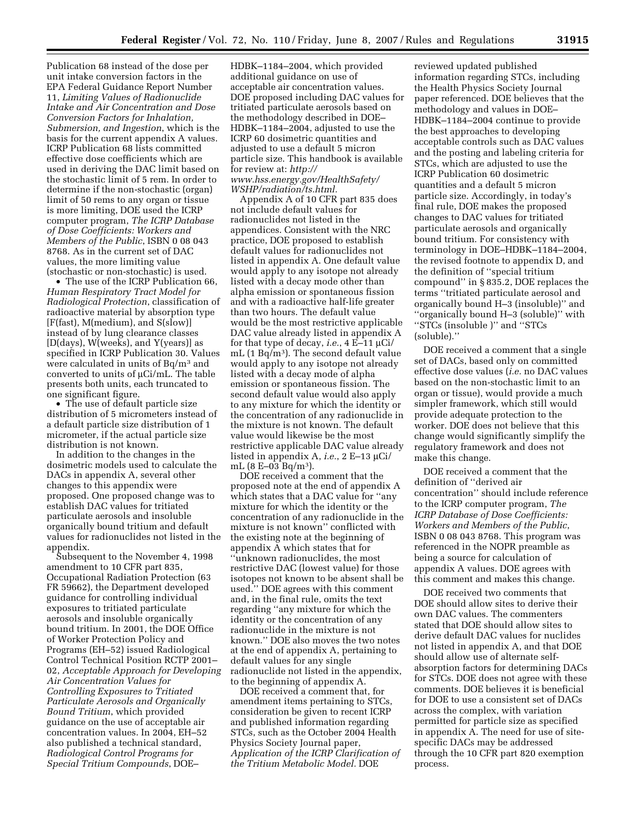Publication 68 instead of the dose per unit intake conversion factors in the EPA Federal Guidance Report Number 11, *Limiting Values of Radionuclide Intake and Air Concentration and Dose Conversion Factors for Inhalation, Submersion, and Ingestion*, which is the basis for the current appendix A values. ICRP Publication 68 lists committed effective dose coefficients which are used in deriving the DAC limit based on the stochastic limit of 5 rem. In order to determine if the non-stochastic (organ) limit of 50 rems to any organ or tissue is more limiting, DOE used the ICRP computer program, *The ICRP Database of Dose Coefficients: Workers and Members of the Public*, ISBN 0 08 043 8768. As in the current set of DAC values, the more limiting value (stochastic or non-stochastic) is used.

• The use of the ICRP Publication 66, *Human Respiratory Tract Model for Radiological Protection*, classification of radioactive material by absorption type [F(fast), M(medium), and S(slow)] instead of by lung clearance classes [D(days), W(weeks), and Y(years)] as specified in ICRP Publication 30. Values were calculated in units of Bq/m3 and converted to units of µCi/mL. The table presents both units, each truncated to one significant figure.

• The use of default particle size distribution of 5 micrometers instead of a default particle size distribution of 1 micrometer, if the actual particle size distribution is not known.

In addition to the changes in the dosimetric models used to calculate the DACs in appendix A, several other changes to this appendix were proposed. One proposed change was to establish DAC values for tritiated particulate aerosols and insoluble organically bound tritium and default values for radionuclides not listed in the appendix.

Subsequent to the November 4, 1998 amendment to 10 CFR part 835, Occupational Radiation Protection (63 FR 59662), the Department developed guidance for controlling individual exposures to tritiated particulate aerosols and insoluble organically bound tritium. In 2001, the DOE Office of Worker Protection Policy and Programs (EH–52) issued Radiological Control Technical Position RCTP 2001– 02, *Acceptable Approach for Developing Air Concentration Values for Controlling Exposures to Tritiated Particulate Aerosols and Organically Bound Tritium*, which provided guidance on the use of acceptable air concentration values. In 2004, EH–52 also published a technical standard, *Radiological Control Programs for Special Tritium Compounds*, DOE–

HDBK–1184–2004, which provided additional guidance on use of acceptable air concentration values. DOE proposed including DAC values for tritiated particulate aerosols based on the methodology described in DOE– HDBK–1184–2004, adjusted to use the ICRP 60 dosimetric quantities and adjusted to use a default 5 micron particle size. This handbook is available for review at: *http:// www.hss.energy.gov/HealthSafety/* 

*WSHP/radiation/ts.html.*  Appendix A of 10 CFR part 835 does not include default values for radionuclides not listed in the appendices. Consistent with the NRC practice, DOE proposed to establish default values for radionuclides not listed in appendix A. One default value would apply to any isotope not already listed with a decay mode other than alpha emission or spontaneous fission and with a radioactive half-life greater than two hours. The default value would be the most restrictive applicable DAC value already listed in appendix A for that type of decay, *i.e.*, 4 E–11 µCi/ mL (1 Bq/m3). The second default value would apply to any isotope not already listed with a decay mode of alpha emission or spontaneous fission. The second default value would also apply to any mixture for which the identity or the concentration of any radionuclide in the mixture is not known. The default value would likewise be the most restrictive applicable DAC value already listed in appendix A, *i.e.*, 2 E–13 µCi/ mL (8 E–03 Bq/m3).

DOE received a comment that the proposed note at the end of appendix A which states that a DAC value for ''any mixture for which the identity or the concentration of any radionuclide in the mixture is not known'' conflicted with the existing note at the beginning of appendix A which states that for ''unknown radionuclides, the most restrictive DAC (lowest value) for those isotopes not known to be absent shall be used.'' DOE agrees with this comment and, in the final rule, omits the text regarding ''any mixture for which the identity or the concentration of any radionuclide in the mixture is not known.'' DOE also moves the two notes at the end of appendix A, pertaining to default values for any single radionuclide not listed in the appendix, to the beginning of appendix A.

DOE received a comment that, for amendment items pertaining to STCs, consideration be given to recent ICRP and published information regarding STCs, such as the October 2004 Health Physics Society Journal paper, *Application of the ICRP Clarification of the Tritium Metabolic Model.* DOE

reviewed updated published information regarding STCs, including the Health Physics Society Journal paper referenced. DOE believes that the methodology and values in DOE– HDBK–1184–2004 continue to provide the best approaches to developing acceptable controls such as DAC values and the posting and labeling criteria for STCs, which are adjusted to use the ICRP Publication 60 dosimetric quantities and a default 5 micron particle size. Accordingly, in today's final rule, DOE makes the proposed changes to DAC values for tritiated particulate aerosols and organically bound tritium. For consistency with terminology in DOE–HDBK–1184–2004, the revised footnote to appendix D, and the definition of ''special tritium compound'' in § 835.2, DOE replaces the terms ''tritiated particulate aerosol and organically bound H–3 (insoluble)'' and ''organically bound H–3 (soluble)'' with ''STCs (insoluble )'' and ''STCs (soluble).''

DOE received a comment that a single set of DACs, based only on committed effective dose values (*i.e.* no DAC values based on the non-stochastic limit to an organ or tissue), would provide a much simpler framework, which still would provide adequate protection to the worker. DOE does not believe that this change would significantly simplify the regulatory framework and does not make this change.

DOE received a comment that the definition of ''derived air concentration'' should include reference to the ICRP computer program, *The ICRP Database of Dose Coefficients: Workers and Members of the Public*, ISBN 0 08 043 8768. This program was referenced in the NOPR preamble as being a source for calculation of appendix A values. DOE agrees with this comment and makes this change.

DOE received two comments that DOE should allow sites to derive their own DAC values. The commenters stated that DOE should allow sites to derive default DAC values for nuclides not listed in appendix A, and that DOE should allow use of alternate selfabsorption factors for determining DACs for STCs. DOE does not agree with these comments. DOE believes it is beneficial for DOE to use a consistent set of DACs across the complex, with variation permitted for particle size as specified in appendix A. The need for use of sitespecific DACs may be addressed through the 10 CFR part 820 exemption process.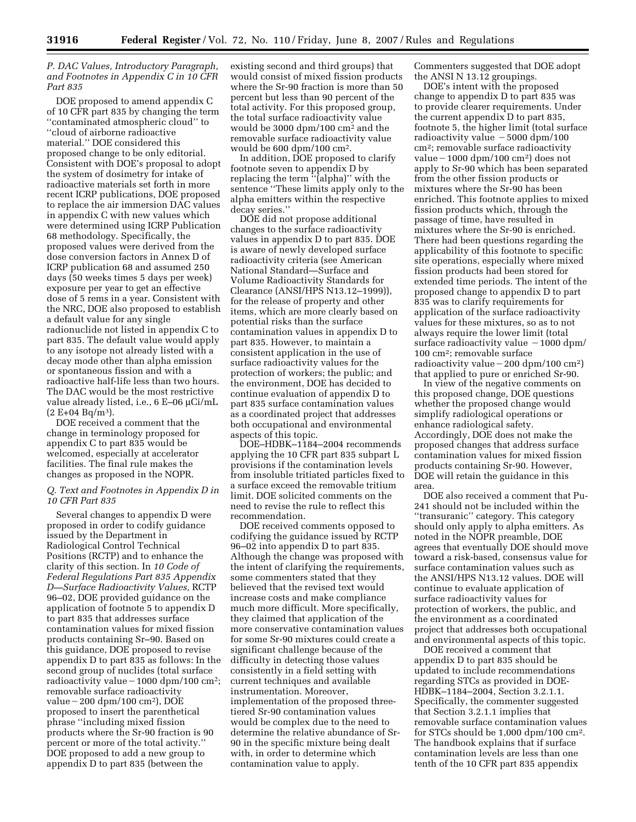*P. DAC Values, Introductory Paragraph, and Footnotes in Appendix C in 10 CFR Part 835* 

DOE proposed to amend appendix C of 10 CFR part 835 by changing the term ''contaminated atmospheric cloud'' to ''cloud of airborne radioactive material.'' DOE considered this proposed change to be only editorial. Consistent with DOE's proposal to adopt the system of dosimetry for intake of radioactive materials set forth in more recent ICRP publications, DOE proposed to replace the air immersion DAC values in appendix C with new values which were determined using ICRP Publication 68 methodology. Specifically, the proposed values were derived from the dose conversion factors in Annex D of ICRP publication 68 and assumed 250 days (50 weeks times 5 days per week) exposure per year to get an effective dose of 5 rems in a year. Consistent with the NRC, DOE also proposed to establish a default value for any single radionuclide not listed in appendix C to part 835. The default value would apply to any isotope not already listed with a decay mode other than alpha emission or spontaneous fission and with a radioactive half-life less than two hours. The DAC would be the most restrictive value already listed, i.e., 6 E–06 µCi/mL  $(2 E+04 Bq/m^3)$ .

DOE received a comment that the change in terminology proposed for appendix C to part 835 would be welcomed, especially at accelerator facilities. The final rule makes the changes as proposed in the NOPR.

### *Q. Text and Footnotes in Appendix D in 10 CFR Part 835*

Several changes to appendix D were proposed in order to codify guidance issued by the Department in Radiological Control Technical Positions (RCTP) and to enhance the clarity of this section. In *10 Code of Federal Regulations Part 835 Appendix D—Surface Radioactivity Values,* RCTP 96–02, DOE provided guidance on the application of footnote 5 to appendix D to part 835 that addresses surface contamination values for mixed fission products containing Sr–90. Based on this guidance, DOE proposed to revise appendix D to part 835 as follows: In the second group of nuclides (total surface radioactivity value  $-1000$  dpm/100 cm<sup>2</sup>; removable surface radioactivity  $value - 200$  dpm/100  $cm<sup>2</sup>$ ), DOE proposed to insert the parenthetical phrase ''including mixed fission products where the Sr-90 fraction is 90 percent or more of the total activity.'' DOE proposed to add a new group to appendix D to part 835 (between the

existing second and third groups) that would consist of mixed fission products where the Sr-90 fraction is more than 50 percent but less than 90 percent of the total activity. For this proposed group, the total surface radioactivity value would be 3000 dpm/100 cm2 and the removable surface radioactivity value would be 600 dpm/100 cm2.

In addition, DOE proposed to clarify footnote seven to appendix D by replacing the term ''(alpha)'' with the sentence ''These limits apply only to the alpha emitters within the respective decay series.''

DOE did not propose additional changes to the surface radioactivity values in appendix D to part 835. DOE is aware of newly developed surface radioactivity criteria (see American National Standard—Surface and Volume Radioactivity Standards for Clearance (ANSI/HPS N13.12–1999)), for the release of property and other items, which are more clearly based on potential risks than the surface contamination values in appendix D to part 835. However, to maintain a consistent application in the use of surface radioactivity values for the protection of workers; the public; and the environment, DOE has decided to continue evaluation of appendix D to part 835 surface contamination values as a coordinated project that addresses both occupational and environmental aspects of this topic.

DOE–HDBK–1184–2004 recommends applying the 10 CFR part 835 subpart L provisions if the contamination levels from insoluble tritiated particles fixed to a surface exceed the removable tritium limit. DOE solicited comments on the need to revise the rule to reflect this recommendation.

DOE received comments opposed to codifying the guidance issued by RCTP 96–02 into appendix D to part 835. Although the change was proposed with the intent of clarifying the requirements, some commenters stated that they believed that the revised text would increase costs and make compliance much more difficult. More specifically, they claimed that application of the more conservative contamination values for some Sr-90 mixtures could create a significant challenge because of the difficulty in detecting those values consistently in a field setting with current techniques and available instrumentation. Moreover, implementation of the proposed threetiered Sr-90 contamination values would be complex due to the need to determine the relative abundance of Sr-90 in the specific mixture being dealt with, in order to determine which contamination value to apply.

Commenters suggested that DOE adopt the ANSI N 13.12 groupings.

DOE's intent with the proposed change to appendix D to part 835 was to provide clearer requirements. Under the current appendix D to part 835, footnote 5, the higher limit (total surface radioactivity value  $-5000$  dpm/100 cm2; removable surface radioactivity value  $-1000$  dpm/100 cm<sup>2</sup>) does not apply to Sr-90 which has been separated from the other fission products or mixtures where the Sr-90 has been enriched. This footnote applies to mixed fission products which, through the passage of time, have resulted in mixtures where the Sr-90 is enriched. There had been questions regarding the applicability of this footnote to specific site operations, especially where mixed fission products had been stored for extended time periods. The intent of the proposed change to appendix D to part 835 was to clarify requirements for application of the surface radioactivity values for these mixtures, so as to not always require the lower limit (total surface radioactivity value  $-1000$  dpm/ 100 cm2; removable surface radioactivity value  $-200$  dpm/100 cm<sup>2</sup>) that applied to pure or enriched Sr-90.

In view of the negative comments on this proposed change, DOE questions whether the proposed change would simplify radiological operations or enhance radiological safety. Accordingly, DOE does not make the proposed changes that address surface contamination values for mixed fission products containing Sr-90. However, DOE will retain the guidance in this area.

DOE also received a comment that Pu-241 should not be included within the ''transuranic'' category. This category should only apply to alpha emitters. As noted in the NOPR preamble, DOE agrees that eventually DOE should move toward a risk-based, consensus value for surface contamination values such as the ANSI/HPS N13.12 values. DOE will continue to evaluate application of surface radioactivity values for protection of workers, the public, and the environment as a coordinated project that addresses both occupational and environmental aspects of this topic.

DOE received a comment that appendix D to part 835 should be updated to include recommendations regarding STCs as provided in DOE-HDBK–1184–2004, Section 3.2.1.1. Specifically, the commenter suggested that Section 3.2.1.1 implies that removable surface contamination values for STCs should be 1,000 dpm/100 cm2. The handbook explains that if surface contamination levels are less than one tenth of the 10 CFR part 835 appendix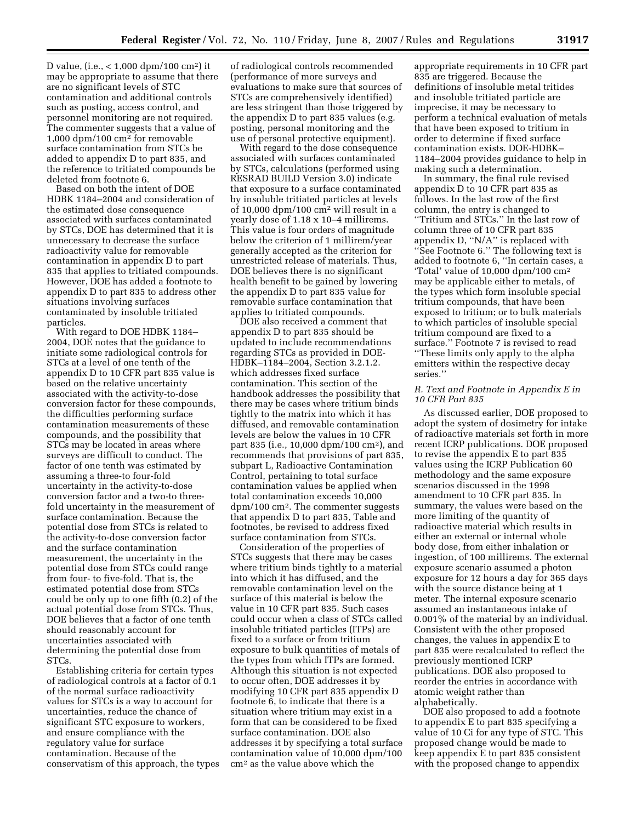D value, (i.e., < 1,000 dpm/100 cm2) it may be appropriate to assume that there are no significant levels of STC contamination and additional controls such as posting, access control, and personnel monitoring are not required. The commenter suggests that a value of 1,000 dpm/100 cm2 for removable surface contamination from STCs be added to appendix D to part 835, and the reference to tritiated compounds be deleted from footnote 6.

Based on both the intent of DOE HDBK 1184–2004 and consideration of the estimated dose consequence associated with surfaces contaminated by STCs, DOE has determined that it is unnecessary to decrease the surface radioactivity value for removable contamination in appendix D to part 835 that applies to tritiated compounds. However, DOE has added a footnote to appendix D to part 835 to address other situations involving surfaces contaminated by insoluble tritiated particles.

With regard to DOE HDBK 1184– 2004, DOE notes that the guidance to initiate some radiological controls for STCs at a level of one tenth of the appendix D to 10 CFR part 835 value is based on the relative uncertainty associated with the activity-to-dose conversion factor for these compounds, the difficulties performing surface contamination measurements of these compounds, and the possibility that STCs may be located in areas where surveys are difficult to conduct. The factor of one tenth was estimated by assuming a three-to four-fold uncertainty in the activity-to-dose conversion factor and a two-to threefold uncertainty in the measurement of surface contamination. Because the potential dose from STCs is related to the activity-to-dose conversion factor and the surface contamination measurement, the uncertainty in the potential dose from STCs could range from four- to five-fold. That is, the estimated potential dose from STCs could be only up to one fifth (0.2) of the actual potential dose from STCs. Thus, DOE believes that a factor of one tenth should reasonably account for uncertainties associated with determining the potential dose from STCs.

Establishing criteria for certain types of radiological controls at a factor of 0.1 of the normal surface radioactivity values for STCs is a way to account for uncertainties, reduce the chance of significant STC exposure to workers, and ensure compliance with the regulatory value for surface contamination. Because of the conservatism of this approach, the types of radiological controls recommended (performance of more surveys and evaluations to make sure that sources of STCs are comprehensively identified) are less stringent than those triggered by the appendix D to part 835 values (e.g. posting, personal monitoring and the use of personal protective equipment).

With regard to the dose consequence associated with surfaces contaminated by STCs, calculations (performed using RESRAD BUILD Version 3.0) indicate that exposure to a surface contaminated by insoluble tritiated particles at levels of 10,000 dpm/100 cm2 will result in a yearly dose of 1.18 x 10–4 millirems. This value is four orders of magnitude below the criterion of 1 millirem/year generally accepted as the criterion for unrestricted release of materials. Thus, DOE believes there is no significant health benefit to be gained by lowering the appendix D to part 835 value for removable surface contamination that applies to tritiated compounds.

DOE also received a comment that appendix D to part 835 should be updated to include recommendations regarding STCs as provided in DOE-HDBK–1184–2004, Section 3.2.1.2. which addresses fixed surface contamination. This section of the handbook addresses the possibility that there may be cases where tritium binds tightly to the matrix into which it has diffused, and removable contamination levels are below the values in 10 CFR part 835 (i.e., 10,000 dpm/100 cm2), and recommends that provisions of part 835, subpart L, Radioactive Contamination Control, pertaining to total surface contamination values be applied when total contamination exceeds 10,000 dpm/100 cm2. The commenter suggests that appendix D to part 835, Table and footnotes, be revised to address fixed surface contamination from STCs.

Consideration of the properties of STCs suggests that there may be cases where tritium binds tightly to a material into which it has diffused, and the removable contamination level on the surface of this material is below the value in 10 CFR part 835. Such cases could occur when a class of STCs called insoluble tritiated particles (ITPs) are fixed to a surface or from tritium exposure to bulk quantities of metals of the types from which ITPs are formed. Although this situation is not expected to occur often, DOE addresses it by modifying 10 CFR part 835 appendix D footnote 6, to indicate that there is a situation where tritium may exist in a form that can be considered to be fixed surface contamination. DOE also addresses it by specifying a total surface contamination value of 10,000 dpm/100 cm2 as the value above which the

appropriate requirements in 10 CFR part 835 are triggered. Because the definitions of insoluble metal tritides and insoluble tritiated particle are imprecise, it may be necessary to perform a technical evaluation of metals that have been exposed to tritium in order to determine if fixed surface contamination exists. DOE-HDBK– 1184–2004 provides guidance to help in making such a determination.

In summary, the final rule revised appendix D to 10 CFR part 835 as follows. In the last row of the first column, the entry is changed to ''Tritium and STCs.'' In the last row of column three of 10 CFR part 835 appendix D, ''N/A'' is replaced with ''See Footnote 6.'' The following text is added to footnote 6, ''In certain cases, a 'Total' value of 10,000 dpm/100 cm2 may be applicable either to metals, of the types which form insoluble special tritium compounds, that have been exposed to tritium; or to bulk materials to which particles of insoluble special tritium compound are fixed to a surface.'' Footnote 7 is revised to read ''These limits only apply to the alpha emitters within the respective decay series.''

### *R. Text and Footnote in Appendix E in 10 CFR Part 835*

As discussed earlier, DOE proposed to adopt the system of dosimetry for intake of radioactive materials set forth in more recent ICRP publications. DOE proposed to revise the appendix E to part 835 values using the ICRP Publication 60 methodology and the same exposure scenarios discussed in the 1998 amendment to 10 CFR part 835. In summary, the values were based on the more limiting of the quantity of radioactive material which results in either an external or internal whole body dose, from either inhalation or ingestion, of 100 millirems. The external exposure scenario assumed a photon exposure for 12 hours a day for 365 days with the source distance being at 1 meter. The internal exposure scenario assumed an instantaneous intake of 0.001% of the material by an individual. Consistent with the other proposed changes, the values in appendix E to part 835 were recalculated to reflect the previously mentioned ICRP publications. DOE also proposed to reorder the entries in accordance with atomic weight rather than alphabetically.

DOE also proposed to add a footnote to appendix E to part 835 specifying a value of 10 Ci for any type of STC. This proposed change would be made to keep appendix E to part 835 consistent with the proposed change to appendix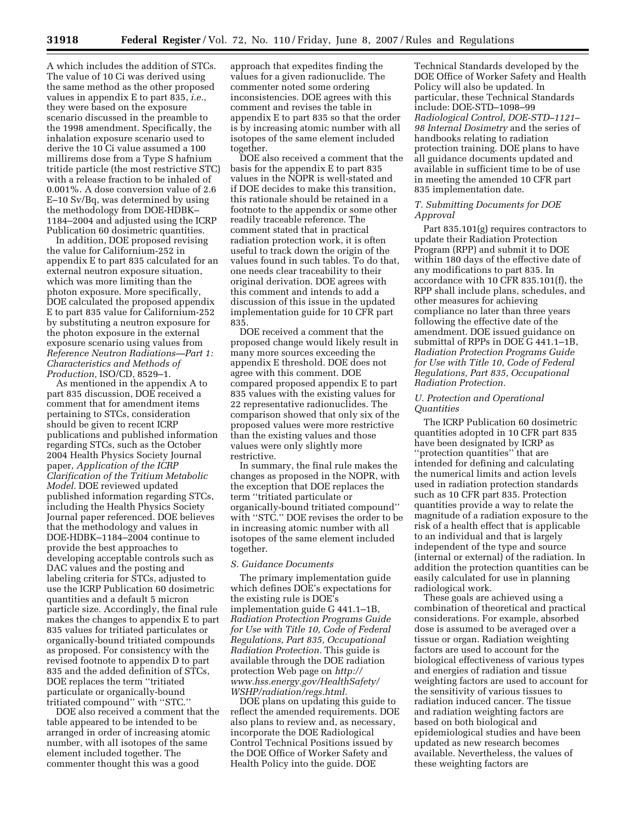A which includes the addition of STCs. The value of 10 Ci was derived using the same method as the other proposed values in appendix E to part 835, *i.e.*, they were based on the exposure scenario discussed in the preamble to the 1998 amendment. Specifically, the inhalation exposure scenario used to derive the 10 Ci value assumed a 100 millirems dose from a Type S hafnium tritide particle (the most restrictive STC) with a release fraction to be inhaled of 0.001%. A dose conversion value of 2.6 E–10 Sv/Bq, was determined by using the methodology from DOE-HDBK– 1184–2004 and adjusted using the ICRP Publication 60 dosimetric quantities.

In addition, DOE proposed revising the value for Californium-252 in appendix E to part 835 calculated for an external neutron exposure situation, which was more limiting than the photon exposure. More specifically, DOE calculated the proposed appendix E to part 835 value for Californium-252 by substituting a neutron exposure for the photon exposure in the external exposure scenario using values from *Reference Neutron Radiations—Part 1: Characteristics and Methods of Production,* ISO/CD, 8529–1.

As mentioned in the appendix A to part 835 discussion, DOE received a comment that for amendment items pertaining to STCs, consideration should be given to recent ICRP publications and published information regarding STCs, such as the October 2004 Health Physics Society Journal paper, *Application of the ICRP Clarification of the Tritium Metabolic Model.* DOE reviewed updated published information regarding STCs, including the Health Physics Society Journal paper referenced. DOE believes that the methodology and values in DOE-HDBK–1184–2004 continue to provide the best approaches to developing acceptable controls such as DAC values and the posting and labeling criteria for STCs, adjusted to use the ICRP Publication 60 dosimetric quantities and a default 5 micron particle size. Accordingly, the final rule makes the changes to appendix E to part 835 values for tritiated particulates or organically-bound tritiated compounds as proposed. For consistency with the revised footnote to appendix D to part 835 and the added definition of STCs, DOE replaces the term ''tritiated particulate or organically-bound tritiated compound'' with ''STC.''

DOE also received a comment that the table appeared to be intended to be arranged in order of increasing atomic number, with all isotopes of the same element included together. The commenter thought this was a good

approach that expedites finding the values for a given radionuclide. The commenter noted some ordering inconsistencies. DOE agrees with this comment and revises the table in appendix E to part 835 so that the order is by increasing atomic number with all isotopes of the same element included together.

DOE also received a comment that the basis for the appendix E to part 835 values in the NOPR is well-stated and if DOE decides to make this transition, this rationale should be retained in a footnote to the appendix or some other readily traceable reference. The comment stated that in practical radiation protection work, it is often useful to track down the origin of the values found in such tables. To do that, one needs clear traceability to their original derivation. DOE agrees with this comment and intends to add a discussion of this issue in the updated implementation guide for 10 CFR part 835.

DOE received a comment that the proposed change would likely result in many more sources exceeding the appendix E threshold. DOE does not agree with this comment. DOE compared proposed appendix E to part 835 values with the existing values for 22 representative radionuclides. The comparison showed that only six of the proposed values were more restrictive than the existing values and those values were only slightly more restrictive.

In summary, the final rule makes the changes as proposed in the NOPR, with the exception that DOE replaces the term ''tritiated particulate or organically-bound tritiated compound'' with ''STC.'' DOE revises the order to be in increasing atomic number with all isotopes of the same element included together.

#### *S. Guidance Documents*

The primary implementation guide which defines DOE's expectations for the existing rule is DOE's implementation guide G 441.1–1B, *Radiation Protection Programs Guide for Use with Title 10, Code of Federal Regulations, Part 835, Occupational Radiation Protection.* This guide is available through the DOE radiation protection Web page on *http:// www.hss.energy.gov/HealthSafety/ WSHP/radiation/regs.html.* 

DOE plans on updating this guide to reflect the amended requirements. DOE also plans to review and, as necessary, incorporate the DOE Radiological Control Technical Positions issued by the DOE Office of Worker Safety and Health Policy into the guide. DOE

Technical Standards developed by the DOE Office of Worker Safety and Health Policy will also be updated. In particular, these Technical Standards include: DOE-STD–1098–99 *Radiological Control, DOE-STD–1121– 98 Internal Dosimetry* and the series of handbooks relating to radiation protection training. DOE plans to have all guidance documents updated and available in sufficient time to be of use in meeting the amended 10 CFR part 835 implementation date.

## *T. Submitting Documents for DOE Approval*

Part 835.101(g) requires contractors to update their Radiation Protection Program (RPP) and submit it to DOE within 180 days of the effective date of any modifications to part 835. In accordance with 10 CFR 835.101(f), the RPP shall include plans, schedules, and other measures for achieving compliance no later than three years following the effective date of the amendment. DOE issued guidance on submittal of RPPs in DOE G 441.1–1B, *Radiation Protection Programs Guide for Use with Title 10, Code of Federal Regulations, Part 835, Occupational Radiation Protection.* 

### *U. Protection and Operational Quantities*

The ICRP Publication 60 dosimetric quantities adopted in 10 CFR part 835 have been designated by ICRP as ''protection quantities'' that are intended for defining and calculating the numerical limits and action levels used in radiation protection standards such as 10 CFR part 835. Protection quantities provide a way to relate the magnitude of a radiation exposure to the risk of a health effect that is applicable to an individual and that is largely independent of the type and source (internal or external) of the radiation. In addition the protection quantities can be easily calculated for use in planning radiological work.

These goals are achieved using a combination of theoretical and practical considerations. For example, absorbed dose is assumed to be averaged over a tissue or organ. Radiation weighting factors are used to account for the biological effectiveness of various types and energies of radiation and tissue weighting factors are used to account for the sensitivity of various tissues to radiation induced cancer. The tissue and radiation weighting factors are based on both biological and epidemiological studies and have been updated as new research becomes available. Nevertheless, the values of these weighting factors are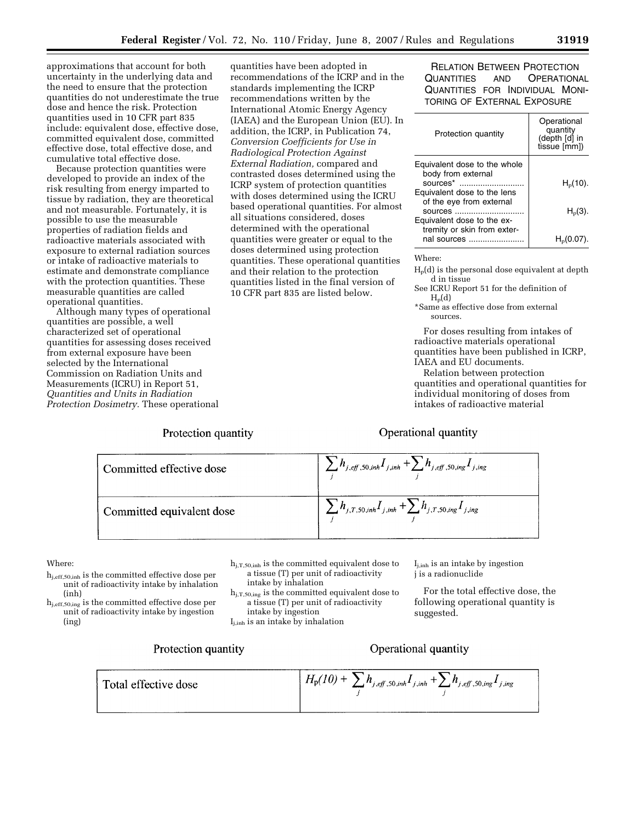approximations that account for both uncertainty in the underlying data and the need to ensure that the protection quantities do not underestimate the true dose and hence the risk. Protection quantities used in 10 CFR part 835 include: equivalent dose, effective dose, committed equivalent dose, committed effective dose, total effective dose, and cumulative total effective dose.

Because protection quantities were developed to provide an index of the risk resulting from energy imparted to tissue by radiation, they are theoretical and not measurable. Fortunately, it is possible to use the measurable properties of radiation fields and radioactive materials associated with exposure to external radiation sources or intake of radioactive materials to estimate and demonstrate compliance with the protection quantities. These measurable quantities are called operational quantities.

Although many types of operational quantities are possible, a well characterized set of operational quantities for assessing doses received from external exposure have been selected by the International Commission on Radiation Units and Measurements (ICRU) in Report 51, *Quantities and Units in Radiation Protection Dosimetry.* These operational

Protection quantity

quantities have been adopted in recommendations of the ICRP and in the standards implementing the ICRP recommendations written by the International Atomic Energy Agency (IAEA) and the European Union (EU). In addition, the ICRP, in Publication 74, *Conversion Coefficients for Use in Radiological Protection Against External Radiation,* compared and contrasted doses determined using the ICRP system of protection quantities with doses determined using the ICRU based operational quantities. For almost all situations considered, doses determined with the operational quantities were greater or equal to the doses determined using protection quantities. These operational quantities and their relation to the protection quantities listed in the final version of 10 CFR part 835 are listed below.

RELATION BETWEEN PROTECTION QUANTITIES AND OPERATIONAL QUANTITIES FOR INDIVIDUAL MONI-TORING OF EXTERNAL EXPOSURE

| Protection quantity                                            | Operational<br>quantity<br>(depth [d] in<br>tissue [mm]) |
|----------------------------------------------------------------|----------------------------------------------------------|
| Equivalent dose to the whole<br>body from external<br>sources* | $H_{p}(10)$ .                                            |
| Equivalent dose to the lens<br>of the eye from external        |                                                          |
| sources<br>Equivalent dose to the ex-                          | $Hp(3)$ .                                                |
| tremity or skin from exter-<br>nal sources                     |                                                          |

Where:

Hp(d) is the personal dose equivalent at depth d in tissue

See ICRU Report 51 for the definition of  $H_p(d)$ 

\*Same as effective dose from external sources.

For doses resulting from intakes of radioactive materials operational quantities have been published in ICRP, IAEA and EU documents.

Relation between protection quantities and operational quantities for individual monitoring of doses from intakes of radioactive material

## Operational quantity



### Where:

hj,eff,50,inh is the committed effective dose per unit of radioactivity intake by inhalation (inh)

hj,eff,50,ing is the committed effective dose per unit of radioactivity intake by ingestion (ing)

 $h_{j,T,50,inh}$  is the committed equivalent dose to a tissue (T) per unit of radioactivity intake by inhalation

hj,T,50,ing is the committed equivalent dose to a tissue (T) per unit of radioactivity intake by ingestion

Ij,inh is an intake by inhalation

 $I_{j,inh}$  is an intake by ingestion j is a radionuclide

For the total effective dose, the following operational quantity is suggested.

## Protection quantity

# Operational quantity

 $H_{\rm p}(10) + \sum_{j} h_{j.\text{eff},50,\text{inh}} I_{j,\text{inh}} + \sum_{j} h_{j.\text{eff},50,\text{ing}} I_{j,\text{ing}}$ Total effective dose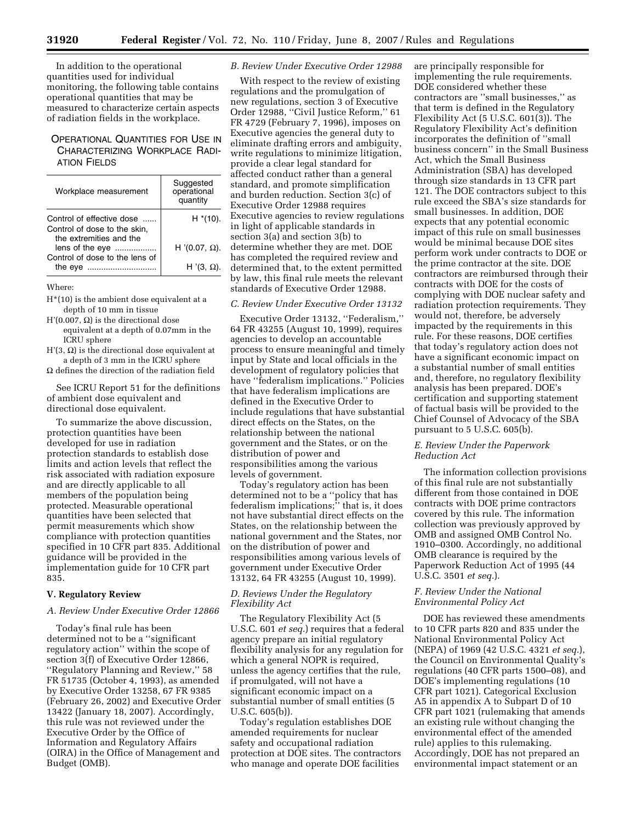In addition to the operational quantities used for individual monitoring, the following table contains operational quantities that may be measured to characterize certain aspects of radiation fields in the workplace.

## OPERATIONAL QUANTITIES FOR USE IN CHARACTERIZING WORKPLACE RADI-ATION FIELDS

| Workplace measurement                                                                | Suggested<br>operational<br>quantity |
|--------------------------------------------------------------------------------------|--------------------------------------|
| Control of effective dose<br>Control of dose to the skin,<br>the extremities and the | $H^*(10)$ .                          |
| lens of the eye                                                                      | H '(0.07, Ω).                        |
| Control of dose to the lens of<br>the eye                                            | H $'(3, \Omega)$ .                   |

Where:

- H\*(10) is the ambient dose equivalent at a depth of 10 mm in tissue
- H'(0.007,  $\Omega$ ) is the directional dose equivalent at a depth of 0.07mm in the ICRU sphere
- $H'(3, \Omega)$  is the directional dose equivalent at a depth of 3 mm in the ICRU sphere
- $\Omega$  defines the direction of the radiation field

See ICRU Report 51 for the definitions of ambient dose equivalent and directional dose equivalent.

To summarize the above discussion, protection quantities have been developed for use in radiation protection standards to establish dose limits and action levels that reflect the risk associated with radiation exposure and are directly applicable to all members of the population being protected. Measurable operational quantities have been selected that permit measurements which show compliance with protection quantities specified in 10 CFR part 835. Additional guidance will be provided in the implementation guide for 10 CFR part 835.

## **V. Regulatory Review**

### *A. Review Under Executive Order 12866*

Today's final rule has been determined not to be a ''significant regulatory action'' within the scope of section 3(f) of Executive Order 12866, ''Regulatory Planning and Review,'' 58 FR 51735 (October 4, 1993), as amended by Executive Order 13258, 67 FR 9385 (February 26, 2002) and Executive Order 13422 (January 18, 2007). Accordingly, this rule was not reviewed under the Executive Order by the Office of Information and Regulatory Affairs (OIRA) in the Office of Management and Budget (OMB).

### *B. Review Under Executive Order 12988*

With respect to the review of existing regulations and the promulgation of new regulations, section 3 of Executive Order 12988, ''Civil Justice Reform,'' 61 FR 4729 (February 7, 1996), imposes on Executive agencies the general duty to eliminate drafting errors and ambiguity, write regulations to minimize litigation, provide a clear legal standard for affected conduct rather than a general standard, and promote simplification and burden reduction. Section 3(c) of Executive Order 12988 requires Executive agencies to review regulations in light of applicable standards in section 3(a) and section 3(b) to determine whether they are met. DOE has completed the required review and determined that, to the extent permitted by law, this final rule meets the relevant standards of Executive Order 12988.

#### *C. Review Under Executive Order 13132*

Executive Order 13132, ''Federalism,'' 64 FR 43255 (August 10, 1999), requires agencies to develop an accountable process to ensure meaningful and timely input by State and local officials in the development of regulatory policies that have ''federalism implications.'' Policies that have federalism implications are defined in the Executive Order to include regulations that have substantial direct effects on the States, on the relationship between the national government and the States, or on the distribution of power and responsibilities among the various levels of government.

Today's regulatory action has been determined not to be a ''policy that has federalism implications;'' that is, it does not have substantial direct effects on the States, on the relationship between the national government and the States, nor on the distribution of power and responsibilities among various levels of government under Executive Order 13132, 64 FR 43255 (August 10, 1999).

## *D. Reviews Under the Regulatory Flexibility Act*

The Regulatory Flexibility Act (5 U.S.C. 601 *et seq.*) requires that a federal agency prepare an initial regulatory flexibility analysis for any regulation for which a general NOPR is required, unless the agency certifies that the rule, if promulgated, will not have a significant economic impact on a substantial number of small entities (5 U.S.C. 605(b)).

Today's regulation establishes DOE amended requirements for nuclear safety and occupational radiation protection at DOE sites. The contractors who manage and operate DOE facilities

are principally responsible for implementing the rule requirements. DOE considered whether these contractors are ''small businesses,'' as that term is defined in the Regulatory Flexibility Act (5 U.S.C. 601(3)). The Regulatory Flexibility Act's definition incorporates the definition of ''small business concern'' in the Small Business Act, which the Small Business Administration (SBA) has developed through size standards in 13 CFR part 121. The DOE contractors subject to this rule exceed the SBA's size standards for small businesses. In addition, DOE expects that any potential economic impact of this rule on small businesses would be minimal because DOE sites perform work under contracts to DOE or the prime contractor at the site. DOE contractors are reimbursed through their contracts with DOE for the costs of complying with DOE nuclear safety and radiation protection requirements. They would not, therefore, be adversely impacted by the requirements in this rule. For these reasons, DOE certifies that today's regulatory action does not have a significant economic impact on a substantial number of small entities and, therefore, no regulatory flexibility analysis has been prepared. DOE's certification and supporting statement of factual basis will be provided to the Chief Counsel of Advocacy of the SBA pursuant to 5 U.S.C. 605(b).

### *E. Review Under the Paperwork Reduction Act*

The information collection provisions of this final rule are not substantially different from those contained in DOE contracts with DOE prime contractors covered by this rule. The information collection was previously approved by OMB and assigned OMB Control No. 1910–0300. Accordingly, no additional OMB clearance is required by the Paperwork Reduction Act of 1995 (44 U.S.C. 3501 *et seq.*).

### *F. Review Under the National Environmental Policy Act*

DOE has reviewed these amendments to 10 CFR parts 820 and 835 under the National Environmental Policy Act (NEPA) of 1969 (42 U.S.C. 4321 *et seq.*), the Council on Environmental Quality's regulations (40 CFR parts 1500–08), and DOE's implementing regulations (10 CFR part 1021). Categorical Exclusion A5 in appendix A to Subpart D of 10 CFR part 1021 (rulemaking that amends an existing rule without changing the environmental effect of the amended rule) applies to this rulemaking. Accordingly, DOE has not prepared an environmental impact statement or an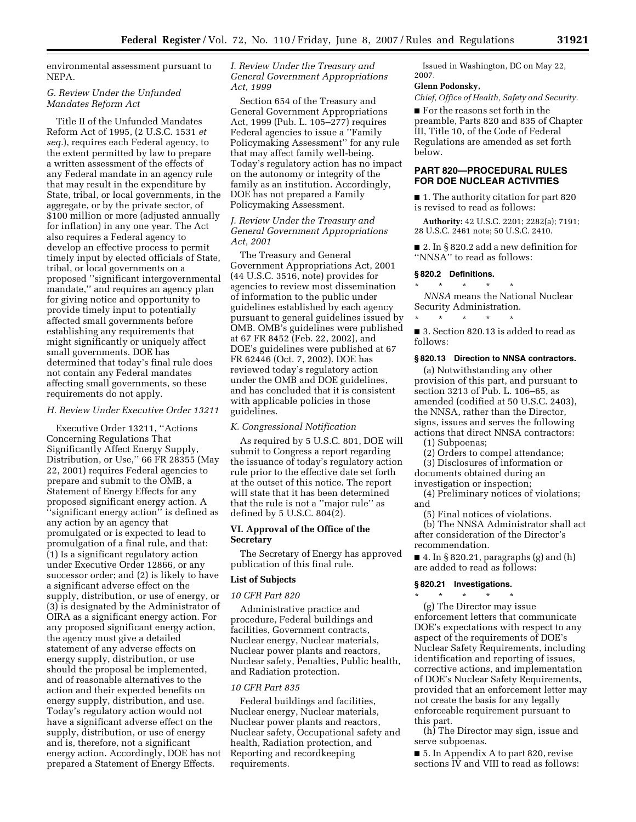environmental assessment pursuant to NEPA.

### *G. Review Under the Unfunded Mandates Reform Act*

Title II of the Unfunded Mandates Reform Act of 1995, (2 U.S.C. 1531 *et seq.*), requires each Federal agency, to the extent permitted by law to prepare a written assessment of the effects of any Federal mandate in an agency rule that may result in the expenditure by State, tribal, or local governments, in the aggregate, or by the private sector, of \$100 million or more (adjusted annually for inflation) in any one year. The Act also requires a Federal agency to develop an effective process to permit timely input by elected officials of State, tribal, or local governments on a proposed ''significant intergovernmental mandate,'' and requires an agency plan for giving notice and opportunity to provide timely input to potentially affected small governments before establishing any requirements that might significantly or uniquely affect small governments. DOE has determined that today's final rule does not contain any Federal mandates affecting small governments, so these requirements do not apply.

#### *H. Review Under Executive Order 13211*

Executive Order 13211, ''Actions Concerning Regulations That Significantly Affect Energy Supply, Distribution, or Use,'' 66 FR 28355 (May 22, 2001) requires Federal agencies to prepare and submit to the OMB, a Statement of Energy Effects for any proposed significant energy action. A ''significant energy action'' is defined as any action by an agency that promulgated or is expected to lead to promulgation of a final rule, and that: (1) Is a significant regulatory action under Executive Order 12866, or any successor order; and (2) is likely to have a significant adverse effect on the supply, distribution, or use of energy, or (3) is designated by the Administrator of OIRA as a significant energy action. For any proposed significant energy action, the agency must give a detailed statement of any adverse effects on energy supply, distribution, or use should the proposal be implemented, and of reasonable alternatives to the action and their expected benefits on energy supply, distribution, and use. Today's regulatory action would not have a significant adverse effect on the supply, distribution, or use of energy and is, therefore, not a significant energy action. Accordingly, DOE has not prepared a Statement of Energy Effects.

## *I. Review Under the Treasury and General Government Appropriations Act, 1999*

Section 654 of the Treasury and General Government Appropriations Act, 1999 (Pub. L. 105–277) requires Federal agencies to issue a ''Family Policymaking Assessment'' for any rule that may affect family well-being. Today's regulatory action has no impact on the autonomy or integrity of the family as an institution. Accordingly, DOE has not prepared a Family Policymaking Assessment.

## *J. Review Under the Treasury and General Government Appropriations Act, 2001*

The Treasury and General Government Appropriations Act, 2001 (44 U.S.C. 3516, note) provides for agencies to review most dissemination of information to the public under guidelines established by each agency pursuant to general guidelines issued by OMB. OMB's guidelines were published at 67 FR 8452 (Feb. 22, 2002), and DOE's guidelines were published at 67 FR 62446 (Oct. 7, 2002). DOE has reviewed today's regulatory action under the OMB and DOE guidelines, and has concluded that it is consistent with applicable policies in those guidelines.

#### *K. Congressional Notification*

As required by 5 U.S.C. 801, DOE will submit to Congress a report regarding the issuance of today's regulatory action rule prior to the effective date set forth at the outset of this notice. The report will state that it has been determined that the rule is not a ''major rule'' as defined by 5 U.S.C. 804(2).

### **VI. Approval of the Office of the Secretary**

The Secretary of Energy has approved publication of this final rule.

### **List of Subjects**

### *10 CFR Part 820*

Administrative practice and procedure, Federal buildings and facilities, Government contracts, Nuclear energy, Nuclear materials, Nuclear power plants and reactors, Nuclear safety, Penalties, Public health, and Radiation protection.

#### *10 CFR Part 835*

Federal buildings and facilities, Nuclear energy, Nuclear materials, Nuclear power plants and reactors, Nuclear safety, Occupational safety and health, Radiation protection, and Reporting and recordkeeping requirements.

Issued in Washington, DC on May 22, 2007.

#### **Glenn Podonsky,**

*Chief, Office of Health, Safety and Security.* 

■ For the reasons set forth in the preamble, Parts 820 and 835 of Chapter III, Title 10, of the Code of Federal Regulations are amended as set forth below.

## **PART 820—PROCEDURAL RULES FOR DOE NUCLEAR ACTIVITIES**

■ 1. The authority citation for part 820 is revised to read as follows:

**Authority:** 42 U.S.C. 2201; 2282(a); 7191; 28 U.S.C. 2461 note; 50 U.S.C. 2410.

■ 2. In § 820.2 add a new definition for ''NNSA'' to read as follows:

#### **§ 820.2 Definitions.**

\* \* \* \* \*

\* \* \* \* \* *NNSA* means the National Nuclear Security Administration.

■ 3. Section 820.13 is added to read as follows:

### **§ 820.13 Direction to NNSA contractors.**

(a) Notwithstanding any other provision of this part, and pursuant to section 3213 of Pub. L. 106–65, as amended (codified at 50 U.S.C. 2403), the NNSA, rather than the Director, signs, issues and serves the following actions that direct NNSA contractors:

(1) Subpoenas;

(2) Orders to compel attendance;

(3) Disclosures of information or documents obtained during an

investigation or inspection; (4) Preliminary notices of violations; and

(5) Final notices of violations.

(b) The NNSA Administrator shall act after consideration of the Director's recommendation.

 $\blacksquare$  4. In § 820.21, paragraphs (g) and (h) are added to read as follows:

#### **§ 820.21 Investigations.**

\* \* \* \* \* (g) The Director may issue enforcement letters that communicate DOE's expectations with respect to any aspect of the requirements of DOE's Nuclear Safety Requirements, including identification and reporting of issues, corrective actions, and implementation of DOE's Nuclear Safety Requirements, provided that an enforcement letter may not create the basis for any legally enforceable requirement pursuant to this part.

(h) The Director may sign, issue and serve subpoenas.

■ 5. In Appendix A to part 820, revise sections IV and VIII to read as follows: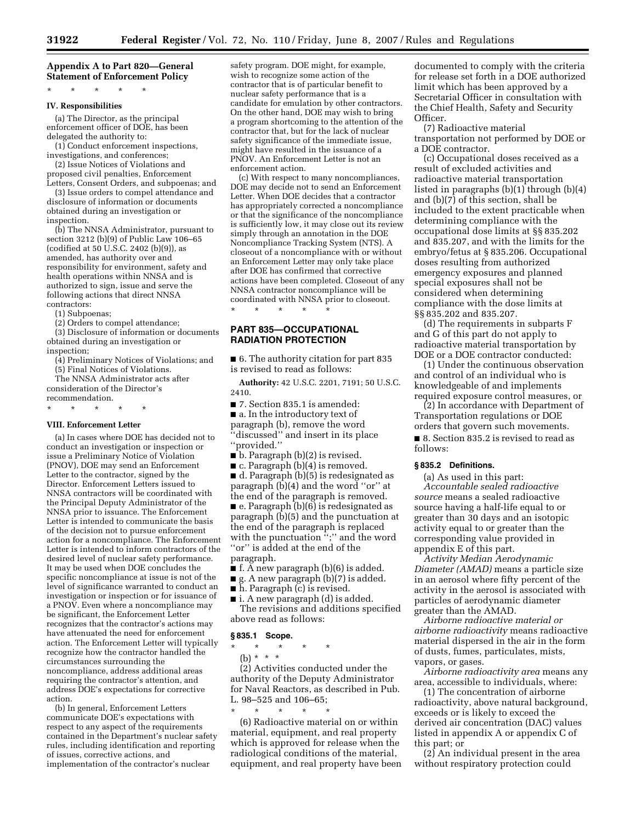## **Appendix A to Part 820—General Statement of Enforcement Policy**

\* \* \* \* \*

#### **IV. Responsibilities**

(a) The Director, as the principal enforcement officer of DOE, has been delegated the authority to:

(1) Conduct enforcement inspections, investigations, and conferences;

(2) Issue Notices of Violations and proposed civil penalties, Enforcement Letters, Consent Orders, and subpoenas; and

(3) Issue orders to compel attendance and disclosure of information or documents obtained during an investigation or inspection.

(b) The NNSA Administrator, pursuant to section 3212 (b)(9) of Public Law 106–65 (codified at 50 U.S.C. 2402 (b)(9)), as amended, has authority over and responsibility for environment, safety and health operations within NNSA and is authorized to sign, issue and serve the following actions that direct NNSA contractors:

(1) Subpoenas;

(2) Orders to compel attendance;

(3) Disclosure of information or documents obtained during an investigation or

inspection;

(4) Preliminary Notices of Violations; and (5) Final Notices of Violations.

The NNSA Administrator acts after consideration of the Director's

recommendation.

## \* \* \* \* \* **VIII. Enforcement Letter**

(a) In cases where DOE has decided not to conduct an investigation or inspection or issue a Preliminary Notice of Violation (PNOV), DOE may send an Enforcement Letter to the contractor, signed by the Director. Enforcement Letters issued to NNSA contractors will be coordinated with the Principal Deputy Administrator of the NNSA prior to issuance. The Enforcement Letter is intended to communicate the basis of the decision not to pursue enforcement action for a noncompliance. The Enforcement Letter is intended to inform contractors of the desired level of nuclear safety performance. It may be used when DOE concludes the specific noncompliance at issue is not of the level of significance warranted to conduct an investigation or inspection or for issuance of a PNOV. Even where a noncompliance may be significant, the Enforcement Letter recognizes that the contractor's actions may have attenuated the need for enforcement action. The Enforcement Letter will typically recognize how the contractor handled the circumstances surrounding the noncompliance, address additional areas requiring the contractor's attention, and address DOE's expectations for corrective action.

(b) In general, Enforcement Letters communicate DOE's expectations with respect to any aspect of the requirements contained in the Department's nuclear safety rules, including identification and reporting of issues, corrective actions, and implementation of the contractor's nuclear

safety program. DOE might, for example, wish to recognize some action of the contractor that is of particular benefit to nuclear safety performance that is a candidate for emulation by other contractors. On the other hand, DOE may wish to bring a program shortcoming to the attention of the contractor that, but for the lack of nuclear safety significance of the immediate issue, might have resulted in the issuance of a PNOV. An Enforcement Letter is not an enforcement action.

(c) With respect to many noncompliances, DOE may decide not to send an Enforcement Letter. When DOE decides that a contractor has appropriately corrected a noncompliance or that the significance of the noncompliance is sufficiently low, it may close out its review simply through an annotation in the DOE Noncompliance Tracking System (NTS). A closeout of a noncompliance with or without an Enforcement Letter may only take place after DOE has confirmed that corrective actions have been completed. Closeout of any NNSA contractor noncompliance will be coordinated with NNSA prior to closeout.

# **PART 835—OCCUPATIONAL RADIATION PROTECTION**

\* \* \* \* \*

■ 6. The authority citation for part 835 is revised to read as follows:

**Authority:** 42 U.S.C. 2201, 7191; 50 U.S.C. 2410.

■ 7. Section 835.1 is amended:

■ a. In the introductory text of paragraph (b), remove the word ''discussed'' and insert in its place ''provided.''

■ b. Paragraph (b)(2) is revised.

 $\blacksquare$  c. Paragraph (b)(4) is removed.

■ d. Paragraph (b)(5) is redesignated as paragraph (b)(4) and the word ''or'' at the end of the paragraph is removed.

 $\blacksquare$  e. Paragraph (b)(6) is redesignated as paragraph (b)(5) and the punctuation at the end of the paragraph is replaced with the punctuation ";" and the word ''or'' is added at the end of the paragraph.

■ f. A new paragraph (b)(6) is added.

■ g. A new paragraph (b)(7) is added.

■ h. Paragraph (c) is revised.

■ i. A new paragraph (d) is added.

The revisions and additions specified above read as follows:

#### **§ 835.1 Scope.**

- \* \* \* \* \*
- (b) \* \* \*

(2) Activities conducted under the authority of the Deputy Administrator for Naval Reactors, as described in Pub. L. 98–525 and 106–65;

\* \* \* \* \* (6) Radioactive material on or within material, equipment, and real property which is approved for release when the radiological conditions of the material, equipment, and real property have been

documented to comply with the criteria for release set forth in a DOE authorized limit which has been approved by a Secretarial Officer in consultation with the Chief Health, Safety and Security Officer.

(7) Radioactive material transportation not performed by DOE or a DOE contractor.

(c) Occupational doses received as a result of excluded activities and radioactive material transportation listed in paragraphs (b)(1) through (b)(4) and (b)(7) of this section, shall be included to the extent practicable when determining compliance with the occupational dose limits at §§ 835.202 and 835.207, and with the limits for the embryo/fetus at § 835.206. Occupational doses resulting from authorized emergency exposures and planned special exposures shall not be considered when determining compliance with the dose limits at §§ 835.202 and 835.207.

(d) The requirements in subparts F and G of this part do not apply to radioactive material transportation by DOE or a DOE contractor conducted:

(1) Under the continuous observation and control of an individual who is knowledgeable of and implements required exposure control measures, or

(2) In accordance with Department of Transportation regulations or DOE orders that govern such movements.

■ 8. Section 835.2 is revised to read as follows:

## **§ 835.2 Definitions.**

(a) As used in this part: *Accountable sealed radioactive source* means a sealed radioactive source having a half-life equal to or greater than 30 days and an isotopic activity equal to or greater than the corresponding value provided in appendix E of this part.

*Activity Median Aerodynamic Diameter (AMAD)* means a particle size in an aerosol where fifty percent of the activity in the aerosol is associated with particles of aerodynamic diameter greater than the AMAD.

*Airborne radioactive material or airborne radioactivity* means radioactive material dispersed in the air in the form of dusts, fumes, particulates, mists, vapors, or gases.

*Airborne radioactivity area* means any area, accessible to individuals, where:

(1) The concentration of airborne radioactivity, above natural background, exceeds or is likely to exceed the derived air concentration (DAC) values listed in appendix A or appendix C of this part; or

(2) An individual present in the area without respiratory protection could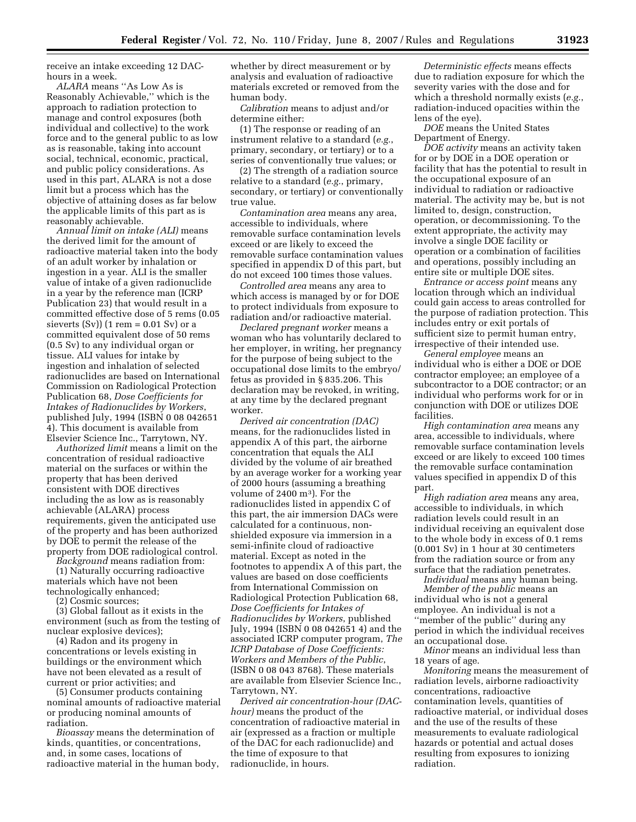receive an intake exceeding 12 DAChours in a week.

*ALARA* means ''As Low As is Reasonably Achievable,'' which is the approach to radiation protection to manage and control exposures (both individual and collective) to the work force and to the general public to as low as is reasonable, taking into account social, technical, economic, practical, and public policy considerations. As used in this part, ALARA is not a dose limit but a process which has the objective of attaining doses as far below the applicable limits of this part as is reasonably achievable.

*Annual limit on intake (ALI)* means the derived limit for the amount of radioactive material taken into the body of an adult worker by inhalation or ingestion in a year. ALI is the smaller value of intake of a given radionuclide in a year by the reference man (ICRP Publication 23) that would result in a committed effective dose of 5 rems (0.05 sieverts  $(Sv)$ ) (1 rem = 0.01 Sv) or a committed equivalent dose of 50 rems (0.5 Sv) to any individual organ or tissue. ALI values for intake by ingestion and inhalation of selected radionuclides are based on International Commission on Radiological Protection Publication 68, *Dose Coefficients for Intakes of Radionuclides by Workers*, published July, 1994 (ISBN 0 08 042651 4). This document is available from Elsevier Science Inc., Tarrytown, NY.

*Authorized limit* means a limit on the concentration of residual radioactive material on the surfaces or within the property that has been derived consistent with DOE directives including the as low as is reasonably achievable (ALARA) process requirements, given the anticipated use of the property and has been authorized by DOE to permit the release of the property from DOE radiological control.

*Background* means radiation from: (1) Naturally occurring radioactive materials which have not been technologically enhanced;

(2) Cosmic sources;

(3) Global fallout as it exists in the environment (such as from the testing of nuclear explosive devices);

(4) Radon and its progeny in concentrations or levels existing in buildings or the environment which have not been elevated as a result of current or prior activities; and

(5) Consumer products containing nominal amounts of radioactive material or producing nominal amounts of radiation.

*Bioassay* means the determination of kinds, quantities, or concentrations, and, in some cases, locations of radioactive material in the human body, whether by direct measurement or by analysis and evaluation of radioactive materials excreted or removed from the human body.

*Calibration* means to adjust and/or determine either:

(1) The response or reading of an instrument relative to a standard (*e.g.*, primary, secondary, or tertiary) or to a series of conventionally true values; or

(2) The strength of a radiation source relative to a standard (*e.g.*, primary, secondary, or tertiary) or conventionally true value.

*Contamination area* means any area, accessible to individuals, where removable surface contamination levels exceed or are likely to exceed the removable surface contamination values specified in appendix D of this part, but do not exceed 100 times those values.

*Controlled area* means any area to which access is managed by or for DOE to protect individuals from exposure to radiation and/or radioactive material.

*Declared pregnant worker* means a woman who has voluntarily declared to her employer, in writing, her pregnancy for the purpose of being subject to the occupational dose limits to the embryo/ fetus as provided in § 835.206. This declaration may be revoked, in writing, at any time by the declared pregnant worker.

*Derived air concentration (DAC)*  means, for the radionuclides listed in appendix A of this part, the airborne concentration that equals the ALI divided by the volume of air breathed by an average worker for a working year of 2000 hours (assuming a breathing volume of 2400 m3). For the radionuclides listed in appendix C of this part, the air immersion DACs were calculated for a continuous, nonshielded exposure via immersion in a semi-infinite cloud of radioactive material. Except as noted in the footnotes to appendix A of this part, the values are based on dose coefficients from International Commission on Radiological Protection Publication 68, *Dose Coefficients for Intakes of Radionuclides by Workers*, published July, 1994 (ISBN 0 08 042651 4) and the associated ICRP computer program, *The ICRP Database of Dose Coefficients: Workers and Members of the Public*, (ISBN 0 08 043 8768). These materials are available from Elsevier Science Inc., Tarrytown, NY.

*Derived air concentration-hour (DAChour)* means the product of the concentration of radioactive material in air (expressed as a fraction or multiple of the DAC for each radionuclide) and the time of exposure to that radionuclide, in hours.

*Deterministic effects* means effects due to radiation exposure for which the severity varies with the dose and for which a threshold normally exists (*e.g.*, radiation-induced opacities within the lens of the eye).

*DOE* means the United States Department of Energy.

*DOE activity* means an activity taken for or by DOE in a DOE operation or facility that has the potential to result in the occupational exposure of an individual to radiation or radioactive material. The activity may be, but is not limited to, design, construction, operation, or decommissioning. To the extent appropriate, the activity may involve a single DOE facility or operation or a combination of facilities and operations, possibly including an entire site or multiple DOE sites.

*Entrance or access point* means any location through which an individual could gain access to areas controlled for the purpose of radiation protection. This includes entry or exit portals of sufficient size to permit human entry, irrespective of their intended use.

*General employee* means an individual who is either a DOE or DOE contractor employee; an employee of a subcontractor to a DOE contractor; or an individual who performs work for or in conjunction with DOE or utilizes DOE facilities.

*High contamination area* means any area, accessible to individuals, where removable surface contamination levels exceed or are likely to exceed 100 times the removable surface contamination values specified in appendix D of this part.

*High radiation area* means any area, accessible to individuals, in which radiation levels could result in an individual receiving an equivalent dose to the whole body in excess of 0.1 rems (0.001 Sv) in 1 hour at 30 centimeters from the radiation source or from any surface that the radiation penetrates.

*Individual* means any human being. *Member of the public* means an individual who is not a general employee. An individual is not a ''member of the public'' during any period in which the individual receives an occupational dose.

*Minor* means an individual less than 18 years of age.

*Monitoring* means the measurement of radiation levels, airborne radioactivity concentrations, radioactive contamination levels, quantities of radioactive material, or individual doses and the use of the results of these measurements to evaluate radiological hazards or potential and actual doses resulting from exposures to ionizing radiation.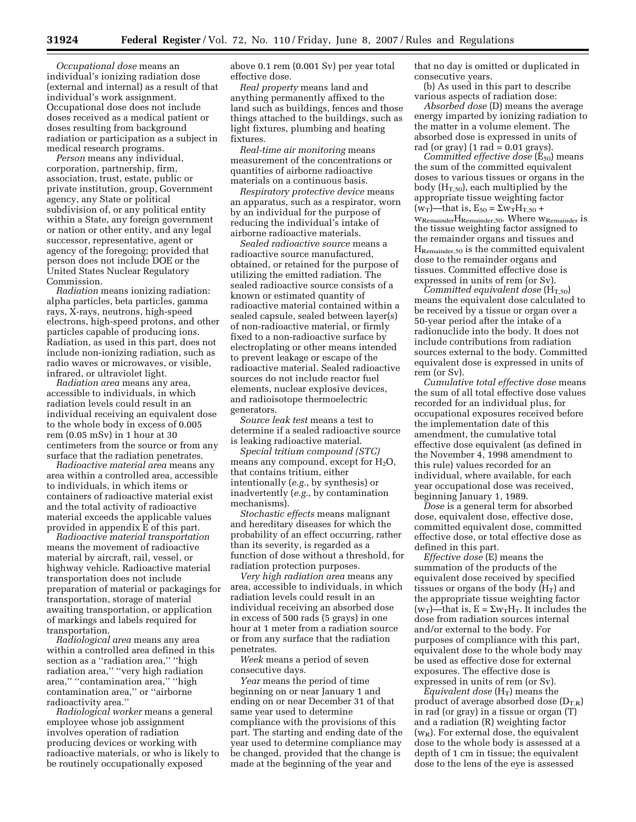*Occupational dose* means an individual's ionizing radiation dose (external and internal) as a result of that individual's work assignment. Occupational dose does not include doses received as a medical patient or doses resulting from background radiation or participation as a subject in medical research programs.

*Person* means any individual, corporation, partnership, firm, association, trust, estate, public or private institution, group, Government agency, any State or political subdivision of, or any political entity within a State, any foreign government or nation or other entity, and any legal successor, representative, agent or agency of the foregoing; provided that person does not include DOE or the United States Nuclear Regulatory Commission.

*Radiation* means ionizing radiation: alpha particles, beta particles, gamma rays, X-rays, neutrons, high-speed electrons, high-speed protons, and other particles capable of producing ions. Radiation, as used in this part, does not include non-ionizing radiation, such as radio waves or microwaves, or visible, infrared, or ultraviolet light.

*Radiation area* means any area, accessible to individuals, in which radiation levels could result in an individual receiving an equivalent dose to the whole body in excess of 0.005 rem (0.05 mSv) in 1 hour at 30 centimeters from the source or from any surface that the radiation penetrates.

*Radioactive material area* means any area within a controlled area, accessible to individuals, in which items or containers of radioactive material exist and the total activity of radioactive material exceeds the applicable values provided in appendix E of this part.

*Radioactive material transportation*  means the movement of radioactive material by aircraft, rail, vessel, or highway vehicle. Radioactive material transportation does not include preparation of material or packagings for transportation, storage of material awaiting transportation, or application of markings and labels required for transportation.

*Radiological area* means any area within a controlled area defined in this section as a ''radiation area,'' ''high radiation area,'' ''very high radiation area,'' ''contamination area,'' ''high contamination area,'' or ''airborne radioactivity area.''

*Radiological worker* means a general employee whose job assignment involves operation of radiation producing devices or working with radioactive materials, or who is likely to be routinely occupationally exposed

above 0.1 rem (0.001 Sv) per year total effective dose.

*Real property* means land and anything permanently affixed to the land such as buildings, fences and those things attached to the buildings, such as light fixtures, plumbing and heating fixtures.

*Real-time air monitoring* means measurement of the concentrations or quantities of airborne radioactive materials on a continuous basis.

*Respiratory protective device* means an apparatus, such as a respirator, worn by an individual for the purpose of reducing the individual's intake of airborne radioactive materials.

*Sealed radioactive source* means a radioactive source manufactured, obtained, or retained for the purpose of utilizing the emitted radiation. The sealed radioactive source consists of a known or estimated quantity of radioactive material contained within a sealed capsule, sealed between layer(s) of non-radioactive material, or firmly fixed to a non-radioactive surface by electroplating or other means intended to prevent leakage or escape of the radioactive material. Sealed radioactive sources do not include reactor fuel elements, nuclear explosive devices, and radioisotope thermoelectric generators.

*Source leak test* means a test to determine if a sealed radioactive source is leaking radioactive material.

*Special tritium compound (STC)*  means any compound, except for  $H_2O$ , that contains tritium, either intentionally (*e.g.*, by synthesis) or inadvertently (*e.g.*, by contamination mechanisms).

*Stochastic effects* means malignant and hereditary diseases for which the probability of an effect occurring, rather than its severity, is regarded as a function of dose without a threshold, for radiation protection purposes.

*Very high radiation area* means any area, accessible to individuals, in which radiation levels could result in an individual receiving an absorbed dose in excess of 500 rads (5 grays) in one hour at 1 meter from a radiation source or from any surface that the radiation penetrates.

*Week* means a period of seven consecutive days.

*Year* means the period of time beginning on or near January 1 and ending on or near December 31 of that same year used to determine compliance with the provisions of this part. The starting and ending date of the year used to determine compliance may be changed, provided that the change is made at the beginning of the year and

that no day is omitted or duplicated in consecutive years.

(b) As used in this part to describe various aspects of radiation dose:

*Absorbed dose* (D) means the average energy imparted by ionizing radiation to the matter in a volume element. The absorbed dose is expressed in units of rad (or gray)  $(1 \text{ rad} = 0.01 \text{ gray})$ .

*Committed effective dose* (E<sub>50</sub>) means the sum of the committed equivalent doses to various tissues or organs in the body  $(H<sub>T,50</sub>)$ , each multiplied by the appropriate tissue weighting factor  $(w_T)$ —that is,  $E_{50} = \Sigma w_T H_{T,50} +$ wRemainderHRemainder,50. Where wRemainder is the tissue weighting factor assigned to the remainder organs and tissues and  $\mathbf{H}_{\text{Remainder},50}$  is the committed equivalent dose to the remainder organs and tissues. Committed effective dose is expressed in units of rem (or Sv).

 $\bar{C}$ *committed equivalent dose* (H<sub>T,50</sub>) means the equivalent dose calculated to be received by a tissue or organ over a 50-year period after the intake of a radionuclide into the body. It does not include contributions from radiation sources external to the body. Committed equivalent dose is expressed in units of rem (or Sv).

*Cumulative total effective dose* means the sum of all total effective dose values recorded for an individual plus, for occupational exposures received before the implementation date of this amendment, the cumulative total effective dose equivalent (as defined in the November 4, 1998 amendment to this rule) values recorded for an individual, where available, for each year occupational dose was received, beginning January 1, 1989.

*Dose* is a general term for absorbed dose, equivalent dose, effective dose, committed equivalent dose, committed effective dose, or total effective dose as defined in this part.

*Effective dose* (E) means the summation of the products of the equivalent dose received by specified tissues or organs of the body  $(H_T)$  and the appropriate tissue weighting factor  $(w_T)$ —that is,  $E = \Sigma w_T H_T$ . It includes the dose from radiation sources internal and/or external to the body. For purposes of compliance with this part, equivalent dose to the whole body may be used as effective dose for external exposures. The effective dose is expressed in units of rem (or Sv).

*Equivalent dose*  $(H_T)$  means the product of average absorbed dose  $(D_{T,R})$ in rad (or gray) in a tissue or organ (T) and a radiation (R) weighting factor  $(w_R)$ . For external dose, the equivalent dose to the whole body is assessed at a depth of 1 cm in tissue; the equivalent dose to the lens of the eye is assessed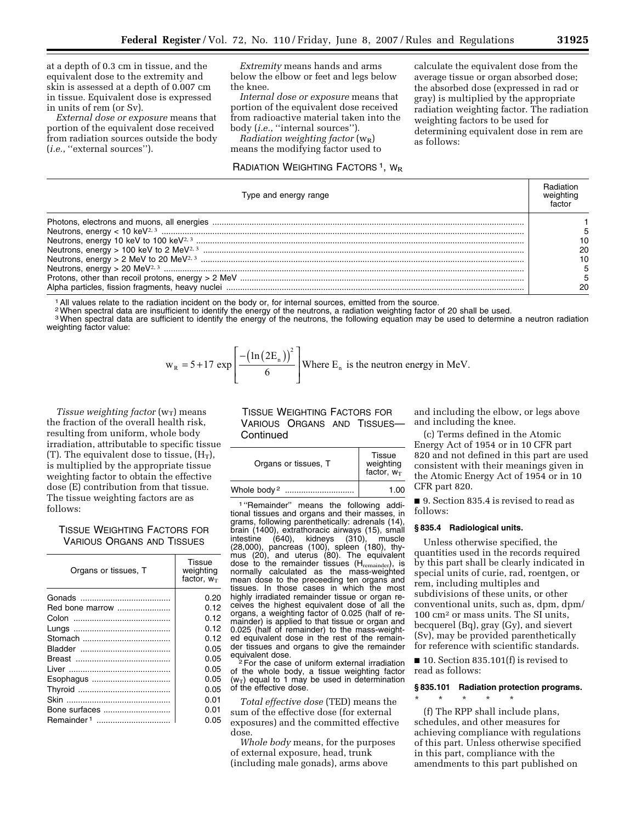at a depth of 0.3 cm in tissue, and the equivalent dose to the extremity and skin is assessed at a depth of 0.007 cm in tissue. Equivalent dose is expressed in units of rem (or Sv).

*External dose or exposure* means that portion of the equivalent dose received from radiation sources outside the body (*i.e.*, ''external sources'').

*Extremity* means hands and arms below the elbow or feet and legs below the knee.

*Internal dose or exposure* means that portion of the equivalent dose received from radioactive material taken into the body (*i.e.*, ''internal sources'').

*Radiation weighting factor* (w<sub>R</sub>) means the modifying factor used to

## RADIATION WEIGHTING FACTORS<sup>1</sup>, W<sub>R</sub>

calculate the equivalent dose from the average tissue or organ absorbed dose; the absorbed dose (expressed in rad or gray) is multiplied by the appropriate radiation weighting factor. The radiation weighting factors to be used for determining equivalent dose in rem are as follows:

| Type and energy range |  |  |  |  |
|-----------------------|--|--|--|--|
|                       |  |  |  |  |
|                       |  |  |  |  |
|                       |  |  |  |  |
|                       |  |  |  |  |
|                       |  |  |  |  |
|                       |  |  |  |  |
|                       |  |  |  |  |
|                       |  |  |  |  |

1All values relate to the radiation incident on the body or, for internal sources, emitted from the source.

<sup>2</sup> When spectral data are insufficient to identify the energy of the neutrons, a radiation weighting factor of 20 shall be used.

<sup>3</sup> When spectral data are sufficient to identify the energy of the neutrons, the following equation may be used to determine a neutron radiation weighting factor value:

$$
w_R = 5 + 17 \exp\left[\frac{-\left(\ln(2E_n)\right)^2}{6}\right]
$$
 Where E<sub>n</sub> is the neutron energy in MeV.

*Tissue weighting factor*  $(w_T)$  means the fraction of the overall health risk, resulting from uniform, whole body irradiation, attributable to specific tissue (T). The equivalent dose to tissue,  $(H_T)$ , is multiplied by the appropriate tissue weighting factor to obtain the effective dose (E) contribution from that tissue. The tissue weighting factors are as follows:

TISSUE WEIGHTING FACTORS FOR VARIOUS ORGANS AND TISSUES

| Organs or tissues, T   | Tissue<br>weighting<br>factor, $w_T$ |
|------------------------|--------------------------------------|
|                        | 0.20                                 |
| Red bone marrow        | 0.12                                 |
|                        | 0.12                                 |
|                        | 0.12                                 |
|                        | 0.12                                 |
|                        | 0.05                                 |
|                        | 0.05                                 |
|                        | 0.05                                 |
|                        | 0.05                                 |
|                        | 0.05                                 |
|                        | 0.01                                 |
| Bone surfaces          | 0.01                                 |
| Remainder <sup>1</sup> | 0.05                                 |

TISSUE WEIGHTING FACTORS FOR VARIOUS ORGANS AND TISSUES— Continued

| Organs or tissues, T        | Tissue<br>weighting<br>factor, $w_T$ |
|-----------------------------|--------------------------------------|
| Whole body <sup>2</sup><br> | 1.00                                 |
|                             |                                      |

1 ''Remainder'' means the following additional tissues and organs and their masses, in grams, following parenthetically: adrenals (14), brain (1400), extrathoracic airways (15), small intestine (640), kidneys (310), muscle (28,000), pancreas (100), spleen (180), thymus (20), and uterus (80). The equivalent dose to the remainder tissues  $(H_{remainder})$ , is normally calculated as the mass-weighted mean dose to the preceeding ten organs and tissues. In those cases in which the most highly irradiated remainder tissue or organ receives the highest equivalent dose of all the organs, a weighting factor of 0.025 (half of remainder) is applied to that tissue or organ and 0.025 (half of remainder) to the mass-weighted equivalent dose in the rest of the remainder tissues and organs to give the remainder<br>equivalent dose.<br> $2\text{ For the case of uniform interval in the direction.}$ 

For the case of uniform external irradiation of the whole body, a tissue weighting factor  $(w_T)$  equal to 1 may be used in determination of the effective dose.

*Total effective dose* (TED) means the sum of the effective dose (for external exposures) and the committed effective dose.

*Whole body* means, for the purposes of external exposure, head, trunk (including male gonads), arms above

and including the elbow, or legs above and including the knee.

(c) Terms defined in the Atomic Energy Act of 1954 or in 10 CFR part 820 and not defined in this part are used consistent with their meanings given in the Atomic Energy Act of 1954 or in 10 CFR part 820.

■ 9. Section 835.4 is revised to read as follows:

#### **§ 835.4 Radiological units.**

Unless otherwise specified, the quantities used in the records required by this part shall be clearly indicated in special units of curie, rad, roentgen, or rem, including multiples and subdivisions of these units, or other conventional units, such as, dpm, dpm/ 100 cm2 or mass units. The SI units, becquerel (Bq), gray (Gy), and sievert (Sv), may be provided parenthetically for reference with scientific standards.

■ 10. Section 835.101(f) is revised to read as follows:

### **§ 835.101 Radiation protection programs.**

\* \* \* \* \* (f) The RPP shall include plans, schedules, and other measures for achieving compliance with regulations of this part. Unless otherwise specified in this part, compliance with the amendments to this part published on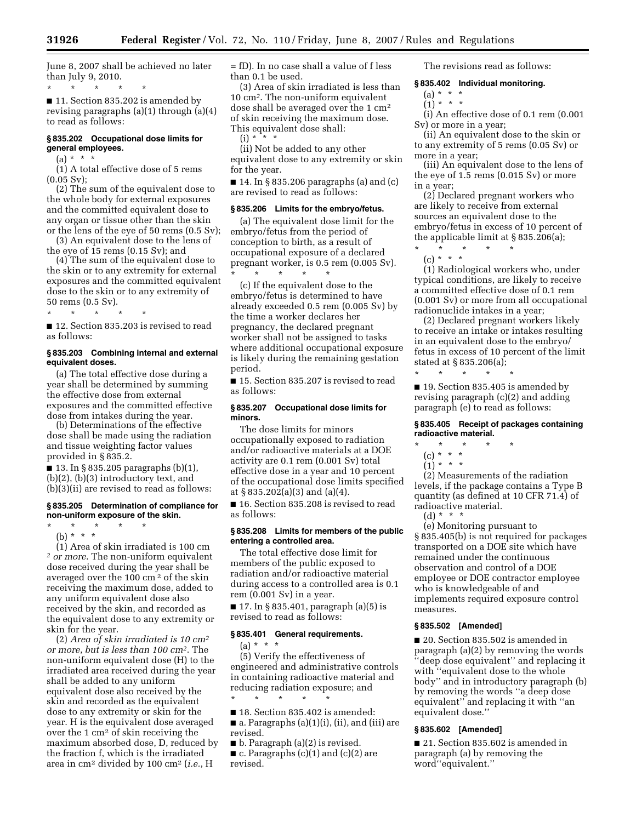June 8, 2007 shall be achieved no later than July 9, 2010.

\* \* \* \* \* ■ 11. Section 835.202 is amended by revising paragraphs (a)(1) through (a)(4)

## **§ 835.202 Occupational dose limits for general employees.**

 $(a) * * * *$ 

to read as follows:

 $(1)$  A total effective dose of 5 rems  $(0.05 Sv);$ 

(2) The sum of the equivalent dose to the whole body for external exposures and the committed equivalent dose to any organ or tissue other than the skin or the lens of the eye of 50 rems (0.5 Sv);

(3) An equivalent dose to the lens of the eye of 15 rems (0.15 Sv); and

(4) The sum of the equivalent dose to the skin or to any extremity for external exposures and the committed equivalent dose to the skin or to any extremity of 50 rems (0.5 Sv).

\* \* \* \* \* ■ 12. Section 835.203 is revised to read

as follows:

### **§ 835.203 Combining internal and external equivalent doses.**

(a) The total effective dose during a year shall be determined by summing the effective dose from external exposures and the committed effective dose from intakes during the year.

(b) Determinations of the effective dose shall be made using the radiation and tissue weighting factor values provided in § 835.2.

 $\blacksquare$  13. In § 835.205 paragraphs (b)(1), (b)(2), (b)(3) introductory text, and (b)(3)(ii) are revised to read as follows:

#### **§ 835.205 Determination of compliance for non-uniform exposure of the skin.**

\* \* \* \* \* (b) \* \* \*

(1) Area of skin irradiated is 100 cm *2 or more*. The non-uniform equivalent dose received during the year shall be averaged over the 100 cm 2 of the skin receiving the maximum dose, added to any uniform equivalent dose also received by the skin, and recorded as the equivalent dose to any extremity or skin for the year.

(2) *Area of skin irradiated is 10 cm2 or more*, *but is less than 100 cm2*. The non-uniform equivalent dose (H) to the irradiated area received during the year shall be added to any uniform equivalent dose also received by the skin and recorded as the equivalent dose to any extremity or skin for the year. H is the equivalent dose averaged over the 1 cm2 of skin receiving the maximum absorbed dose, D, reduced by the fraction f, which is the irradiated area in cm2 divided by 100 cm2 (*i.e.*, H

= fD). In no case shall a value of f less than 0.1 be used.

(3) Area of skin irradiated is less than 10 cm*2*. The non-uniform equivalent dose shall be averaged over the 1 cm2 of skin receiving the maximum dose. This equivalent dose shall:

 $(i) * * * *$ 

(ii) Not be added to any other equivalent dose to any extremity or skin for the year.

■ 14. In § 835.206 paragraphs (a) and (c) are revised to read as follows:

### **§ 835.206 Limits for the embryo/fetus.**

(a) The equivalent dose limit for the embryo/fetus from the period of conception to birth, as a result of occupational exposure of a declared pregnant worker, is 0.5 rem (0.005 Sv). \* \* \* \* \*

(c) If the equivalent dose to the embryo/fetus is determined to have already exceeded 0.5 rem (0.005 Sv) by the time a worker declares her pregnancy, the declared pregnant worker shall not be assigned to tasks where additional occupational exposure is likely during the remaining gestation period.

■ 15. Section 835.207 is revised to read as follows:

### **§ 835.207 Occupational dose limits for minors.**

The dose limits for minors occupationally exposed to radiation and/or radioactive materials at a DOE activity are 0.1 rem (0.001 Sv) total effective dose in a year and 10 percent of the occupational dose limits specified at § 835.202(a)(3) and (a)(4).

■ 16. Section 835.208 is revised to read as follows:

### **§ 835.208 Limits for members of the public entering a controlled area.**

The total effective dose limit for members of the public exposed to radiation and/or radioactive material during access to a controlled area is 0.1 rem (0.001 Sv) in a year.

■ 17. In § 835.401, paragraph (a)(5) is revised to read as follows:

# **§ 835.401 General requirements.**

 $(a) * * * *$ (5) Verify the effectiveness of engineered and administrative controls in containing radioactive material and reducing radiation exposure; and

\* \* \* \* \*

■ 18. Section 835.402 is amended:  $\blacksquare$  a. Paragraphs (a)(1)(i), (ii), and (iii) are revised.

■ b. Paragraph (a)(2) is revised. ■ c. Paragraphs (c)(1) and (c)(2) are revised.

The revisions read as follows:

### **§ 835.402 Individual monitoring.**

 $(a) * * * *$  $(1) * * * *$ 

(i) An effective dose of 0.1 rem (0.001 Sv) or more in a year;

(ii) An equivalent dose to the skin or to any extremity of 5 rems (0.05 Sv) or more in a year;

(iii) An equivalent dose to the lens of the eye of 1.5 rems (0.015 Sv) or more in a year;

(2) Declared pregnant workers who are likely to receive from external sources an equivalent dose to the embryo/fetus in excess of 10 percent of the applicable limit at § 835.206(a);

\* \* \* \* \* (c) \* \* \*

(1) Radiological workers who, under typical conditions, are likely to receive a committed effective dose of 0.1 rem (0.001 Sv) or more from all occupational radionuclide intakes in a year;

(2) Declared pregnant workers likely to receive an intake or intakes resulting in an equivalent dose to the embryo/ fetus in excess of 10 percent of the limit stated at § 835.206(a);

\* \* \* \* \* ■ 19. Section 835.405 is amended by revising paragraph (c)(2) and adding paragraph (e) to read as follows:

### **§ 835.405 Receipt of packages containing radioactive material.**

- \* \* \* \* \*
	- (c) \* \* \*
	- $(1) * * * *$

(2) Measurements of the radiation levels, if the package contains a Type B quantity (as defined at 10 CFR 71.4) of radioactive material.

 $(d) * *$ 

(e) Monitoring pursuant to § 835.405(b) is not required for packages transported on a DOE site which have remained under the continuous observation and control of a DOE employee or DOE contractor employee who is knowledgeable of and implements required exposure control measures.

### **§ 835.502 [Amended]**

■ 20. Section 835.502 is amended in paragraph (a)(2) by removing the words ''deep dose equivalent'' and replacing it with ''equivalent dose to the whole body'' and in introductory paragraph (b) by removing the words ''a deep dose equivalent'' and replacing it with ''an equivalent dose.''

### **§ 835.602 [Amended]**

■ 21. Section 835.602 is amended in paragraph (a) by removing the word''equivalent.''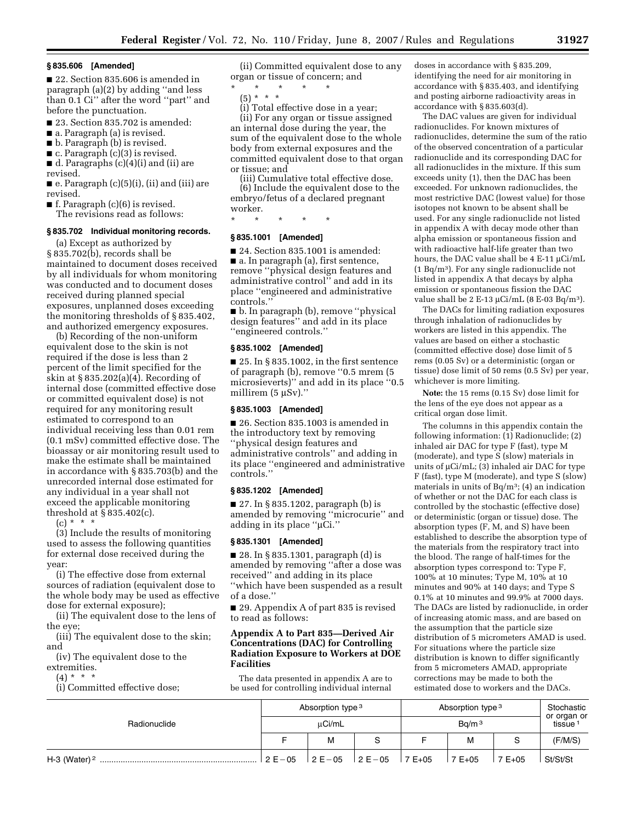#### **§ 835.606 [Amended]**

■ 22. Section 835.606 is amended in paragraph (a)(2) by adding ''and less than 0.1 Ci'' after the word ''part'' and before the punctuation.

- 23. Section 835.702 is amended:
- a. Paragraph (a) is revised.
- b. Paragraph (b) is revised.
- c. Paragraph (c)(3) is revised.

■ d. Paragraphs (c)(4)(i) and (ii) are revised.

 $\blacksquare$  e. Paragraph  $(c)(5)(i)$ , (ii) and (iii) are revised.

 $\blacksquare$  f. Paragraph (c)(6) is revised.

The revisions read as follows:

## **§ 835.702 Individual monitoring records.**

(a) Except as authorized by § 835.702(b), records shall be maintained to document doses received by all individuals for whom monitoring was conducted and to document doses received during planned special exposures, unplanned doses exceeding the monitoring thresholds of § 835.402, and authorized emergency exposures.

(b) Recording of the non-uniform equivalent dose to the skin is not required if the dose is less than 2 percent of the limit specified for the skin at § 835.202(a)(4). Recording of internal dose (committed effective dose or committed equivalent dose) is not required for any monitoring result estimated to correspond to an individual receiving less than 0.01 rem (0.1 mSv) committed effective dose. The bioassay or air monitoring result used to make the estimate shall be maintained in accordance with § 835.703(b) and the unrecorded internal dose estimated for any individual in a year shall not exceed the applicable monitoring threshold at § 835.402(c).

 $(c) * * * *$ 

(3) Include the results of monitoring used to assess the following quantities for external dose received during the year:

(i) The effective dose from external sources of radiation (equivalent dose to the whole body may be used as effective dose for external exposure);

(ii) The equivalent dose to the lens of the eye;

(iii) The equivalent dose to the skin; and

(iv) The equivalent dose to the extremities.

 $(4) * * * *$ 

(i) Committed effective dose;

(ii) Committed equivalent dose to any organ or tissue of concern; and

\* \* \* \* \*

(5) \* \* \* (i) Total effective dose in a year;

(ii) For any organ or tissue assigned an internal dose during the year, the sum of the equivalent dose to the whole body from external exposures and the committed equivalent dose to that organ or tissue; and

(iii) Cumulative total effective dose.

(6) Include the equivalent dose to the embryo/fetus of a declared pregnant worker.

\* \* \* \* \*

## **§ 835.1001 [Amended]**

■ 24. Section 835.1001 is amended:

■ a. In paragraph (a), first sentence, remove ''physical design features and administrative control'' and add in its place ''engineered and administrative controls.''

■ b. In paragraph (b), remove ''physical design features'' and add in its place ''engineered controls.''

### **§ 835.1002 [Amended]**

 $\blacksquare$  25. In § 835.1002, in the first sentence of paragraph (b), remove ''0.5 mrem (5 microsieverts)'' and add in its place ''0.5 millirem (5 µSv)."

## **§ 835.1003 [Amended]**

■ 26. Section 835.1003 is amended in the introductory text by removing ''physical design features and administrative controls'' and adding in its place ''engineered and administrative controls.''

#### **§ 835.1202 [Amended]**

■ 27. In § 835.1202, paragraph (b) is amended by removing ''microcurie'' and adding in its place ''µCi.''

#### **§ 835.1301 [Amended]**

■ 28. In § 835.1301, paragraph (d) is amended by removing ''after a dose was received'' and adding in its place ''which have been suspended as a result of a dose.''

■ 29. Appendix A of part 835 is revised to read as follows:

## **Appendix A to Part 835—Derived Air Concentrations (DAC) for Controlling Radiation Exposure to Workers at DOE Facilities**

The data presented in appendix A are to be used for controlling individual internal

doses in accordance with § 835.209, identifying the need for air monitoring in accordance with § 835.403, and identifying and posting airborne radioactivity areas in accordance with § 835.603(d).

The DAC values are given for individual radionuclides. For known mixtures of radionuclides, determine the sum of the ratio of the observed concentration of a particular radionuclide and its corresponding DAC for all radionuclides in the mixture. If this sum exceeds unity (1), then the DAC has been exceeded. For unknown radionuclides, the most restrictive DAC (lowest value) for those isotopes not known to be absent shall be used. For any single radionuclide not listed in appendix A with decay mode other than alpha emission or spontaneous fission and with radioactive half-life greater than two hours, the DAC value shall be 4 E-11 µCi/mL (1 Bq/m3). For any single radionuclide not listed in appendix A that decays by alpha emission or spontaneous fission the DAC value shall be 2 E-13 µCi/mL (8 E-03 Bq/m<sup>3</sup>).

The DACs for limiting radiation exposures through inhalation of radionuclides by workers are listed in this appendix. The values are based on either a stochastic (committed effective dose) dose limit of 5 rems (0.05 Sv) or a deterministic (organ or tissue) dose limit of 50 rems (0.5 Sv) per year, whichever is more limiting.

**Note:** the 15 rems (0.15 Sv) dose limit for the lens of the eye does not appear as a critical organ dose limit.

The columns in this appendix contain the following information: (1) Radionuclide; (2) inhaled air DAC for type F (fast), type M (moderate), and type S (slow) materials in units of µCi/mL; (3) inhaled air DAC for type F (fast), type M (moderate), and type S (slow) materials in units of  $Bq/m^3$ ; (4) an indication of whether or not the DAC for each class is controlled by the stochastic (effective dose) or deterministic (organ or tissue) dose. The absorption types (F, M, and S) have been established to describe the absorption type of the materials from the respiratory tract into the blood. The range of half-times for the absorption types correspond to: Type F, 100% at 10 minutes; Type M, 10% at 10 minutes and 90% at 140 days; and Type S 0.1% at 10 minutes and 99.9% at 7000 days. The DACs are listed by radionuclide, in order of increasing atomic mass, and are based on the assumption that the particle size distribution of 5 micrometers AMAD is used. For situations where the particle size distribution is known to differ significantly from 5 micrometers AMAD, appropriate corrections may be made to both the estimated dose to workers and the DACs.

|                          |                       | Absorption type 3 |         | Absorption type 3 | Stochastic |         |                                    |
|--------------------------|-----------------------|-------------------|---------|-------------------|------------|---------|------------------------------------|
| Radionuclide             | µCi/mL                |                   |         | Bq/m <sup>3</sup> |            |         | or organ or<br>tissue <sup>1</sup> |
|                          |                       | м                 | S       |                   | м          |         | (F/M/S)                            |
| H-3 (Water) <sup>2</sup> | $^{\circ}$ 2 E $-$ 05 | $2E - 05$         | $2E-05$ | $7E+05$           | $7E+05$    | $7E+05$ | St/St/St                           |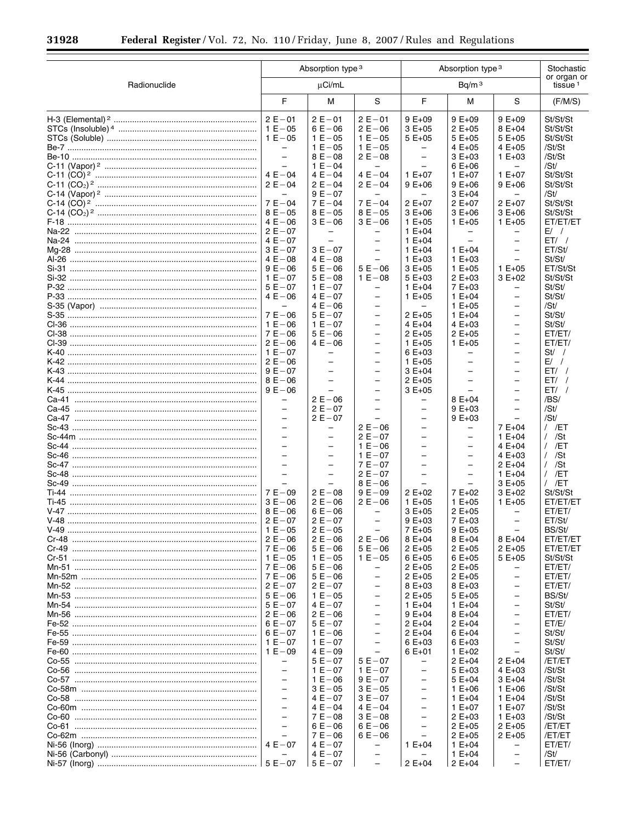$\equiv$ 

▀

|              |                                                                                                                                                                                                                                                                                                                                                                                                                   | Absorption type 3                                                                                                                                                                                                                                                                                                          |                                                                                                                                                                                                                                                                                                                                                                                                                                                 |                                                                                                                                                                                                                                                                                                                                                               | Absorption type 3                                                                                                                                                                                                                                                                                           |                                                                                                                                                                                                                                                                                                                                                                                                                                     |                                                                                                                                                                                                                                                   |  |  |  |
|--------------|-------------------------------------------------------------------------------------------------------------------------------------------------------------------------------------------------------------------------------------------------------------------------------------------------------------------------------------------------------------------------------------------------------------------|----------------------------------------------------------------------------------------------------------------------------------------------------------------------------------------------------------------------------------------------------------------------------------------------------------------------------|-------------------------------------------------------------------------------------------------------------------------------------------------------------------------------------------------------------------------------------------------------------------------------------------------------------------------------------------------------------------------------------------------------------------------------------------------|---------------------------------------------------------------------------------------------------------------------------------------------------------------------------------------------------------------------------------------------------------------------------------------------------------------------------------------------------------------|-------------------------------------------------------------------------------------------------------------------------------------------------------------------------------------------------------------------------------------------------------------------------------------------------------------|-------------------------------------------------------------------------------------------------------------------------------------------------------------------------------------------------------------------------------------------------------------------------------------------------------------------------------------------------------------------------------------------------------------------------------------|---------------------------------------------------------------------------------------------------------------------------------------------------------------------------------------------------------------------------------------------------|--|--|--|
| Radionuclide |                                                                                                                                                                                                                                                                                                                                                                                                                   | $\mu$ Ci/mL                                                                                                                                                                                                                                                                                                                |                                                                                                                                                                                                                                                                                                                                                                                                                                                 |                                                                                                                                                                                                                                                                                                                                                               | Bq/m <sup>3</sup>                                                                                                                                                                                                                                                                                           |                                                                                                                                                                                                                                                                                                                                                                                                                                     | or organ or<br>tissue <sup>1</sup>                                                                                                                                                                                                                |  |  |  |
|              | F                                                                                                                                                                                                                                                                                                                                                                                                                 | М                                                                                                                                                                                                                                                                                                                          | S                                                                                                                                                                                                                                                                                                                                                                                                                                               | F                                                                                                                                                                                                                                                                                                                                                             | М                                                                                                                                                                                                                                                                                                           | S                                                                                                                                                                                                                                                                                                                                                                                                                                   | (F/M/S)                                                                                                                                                                                                                                           |  |  |  |
|              | $2E - 01$<br>$1 E - 05$<br>$1 E - 05$<br>$\qquad \qquad -$<br>$\overline{\phantom{0}}$<br>$\equiv$<br>$4E - 04$<br>$2 E - 04$<br>$\equiv$<br>$7 E - 04$<br>$8E - 05$<br>$4E - 06$<br>$2E - 07$<br>$4E - 07$<br>$3E - 07$<br>$4E - 08$<br>$9E - 06$                                                                                                                                                                | $2E - 01$<br>$6E - 06$<br>$1 E - 05$<br>$1 E - 05$<br>$8E - 08$<br>$1 E - 04$<br>$4E - 04$<br>$2E - 04$<br>$9E - 07$<br>$7E - 04$<br>$8E - 05$<br>$3E - 06$<br>$\overline{\phantom{0}}$<br>$\equiv$<br>$3E - 07$<br>$4E - 08$<br>$5E - 06$                                                                                 | $2E - 01$<br>$2E - 06$<br>$1 E - 05$<br>$1 E - 05$<br>$2 E - 08$<br>$\equiv$<br>$4E - 04$<br>$2E - 04$<br>$\overline{\phantom{0}}$<br>$7E - 04$<br>$8E - 05$<br>$3E - 06$<br>$\overline{\phantom{m}}$<br>$\qquad \qquad -$<br>$\qquad \qquad -$<br>$\equiv$<br>$5E - 06$                                                                                                                                                                        | $9E+09$<br>$3E+05$<br>$5E+05$<br>$\overline{\phantom{0}}$<br>$\overline{\phantom{0}}$<br>$\equiv$<br>$1 E+07$<br>$9E+06$<br>$\overline{\phantom{0}}$<br>$2E+07$<br>$3E+06$<br>$1 E + 05$<br>$1 E + 04$<br>$1 E + 04$<br>$1 E + 04$<br>$1 E + 03$<br>$3E+05$                                                                                                   | $9E+09$<br>$2E+05$<br>$5E+05$<br>$4E+05$<br>$3E+03$<br>$6E+06$<br>$1 E + 07$<br>$9E+06$<br>$3E+04$<br>$2E+07$<br>$3E+06$<br>$1 E + 05$<br>-<br>$\overline{\phantom{0}}$<br>$1 E + 04$<br>$1 E + 03$<br>$1 E + 05$                                                                                           | $9E+09$<br>$8E+04$<br>$5E+05$<br>4 E+05<br>$1 E + 03$<br>$\overline{\phantom{m}}$<br>$1 E + 07$<br>$9E+06$<br>$\overline{\phantom{m}}$<br>$2E+07$<br>$3E+06$<br>$1 E + 05$<br>$\qquad \qquad -$<br>$\overline{\phantom{0}}$<br>$\overline{\phantom{0}}$<br>$1 E + 05$                                                                                                                                                               | St/St/St<br>St/St/St<br>St/St/St<br>/St/St<br>/St/St<br>/St/<br>St/St/St<br>St/St/St<br>/St/<br>St/St/St<br>St/St/St<br>ET/ET/ET<br>$E/$ /<br>$ET/$ /<br>ET/St/<br>St/St/<br>ET/St/St                                                             |  |  |  |
|              | $1 E - 07$<br>$5E - 07$<br>$4E - 06$<br>$\overline{\phantom{0}}$<br>$7 E - 06$<br>$1 E - 06$<br>$7E - 06$<br>$2E - 06$<br>$1 E - 07$<br>$2E - 06$<br>$9E - 07$<br>$8E - 06$<br>$9E - 06$<br>$\overline{\phantom{0}}$                                                                                                                                                                                              | $5E - 08$<br>$1 E - 07$<br>$4E - 07$<br>$4E - 06$<br>$5E - 07$<br>$1 E - 07$<br>$5E - 06$<br>$4E - 06$<br>$\overline{\phantom{m}}$<br>$\equiv$<br>$\!-$<br>$\overline{a}$<br>$\overline{\phantom{0}}$<br>$2E - 06$                                                                                                         | $1 E - 08$<br>$\overline{\phantom{0}}$<br>$\qquad \qquad -$<br>$\equiv$<br>$\qquad \qquad -$<br>$\overline{\phantom{0}}$<br>$\overline{\phantom{m}}$<br>$\overline{\phantom{0}}$<br>$\qquad \qquad -$<br>$\overline{\phantom{0}}$<br>$\qquad \qquad -$<br>$\equiv$<br>$\overline{\phantom{m}}$<br>$\equiv$                                                                                                                                      | $5E+03$<br>$1 E + 04$<br>$1 E + 05$<br>$\qquad \qquad -$<br>$2E+05$<br>4 $E + 04$<br>$2E+05$<br>$1 E + 05$<br>$6E+03$<br>$1 E + 05$<br>$3E+04$<br>$2E+05$<br>$3E+05$<br>$\overline{\phantom{0}}$                                                                                                                                                              | $2E+03$<br>$7E+03$<br>$1 E + 04$<br>$1 E + 05$<br>$1 E + 04$<br>$4E+03$<br>$2E+05$<br>$1 E + 05$<br>$\qquad \qquad -$<br>$\overline{\phantom{0}}$<br>$\overline{\phantom{0}}$<br>$\equiv$<br>$8E+04$                                                                                                        | $3E+02$<br>$\overline{\phantom{0}}$<br>$\qquad \qquad -$<br>$\overline{\phantom{0}}$<br>$\qquad \qquad -$<br>$\overline{\phantom{0}}$<br>$\overline{\phantom{0}}$<br>$\overline{\phantom{0}}$<br>$\overline{\phantom{0}}$<br>$\overline{\phantom{0}}$<br>$\qquad \qquad -$<br>$\overline{a}$<br>$\qquad \qquad -$<br>$\equiv$                                                                                                       | St/St/St<br>St/St/<br>St/St/<br>/St/<br>St/St/<br>St/St/<br>ET/ET/<br>ET/ET/<br>$St/$ /<br>$E/$ /<br>$ET/$ /<br>$ET/$ /<br>$ET/$ /<br>/BS/                                                                                                        |  |  |  |
|              | $\overline{\phantom{0}}$<br>$\overline{\phantom{0}}$<br>$\overline{\phantom{0}}$<br>$\overline{\phantom{0}}$<br>$\equiv$<br>$\equiv$<br>$\overline{\phantom{0}}$<br>$\equiv$<br>$\overline{\phantom{0}}$<br>$7E - 09$<br>$3E - 06$<br>$8E - 06$<br>$2E - 07$                                                                                                                                                      | $2E - 07$<br>$2E - 07$<br>$\overline{\phantom{m}}$<br>$\qquad \qquad -$<br>$\!-$<br>$\equiv$<br>$\overline{\phantom{0}}$<br>$\equiv$<br>$\overline{\phantom{0}}$<br>$2 E - 08$<br>$2E - 06$<br>$6E - 06$<br>$2E - 07$                                                                                                      | $\overline{\phantom{0}}$<br>$2E - 06$<br>$2E - 07$<br>$1 E - 06$<br>$1 E - 07$<br>$7E - 07$<br>$2E - 07$<br>$8E - 06$<br>$9E - 09$<br>$2E - 06$<br>$\overline{\phantom{m}}$                                                                                                                                                                                                                                                                     | -<br>$\overline{\phantom{0}}$<br>$\overline{\phantom{m}}$<br>$\overline{\phantom{0}}$<br>$\overline{\phantom{m}}$<br>$\equiv$<br>-<br>$\overline{a}$<br>$\overline{\phantom{0}}$<br>$2E+02$<br>$1 E + 05$<br>$3E+05$<br>$9E+03$                                                                                                                               | $9E+03$<br>$9E+03$<br>$\qquad \qquad -$<br>$\overline{\phantom{0}}$<br>$\overline{\phantom{m}}$<br>$\overline{\phantom{0}}$<br>$\qquad \qquad -$<br>$\overline{\phantom{0}}$<br>$\overline{\phantom{0}}$<br>7 E+02<br>$1 E + 05$<br>2 E+05<br>7 E+03                                                        | $\qquad \qquad -$<br>$\overline{\phantom{0}}$<br>$7E+04$<br>$1 E + 04$<br>$4E+04$<br>$4E+03$<br>$2 E + 04$<br>$1 E + 04$<br>$3E+05$<br>$3E+02$<br>$1 E + 05$<br>$\qquad \qquad -$<br>$\overline{\phantom{0}}$                                                                                                                                                                                                                       | /St/<br>/St/<br>$/$ /ET<br>$/$ /St<br>$/$ /ET<br>$/$ /St<br>$/$ /St<br>$/$ /ET<br>$/$ /ET<br>St/St/St<br>ET/ET/ET<br>ET/ET/<br>ET/St/                                                                                                             |  |  |  |
|              | $1 E - 05$<br>$2E - 06$<br>$1 E - 05$<br>$7E - 06$<br>$7E - 06$<br>$2E - 07$<br>$5E - 06$<br>$5E - 07$<br>$2E - 06$<br>$6E - 07$<br>$6E - 07$<br>$1 E - 07$<br>$1 E - 09$<br>$\overline{\phantom{0}}$<br>$\qquad \qquad -$<br>$\overline{a}$<br>$\overline{\phantom{0}}$<br>$\overline{\phantom{0}}$<br>$\overline{\phantom{0}}$<br>$\overline{\phantom{0}}$<br>$\overline{\phantom{0}}$<br>$\equiv$<br>$4E - 07$ | $2E - 05$<br>$2E - 06$<br>$5E - 06$<br>$1 E - 05$<br>$5E - 06$<br>$5E - 06$<br>$2E - 07$<br>$1 E - 05$<br>$4E - 07$<br>$2E - 06$<br>$5E - 07$<br>$1 E - 06$<br>$1 E - 07$<br>$4E - 09$<br>$5E - 07$<br>$1 E - 07$<br>$1 E - 06$<br>$3E - 05$<br>$4E - 07$<br>$4E - 04$<br>$7E - 08$<br>$6E - 06$<br>$7E - 06$<br>$4E - 07$ | $2E - 06$<br>$5E-06$<br>$1 E - 05$<br>$\overline{\phantom{0}}$<br>$\overline{\phantom{m}}$<br>$\equiv$<br>$\qquad \qquad -$<br>$\overline{\phantom{0}}$<br>$\overline{\phantom{m}}$<br>$\overline{\phantom{0}}$<br>$\qquad \qquad -$<br>$\overline{\phantom{m}}$<br>$\overline{\phantom{0}}$<br>$5E - 07$<br>$1 E - 07$<br>$9E - 07$<br>$3E - 05$<br>$3E - 07$<br>4 $E - 04$<br>$3E - 08$<br>$6E - 06$<br>$6E - 06$<br>$\overline{\phantom{m}}$ | 7 E+05<br>$8E + 04$<br>$2E+05$<br>$6E+05$<br>$2 E + 05$<br>$2 E + 05$<br>8 E+03<br>$2 E + 05$<br>$1 E + 04$<br>$9E+04$<br>$2 E + 04$<br>$2 E + 04$<br>$6E+03$<br>$6E+01$<br>$\overline{\phantom{0}}$<br>-<br>$\equiv$<br>-<br>$\overline{\phantom{0}}$<br>-<br>$\overline{\phantom{0}}$<br>$\overline{\phantom{0}}$<br>$\overline{\phantom{0}}$<br>$1 E + 04$ | 9 E+05<br>$8E+04$<br>$2 E + 05$<br>$6E+05$<br>$2 E + 05$<br>$2 E + 05$<br>$8E+03$<br>$5E+05$<br>$1 E + 04$<br>$8E+04$<br>$2 E + 04$<br>$6E+04$<br>$6E+03$<br>$1 E + 02$<br>$2 E + 04$<br>$5E+03$<br>$5E+04$<br>$1 E + 06$<br>$1 E + 04$<br>$1 E+07$<br>$2 E + 03$<br>$2 E + 05$<br>$2 E + 05$<br>$1 E + 04$ | $8E+04$<br>$2 E + 05$<br>$5E+05$<br>$\qquad \qquad -$<br>$\qquad \qquad -$<br>$\overline{\phantom{0}}$<br>$\qquad \qquad -$<br>$\overline{\phantom{0}}$<br>$\overline{\phantom{m}}$<br>$\overline{\phantom{0}}$<br>$\overline{\phantom{m}}$<br>$\overline{\phantom{0}}$<br>$\qquad \qquad -$<br>2 E+04<br>$4E+03$<br>$3E+04$<br>$1 E + 06$<br>$1 E + 04$<br>$1 E+07$<br>$1 E + 03$<br>$2 E + 05$<br>$2 E + 05$<br>$\qquad \qquad -$ | BS/St/<br>ET/ET/ET<br>ET/ET/ET<br>St/St/St<br>ET/ET/<br>ET/ET/<br>ET/ET/<br>BS/St/<br>St/St/<br>ET/ET/<br>ET/E/<br>St/St/<br>St/St/<br>St/St/<br>/ET/ET<br>/St/St<br>/St/St<br>/St/St<br>/St/St<br>/St/St<br>/St/St<br>/ET/ET<br>/ET/ET<br>ET/ET/ |  |  |  |
|              |                                                                                                                                                                                                                                                                                                                                                                                                                   | $4E - 07$<br>$5E - 07$                                                                                                                                                                                                                                                                                                     | $\overline{\phantom{0}}$<br>$\overline{\phantom{a}}$                                                                                                                                                                                                                                                                                                                                                                                            | $\equiv$<br>$2E+04$                                                                                                                                                                                                                                                                                                                                           | $1 E + 04$<br>$2 E + 04$                                                                                                                                                                                                                                                                                    | $\overline{\phantom{0}}$<br>$\overline{\phantom{0}}$                                                                                                                                                                                                                                                                                                                                                                                | /St/<br>ET/ET/                                                                                                                                                                                                                                    |  |  |  |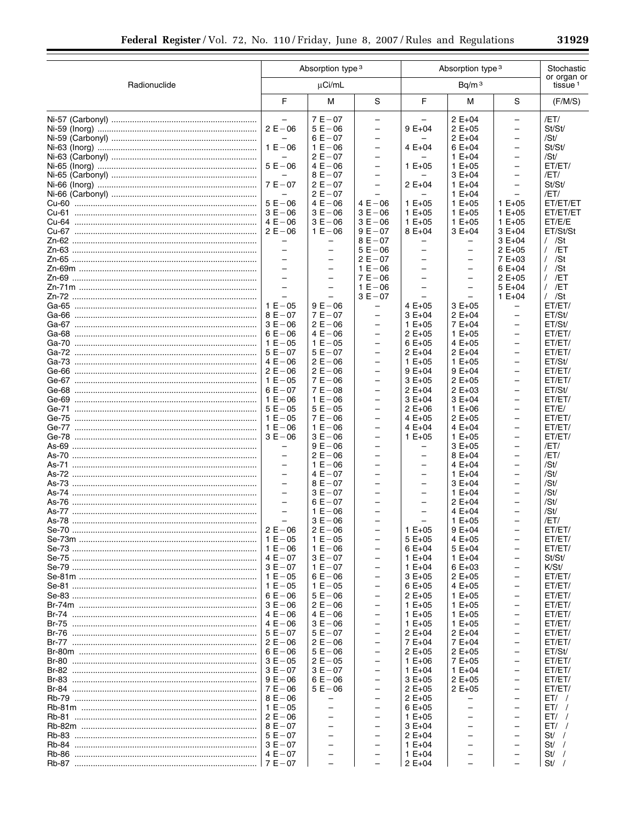|              |                                               | Absorption type 3                             |                                                      | Absorption type 3                                    | Stochastic                    |                                                      |                                    |
|--------------|-----------------------------------------------|-----------------------------------------------|------------------------------------------------------|------------------------------------------------------|-------------------------------|------------------------------------------------------|------------------------------------|
| Radionuclide |                                               | µCi/mL                                        |                                                      |                                                      | Bq/m <sup>3</sup>             |                                                      | or organ or<br>tissue <sup>1</sup> |
|              | F                                             | М                                             | S                                                    | F                                                    | M                             | S                                                    | (F/M/S)                            |
|              | $\overline{\phantom{0}}$                      | $7E - 07$                                     | $\overline{\phantom{0}}$                             |                                                      | $2 E + 04$                    | $\overline{\phantom{0}}$                             | /ET/                               |
|              | $2E - 06$                                     | $5E - 06$                                     | $\overline{\phantom{0}}$                             | $9E+04$                                              | $2 E + 05$                    | $\overline{\phantom{0}}$                             | St/St/                             |
|              | -                                             | $6E - 07$                                     | $\overline{\phantom{0}}$                             |                                                      | $2E+04$                       | $\overline{\phantom{0}}$                             | /St/                               |
|              | $1 E - 06$                                    | $1 E - 06$                                    | $\qquad \qquad -$                                    | $4E+04$                                              | $6E+04$                       | -                                                    | St/St/                             |
|              |                                               | $2E - 07$                                     | $\qquad \qquad -$                                    |                                                      | $1 E + 04$                    | $\overline{\phantom{0}}$                             | /St/                               |
|              | $5E - 06$<br>$\overline{\phantom{0}}$         | $4E - 06$<br>$8E - 07$                        | $\overline{\phantom{0}}$<br>$\overline{\phantom{0}}$ | $1 E + 05$                                           | $1 E + 05$<br>$3E+04$         | $\overline{\phantom{0}}$<br>$\overline{\phantom{0}}$ | ET/ET/<br>/ET/                     |
|              | $7E - 07$                                     | $2E - 07$                                     | $\overline{\phantom{0}}$                             | $2 E + 04$                                           | $1 E + 04$                    | $\overline{\phantom{0}}$                             | St/St/                             |
|              | $\overline{\phantom{0}}$                      | $2E - 07$                                     |                                                      |                                                      | $1 E + 04$                    | $\overline{\phantom{0}}$                             | /ET/                               |
|              | $5E - 06$                                     | $4E - 06$                                     | $4E - 06$                                            | $1 E + 05$                                           | $1 E + 05$                    | $1 E + 05$                                           | ET/ET/ET                           |
|              | $3E - 06$                                     | $3E - 06$                                     | $3E - 06$                                            | $1 E + 05$                                           | $1 E + 05$                    | $1 E + 05$                                           | ET/ET/ET                           |
|              | $4E - 06$                                     | $3E - 06$                                     | $3E - 06$                                            | $1 E + 05$                                           | $1 E + 05$                    | $1 E + 05$                                           | ET/E/E                             |
|              | $2E - 06$                                     | $1 E - 06$                                    | $9E - 07$                                            | 8 E+04                                               | $3E+04$                       | $3E+04$                                              | ET/St/St                           |
|              | $\overline{\phantom{0}}$<br>$\qquad \qquad -$ | $\overline{\phantom{0}}$                      | $8E - 07$<br>$5E - 06$                               |                                                      | -<br>$\overline{\phantom{0}}$ | 3 E+04<br>2 E+05                                     | $/$ /St<br>$/$ /ET                 |
|              | $\qquad \qquad -$                             | $\overline{\phantom{0}}$                      | $2E - 07$                                            | $\overline{\phantom{0}}$                             | $\qquad \qquad -$             | 7 E+03                                               | $/$ /St                            |
|              | $\overline{\phantom{0}}$                      | $\overline{\phantom{0}}$                      | $1 E - 06$                                           |                                                      | $\overline{\phantom{0}}$      | 6 E+04                                               | $/$ /St                            |
|              | $\overline{\phantom{0}}$                      | $\qquad \qquad -$                             | $7E - 06$                                            | $\overline{\phantom{0}}$                             | $\qquad \qquad -$             | 2 E+05                                               | $/$ /ET                            |
|              | $\overline{\phantom{0}}$                      | $\qquad \qquad -$                             | $1 E - 06$                                           | $\overline{\phantom{0}}$                             | $\overline{\phantom{0}}$      | 5 E+04                                               | $/$ /ET                            |
|              | -                                             |                                               | $3E - 07$                                            |                                                      | -                             | $1 E + 04$                                           | $/$ /St                            |
|              | $1 E - 05$                                    | $9E - 06$                                     | $\overline{\phantom{0}}$                             | $4E+05$                                              | $3E+05$                       | -                                                    | ET/ET/                             |
|              | $8E - 07$                                     | $7E - 07$                                     | $\overline{\phantom{0}}$                             | 3 E+04                                               | $2 E + 04$                    | -                                                    | ET/St/                             |
|              | $3E - 06$<br>$6E - 06$                        | $2E - 06$<br>$4E - 06$                        | $\qquad \qquad -$<br>$\qquad \qquad -$               | $1 E + 05$<br>$2E+05$                                | 7 E+04                        | $\overline{\phantom{0}}$<br>$\overline{\phantom{0}}$ | ET/St/<br>ET/ET/                   |
|              | $1 E - 05$                                    | $1 E - 05$                                    | $\overline{\phantom{0}}$                             | $6E+05$                                              | $1 E + 05$<br>4 E+05          | $\overline{\phantom{0}}$                             | ET/ET/                             |
|              | $5E - 07$                                     | $5E - 07$                                     | $\overline{\phantom{0}}$                             | $2 E + 04$                                           | $2 E + 04$                    | $\overline{\phantom{0}}$                             | ET/ET/                             |
|              | $4E - 06$                                     | $2E - 06$                                     | $\overline{\phantom{0}}$                             | $1 E + 05$                                           | $1 E + 05$                    | $\overline{\phantom{0}}$                             | ET/St/                             |
|              | $2E - 06$                                     | $2E - 06$                                     | $\overline{\phantom{0}}$                             | 9 E+04                                               | $9E+04$                       | -                                                    | ET/ET/                             |
|              | $1 E - 05$                                    | $7E - 06$                                     | $\overline{\phantom{0}}$                             | $3E+05$                                              | $2 E + 05$                    | $\overline{\phantom{m}}$                             | ET/ET/                             |
|              | $6E - 07$                                     | $7E - 08$                                     | $\overline{\phantom{0}}$                             | $2 E + 04$                                           | $2E+03$                       | -                                                    | ET/St/                             |
|              | $1 E - 06$<br>$5E - 05$                       | $1 E - 06$                                    | $\overline{\phantom{0}}$                             | $3E+04$                                              | $3E+04$                       | $\overline{\phantom{0}}$                             | ET/ET/<br>ET/E/                    |
|              | $1 E - 05$                                    | $5E - 05$<br>$7E - 06$                        | $\qquad \qquad -$<br>$\overline{\phantom{0}}$        | $2 E + 06$<br>$4E+05$                                | $1 E + 06$<br>$2E+05$         | $\overline{\phantom{0}}$<br>$\overline{\phantom{0}}$ | ET/ET/                             |
|              | $1 E - 06$                                    | $1 E - 06$                                    | $\overline{\phantom{0}}$                             | $4E+04$                                              | $4E+04$                       | $\overline{\phantom{0}}$                             | ET/ET/                             |
|              | $3E - 06$                                     | $3E - 06$                                     | $\overline{\phantom{0}}$                             | $1 E + 05$                                           | $1 E + 05$                    | $\overline{\phantom{0}}$                             | ET/ET/                             |
|              | $\overline{\phantom{0}}$                      | $9E - 06$                                     | $\overline{\phantom{0}}$                             | -                                                    | $3E+05$                       | -                                                    | /ET/                               |
|              | $\overline{\phantom{0}}$                      | $2E - 06$                                     | $\overline{\phantom{0}}$                             | $\overline{\phantom{0}}$                             | 8 E+04                        | $\overline{\phantom{0}}$                             | /ET/                               |
|              | $\overline{\phantom{0}}$                      | $1 E - 06$                                    | $\overline{\phantom{0}}$                             | -                                                    | $4E+04$                       | -                                                    | /St/                               |
|              | $\overline{\phantom{0}}$<br>$\qquad \qquad -$ | $4E - 07$<br>$8E - 07$                        | $\overline{\phantom{0}}$                             | $\overline{\phantom{0}}$                             | $1 E + 04$                    | $\overline{\phantom{0}}$                             | /St/                               |
|              | $\qquad \qquad -$                             | $3E - 07$                                     | $\overline{\phantom{0}}$                             | $\overline{\phantom{0}}$<br>$\overline{\phantom{0}}$ | $3E+04$<br>$1 E + 04$         | $\overline{\phantom{0}}$<br>$\overline{\phantom{0}}$ | /St/<br>/St/                       |
|              | $\overline{\phantom{0}}$                      | $6E - 07$                                     | $\overline{\phantom{0}}$                             | $\overline{\phantom{0}}$                             | $2 E + 04$                    | $\overline{\phantom{0}}$                             | /St/                               |
|              | $\overline{\phantom{0}}$                      | $1 E - 06$                                    | $\overline{\phantom{0}}$                             | $\overline{\phantom{0}}$                             | $4E+04$                       | $\overline{\phantom{0}}$                             | /St/                               |
|              |                                               | $3E - 06$                                     |                                                      |                                                      | $1 E + 05$                    |                                                      | /ET/                               |
|              | $2E - 06$                                     | $2 E - 06$                                    |                                                      | $1 E + 05$                                           | $9E+04$                       |                                                      | ET/ET/                             |
|              |                                               | $1 E - 05$                                    |                                                      | $5E+05$                                              | 4 E+05                        | -                                                    | ET/ET/                             |
|              |                                               | $1 E - 06$                                    | $\overline{\phantom{0}}$                             | $6E+04$                                              | $5E+04$                       | $\overline{\phantom{0}}$                             | ET/ET/                             |
|              |                                               | $3E - 07$<br>$1 E - 07$                       | $\overline{\phantom{0}}$<br>$\overline{\phantom{0}}$ | $1 E + 04$<br>$1 E + 04$                             | $1 E + 04$<br>$6E+03$         | $\overline{\phantom{0}}$<br>$\overline{\phantom{0}}$ | St/St/<br>K/St/                    |
|              |                                               | $6E - 06$                                     | $\qquad \qquad -$                                    | $3E+05$                                              | $2 E + 05$                    | $\overline{\phantom{0}}$                             | ET/ET/                             |
|              |                                               | $1 E - 05$                                    | $\overline{\phantom{0}}$                             | $6E+05$                                              | 4 E+05                        | $\overline{\phantom{0}}$                             | ET/ET/                             |
|              | $6E - 06$                                     | $5E - 06$                                     | $\overline{\phantom{0}}$                             | $2 E + 05$                                           | $1 E + 05$                    | $\overline{\phantom{0}}$                             | ET/ET/                             |
|              |                                               | $2E - 06$                                     | $\overline{\phantom{0}}$                             | $1 E + 05$                                           | $1 E + 05$                    | $\overline{\phantom{0}}$                             | ET/ET/                             |
|              | $4E - 06$                                     | $4E - 06$                                     | $\overline{\phantom{0}}$                             | $1 E + 05$                                           | $1 E + 05$                    | -                                                    | ET/ET/                             |
|              |                                               | $3E - 06$                                     | $\overline{\phantom{0}}$                             | $1 E + 05$                                           | $1 E + 05$                    | $\overline{\phantom{0}}$                             | ET/ET/                             |
|              | $5E - 07$                                     | $5E - 07$<br>$2E - 06$                        | $\overline{\phantom{0}}$<br>$\overline{\phantom{0}}$ | $2 E + 04$<br>7 E+04                                 | $2 E + 04$<br>7 E+04          | $\overline{\phantom{0}}$<br>$\overline{\phantom{0}}$ | ET/ET/<br>ET/ET/                   |
|              | $6E-06$                                       | $5E - 06$                                     | $\qquad \qquad -$                                    | $2 E + 05$                                           | $2 E + 05$                    | $\overline{\phantom{0}}$                             | ET/St/                             |
|              |                                               | $2E - 05$                                     | $\overline{\phantom{0}}$                             | $1 E + 06$                                           | 7 E+05                        | $\overline{\phantom{0}}$                             | ET/ET/                             |
|              | $3E - 07$                                     | $3E - 07$                                     | $\overline{\phantom{0}}$                             | $1 E + 04$                                           | $1 E + 04$                    | $\overline{\phantom{0}}$                             | ET/ET/                             |
|              |                                               | $6E - 06$                                     | $\overline{\phantom{0}}$                             | $3E+05$                                              | $2E+05$                       | $\overline{\phantom{m}}$                             | ET/ET/                             |
|              |                                               | $5E - 06$                                     | $\overline{\phantom{0}}$                             | $2 E + 05$                                           | $2 E + 05$                    | -                                                    | ET/ET/                             |
|              |                                               | $\qquad \qquad -$                             | $\overline{\phantom{0}}$                             | $2 E + 05$                                           |                               | $\overline{\phantom{0}}$                             | ET/                                |
|              |                                               | $\overline{\phantom{0}}$                      | $\overline{\phantom{0}}$                             | $6E+05$                                              |                               | $\overline{\phantom{0}}$                             | ET/                                |
|              |                                               | $\qquad \qquad -$<br>$\overline{\phantom{0}}$ | $\overline{\phantom{0}}$<br>$\qquad \qquad -$        | $1 E + 05$<br>$3E+04$                                | $\overline{\phantom{0}}$      | $\overline{\phantom{0}}$<br>$\overline{\phantom{0}}$ | $ET/$ /<br>ET/                     |
|              |                                               | $\qquad \qquad -$                             | $\overline{\phantom{0}}$                             | $2 E + 04$                                           | $\overline{\phantom{0}}$      | $\overline{\phantom{0}}$                             | St /                               |
|              |                                               | $\overline{\phantom{0}}$                      | $\overline{\phantom{0}}$                             | $1 E + 04$                                           | $\overline{\phantom{0}}$      | $\overline{\phantom{0}}$                             | St / /                             |
|              |                                               | $\overline{\phantom{0}}$                      |                                                      | $1 E + 04$                                           | -                             | $\overline{\phantom{0}}$                             | $St/$ /                            |
|              |                                               |                                               |                                                      | $2 E + 04$                                           |                               |                                                      | $St/$ /                            |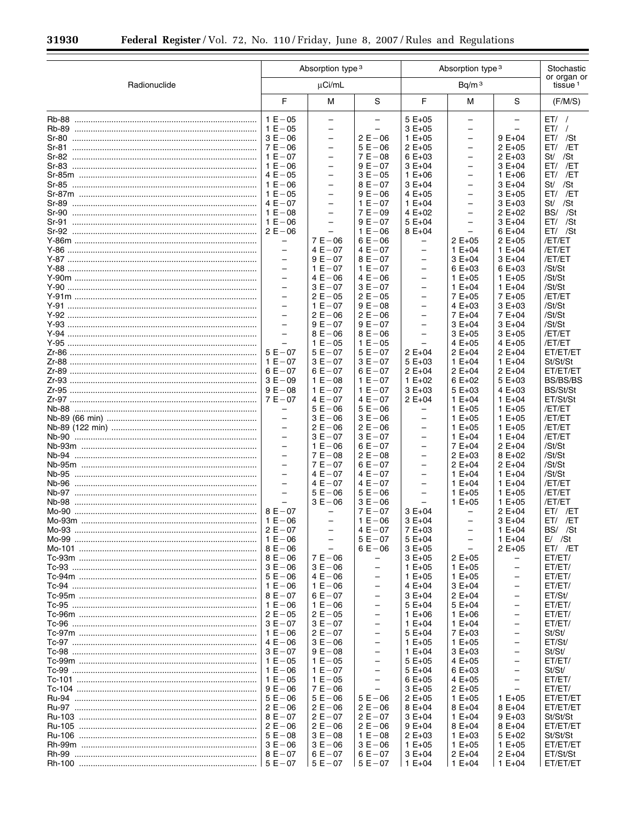$\equiv$ 

▀

|              |                          | Absorption type 3                    |                          |                          | Absorption type 3                                    |                          |                                    |  |  |
|--------------|--------------------------|--------------------------------------|--------------------------|--------------------------|------------------------------------------------------|--------------------------|------------------------------------|--|--|
| Radionuclide |                          | µCi/mL                               |                          |                          | Bq/m <sup>3</sup>                                    |                          | or organ or<br>tissue <sup>1</sup> |  |  |
|              | F                        | М                                    | S                        | F                        | M                                                    | S                        | (F/M/S)                            |  |  |
|              | $1 E - 05$               | $\overline{\phantom{0}}$             | $\overline{a}$           | $5E+05$                  | $\equiv$                                             | $\equiv$                 | $ET/$ /                            |  |  |
|              | $1 E - 05$               | $\overline{\phantom{0}}$             | $\overline{\phantom{0}}$ | $3E+05$                  | $\qquad \qquad -$                                    | $\qquad \qquad -$        | $ET/$ /                            |  |  |
|              | $3E - 06$                | $\equiv$                             | $2E - 06$                | $1 E + 05$               |                                                      | $9E+04$                  | $ET/$ /St                          |  |  |
|              | $7E - 06$                | $\overline{\phantom{a}}$             | $5E - 06$                | $2 E + 05$               | $\overline{\phantom{0}}$                             | $2E+05$                  | ET/ /ET                            |  |  |
|              | $1 E - 07$               |                                      | $7E - 08$                | $6E+03$                  | $\overline{\phantom{0}}$                             | $2 E + 03$               | St/ /St                            |  |  |
|              | $1 E - 06$<br>$4E - 05$  | $\equiv$<br>$\overline{\phantom{0}}$ | $9E - 07$<br>$3E - 05$   | $3E+04$                  | $\overline{\phantom{0}}$<br>$\overline{\phantom{0}}$ | 3 E+04                   | $ET/$ /ET                          |  |  |
|              | $1 E - 06$               | $\overline{\phantom{0}}$             | $8E - 07$                | $1 E + 06$               |                                                      | $1 E + 06$<br>$3E+04$    | ET/ /ET<br>St/ /St                 |  |  |
|              | $1 E - 05$               | $\overline{\phantom{0}}$             | $9E - 06$                | $3E+04$                  | $\overline{\phantom{0}}$<br>$\overline{\phantom{0}}$ | $3E+05$                  | $ET/$ /ET                          |  |  |
|              | $4E - 07$                | $\overline{\phantom{0}}$             | $1 E - 07$               | $4E+05$<br>$1 E + 04$    | $\overline{\phantom{0}}$                             | $3E+03$                  | St/ /St                            |  |  |
|              | $1 E - 08$               |                                      | $7E - 09$                | 4 $E+02$                 | $\overline{\phantom{0}}$                             | $2 E + 02$               | BS/ /St                            |  |  |
|              | $1 E - 06$               | $\overline{\phantom{a}}$             | $9E - 07$                | $5E+04$                  | $\overline{\phantom{0}}$                             | $3E+04$                  | $ET/$ /St                          |  |  |
|              | $2E - 06$                |                                      | $1 E - 06$               | $8E+04$                  |                                                      | $6E + 04$                | $ET/$ /St                          |  |  |
|              | $\qquad \qquad -$        | $7E - 06$                            | $6E - 06$                | -                        | $2 E + 05$                                           | $2E+05$                  | /ET/ET                             |  |  |
|              | $\overline{\phantom{0}}$ | $4E - 07$                            | $4E - 07$                | $\overline{\phantom{0}}$ | $1 E + 04$                                           | $1 E + 04$               | /ET/ET                             |  |  |
|              | $\qquad \qquad -$        | $9E - 07$                            | $8E - 07$                | $\qquad \qquad -$        | $3E+04$                                              | 3 E+04                   | /ET/ET                             |  |  |
| Y-88         | $\overline{a}$           | $1 E - 07$                           | $1 E - 07$               | $\overline{\phantom{0}}$ | $6E+03$                                              | 6 E+03                   | /St/St                             |  |  |
|              | $\overline{\phantom{m}}$ | $4E - 06$                            | $4E - 06$                | -                        | $1 E + 05$                                           | $1 E + 05$               | /St/St                             |  |  |
| $Y-90$       | $\equiv$                 | $3E - 07$                            | $3E - 07$                | $\overline{\phantom{0}}$ | $1 E + 04$                                           | $1 E + 04$               | /St/St                             |  |  |
|              | $\bar{\phantom{0}}$      | $2E - 05$                            | $2E - 05$                | $\qquad \qquad -$        | 7 E+05                                               | 7 E+05                   | /ET/ET                             |  |  |
| Y-91         | $\overline{\phantom{0}}$ | $1 E - 07$                           | $9E - 08$                | $\overline{\phantom{0}}$ | $4E+03$                                              | 3 E+03                   | /St/St                             |  |  |
|              | $\bar{\phantom{0}}$      | $2E - 06$                            | $2 E - 06$               | $\qquad \qquad -$        | $7E+04$                                              | $7E+04$                  | /St/St                             |  |  |
|              | $\equiv$                 | $9E - 07$                            | $9E - 07$                | $\overline{\phantom{0}}$ | $3E+04$                                              | 3 E+04                   | /St/St                             |  |  |
| Y-94         | $\overline{\phantom{0}}$ | $8E - 06$                            | $8E - 06$                | -                        | $3E+05$                                              | $3E+05$                  | /ET/ET                             |  |  |
|              | $\equiv$                 | $1 E - 05$                           | $1 E - 05$               | $\overline{\phantom{0}}$ | $4E+05$                                              | $4E+05$                  | /ET/ET                             |  |  |
|              | $5E - 07$                | $5E - 07$                            | $5E - 07$                | $2 E + 04$               | $2 E + 04$                                           | $2E+04$                  | ET/ET/ET                           |  |  |
|              | $1 E - 07$               | $3E - 07$                            | $3E - 07$                | $5E+03$                  | $1 E + 04$                                           | $1 E + 04$               | St/St/St                           |  |  |
|              | $6E - 07$                | $6E - 07$                            | $6E - 07$                | $2 E + 04$               | $2 E + 04$                                           | $2E+04$                  | ET/ET/ET                           |  |  |
|              | $3E - 09$                | $1 E - 08$                           | $1 E - 07$               | $1 E + 02$               | $6E+02$                                              | 5 E+03                   | <b>BS/BS/BS</b>                    |  |  |
|              | $9E - 08$                | $1 E - 07$                           | $1 E - 07$               | $3E+03$                  | $5E+03$                                              | 4 E+03                   | BS/St/St                           |  |  |
|              | $7E - 07$                | $4E - 07$                            | $4E - 07$                | $2 E + 04$               | $1 E + 04$                                           | $1 E + 04$               | ET/St/St                           |  |  |
|              | $\qquad \qquad -$        | $5E - 06$                            | $5E - 06$                | $\qquad \qquad -$        | $1 E + 05$                                           | $1 E + 05$               | /ET/ET                             |  |  |
|              | $\overline{a}$           | $3E - 06$                            | $3E - 06$                | $\overline{\phantom{0}}$ | $1 E + 05$                                           | $1 E + 05$               | /ET/ET                             |  |  |
|              | $\qquad \qquad -$        | $2E - 06$                            | $2 E - 06$               | $\qquad \qquad -$        | $1 E + 05$                                           | $1 E + 05$               | /ET/ET                             |  |  |
|              | $\overline{\phantom{0}}$ | $3E - 07$                            | $3E - 07$                | $\overline{\phantom{0}}$ | $1 E + 04$                                           | $1 E + 04$               | /ET/ET                             |  |  |
|              | $\overline{\phantom{m}}$ | $1 E - 06$                           | $6E - 07$                | $\qquad \qquad -$        | $7E+04$                                              | $2E+04$                  | /St/St                             |  |  |
|              | $\overline{\phantom{0}}$ | $7E - 08$                            | $2 E - 08$               | -                        | $2 E + 03$                                           | 8 E+02                   | /St/St                             |  |  |
|              | $\bar{\phantom{0}}$      | $7E - 07$                            | $6E - 07$                | $\qquad \qquad -$        | $2 E + 04$                                           | $2E+04$                  | /St/St                             |  |  |
|              | $\overline{\phantom{0}}$ | $4E - 07$                            | $4E - 07$                | $\overline{\phantom{0}}$ | $1 E + 04$                                           | $1 E + 04$               | /St/St                             |  |  |
|              | $\bar{\phantom{0}}$      | $4E - 07$                            | $4E - 07$                | $\overline{\phantom{0}}$ | $1 E + 04$                                           | $1 E + 04$               | /ET/ET                             |  |  |
|              | $\equiv$                 | $5E - 06$                            | $5E - 06$                | $\overline{\phantom{0}}$ | $1 E + 05$                                           | $1 E + 05$               | /ET/ET                             |  |  |
|              |                          | $3E - 06$                            | $3E - 06$                |                          | $1 E + 05$                                           | $1 E + 05$               | /ET/ET                             |  |  |
|              | $8E - 07$                | $\qquad \qquad -$                    | $7E - 07$                | $3E+04$                  | $\overline{\phantom{0}}$                             | $2E+04$                  | ET/ /ET                            |  |  |
|              | $1 E - 06$               |                                      | $1 E - 06$               | $3E+04$                  | —                                                    | 3 E+04                   | ET/ /ET                            |  |  |
|              | $2E - 07$                |                                      | $4E - 07$                | 7 E+03                   |                                                      | $1 E + 04$               | BS/ /St                            |  |  |
|              | $1 E - 06$               | $\overline{\phantom{a}}$             | $5E - 07$                | $5E+04$                  | $\overline{\phantom{0}}$                             | $1 E + 04$               | $E /$ /St                          |  |  |
|              | $8E - 06$                |                                      | $6E - 06$                | 3 E+05                   |                                                      | $2 E + 05$               | ET/ /ET                            |  |  |
|              | $8E - 06$                | $7E - 06$                            | -                        | $3E+05$                  | $2 E + 05$                                           | -                        | ET/ET/                             |  |  |
|              | $3E - 06$                | $3E - 06$                            | $\overline{\phantom{0}}$ | $1 E + 05$               | $1 E + 05$                                           | $\overline{\phantom{0}}$ | ET/ET/                             |  |  |
|              | $5E-06$                  | $4E - 06$                            | -                        | $1 E + 05$               | $1 E + 05$                                           | $\qquad \qquad -$        | ET/ET/                             |  |  |
|              | $1 E - 06$               | $1 E - 06$                           | $\overline{\phantom{0}}$ | 4 E+04                   | $3E+04$                                              | $\overline{\phantom{0}}$ | ET/ET/                             |  |  |
|              | $8E - 07$                | $6E - 07$                            | $\overline{\phantom{0}}$ | $3E+04$                  | $2 E + 04$                                           | $\qquad \qquad -$        | ET/St/                             |  |  |
|              | $1 E - 06$               | $1 E - 06$                           |                          | $5E+04$                  | $5E+04$                                              | $\overline{\phantom{0}}$ | ET/ET/                             |  |  |
|              | $2E - 05$                | $2E - 05$                            | $\overline{\phantom{0}}$ | $1 E + 06$               | $1 E + 06$                                           | $\overline{\phantom{0}}$ | ET/ET/                             |  |  |
|              | $3E - 07$                | $3E - 07$                            | $\overline{\phantom{0}}$ | 1 $E + 04$               | $1 E + 04$                                           | $\qquad \qquad -$        | ET/ET/                             |  |  |
|              | $1 E - 06$               | $2E - 07$                            | $\overline{\phantom{0}}$ | $5E+04$                  | 7 E+03                                               | $\qquad \qquad -$        | St/St/                             |  |  |
|              | $4E - 06$                | $3E - 06$                            | $\overline{\phantom{0}}$ | $1 E + 05$               | $1 E + 05$                                           | $\overline{\phantom{0}}$ | ET/St/                             |  |  |
|              | $3E - 07$                | $9E - 08$                            | $\overline{\phantom{0}}$ | $1 E + 04$               | $3E+03$                                              | $\qquad \qquad -$        | St/St/                             |  |  |
|              | $1 E - 05$               | $1 E - 05$                           | $\overline{\phantom{0}}$ | $5E+05$                  | $4E+05$                                              | $\overline{\phantom{0}}$ | ET/ET/                             |  |  |
|              | $1 E - 06$               | $1 E - 07$                           | $\overline{\phantom{0}}$ | $5E+04$                  | $6E+03$                                              | $\qquad \qquad -$        | St/St/                             |  |  |
|              | $1 E - 05$               | $1 E - 05$                           | $\overline{\phantom{0}}$ | $6E+05$                  | $4E+05$                                              | $\overline{\phantom{0}}$ | ET/ET/                             |  |  |
|              | $9E-06$                  | $7E - 06$                            | $\overline{\phantom{0}}$ | $3E+05$                  | $2E+05$                                              | $\overline{\phantom{0}}$ | ET/ET/                             |  |  |
|              | $5E-06$                  | $5E - 06$                            | $5E - 06$                | $2E+05$                  | $1 E + 05$                                           | $1 E + 05$               | ET/ET/ET                           |  |  |
|              | $2E-06$                  | $2 E - 06$                           | $2 E - 06$               | 8 E+04                   | $8E+04$                                              | $8E+04$                  | ET/ET/ET                           |  |  |
|              | $8E - 07$                | $2E - 07$                            | $2E - 07$                | $3E+04$                  | $1 E + 04$                                           | $9E+03$                  | St/St/St                           |  |  |
|              | $\vert 2E-06$            | $2 E - 06$                           | $2 E - 06$               | 9 E+04                   | $8E+04$                                              | $8E+04$                  | ET/ET/ET                           |  |  |
|              | $5E-08$                  | $3E - 08$                            | $1 E - 08$               | $2E+03$                  | $1 E + 03$                                           | 5 E+02                   | St/St/St                           |  |  |
|              |                          | $3E - 06$                            | $3E - 06$                | $1 E + 05$               | $1 E + 05$                                           | $1 E + 05$               | ET/ET/ET                           |  |  |
|              |                          | $6E - 07$                            | $6E - 07$                | $3E+04$                  | $2 E + 04$                                           | $2 E + 04$               | ET/St/St                           |  |  |
|              |                          | $5E - 07$                            | $5E - 07$                | $1 E + 04$               | $1 E + 04$                                           | $1 E + 04$               | ET/ET/ET                           |  |  |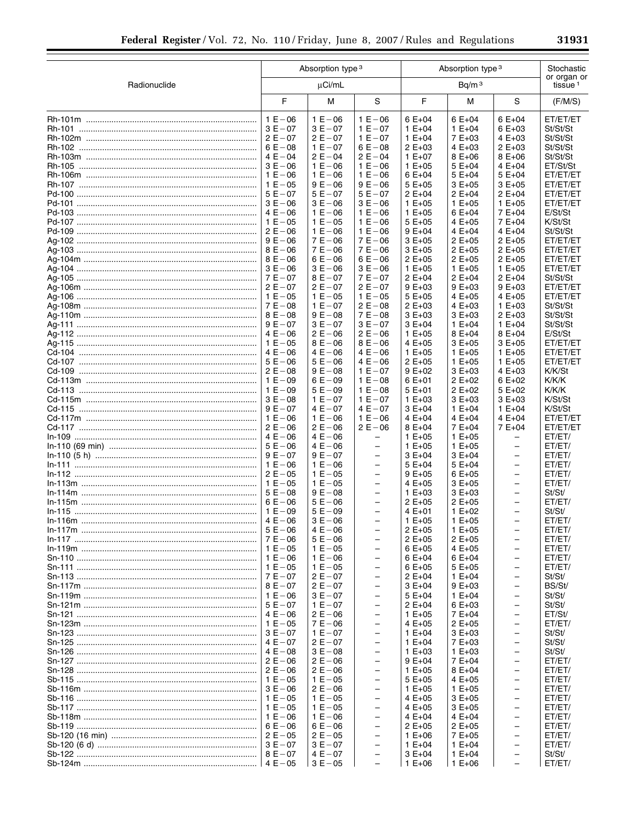|              | Absorption type 3       |                          |                                                      | Absorption type 3        | Stochastic<br>or organ or |                          |                      |
|--------------|-------------------------|--------------------------|------------------------------------------------------|--------------------------|---------------------------|--------------------------|----------------------|
| Radionuclide |                         | µCi/mL                   |                                                      |                          | Bq/m <sup>3</sup>         |                          |                      |
|              | F                       | м                        | S                                                    | F                        | М                         | S                        | (F/M/S)              |
|              | $1 E - 06$              | $1 E - 06$               | $1 E - 06$                                           | $6E+04$                  | $6E+04$                   | $6E+04$                  | ET/ET/ET             |
|              | $3E - 07$               | $3E - 07$                | $1 E - 07$                                           | $1 E + 04$               | $1 E + 04$                | $6E+03$                  | St/St/St             |
|              | $2E - 07$               | $2E - 07$                | $1 E - 07$                                           | $1 E + 04$               | 7 E+03                    | $4E+03$                  | St/St/St             |
|              | $6E - 08$               | $1 E - 07$               | $6E - 08$                                            | $2 E + 03$               | $4E+03$                   | $2 E + 03$               | St/St/St             |
|              | $4E - 04$               | $2E - 04$                | $2E - 04$                                            | $1 E + 07$               | $8E+06$                   | $8E+06$<br>$4E+04$       | St/St/St             |
|              | $3E - 06$<br>$1 E - 06$ | $1 E - 06$<br>$1 E - 06$ | $1 E - 06$<br>$1 E - 06$                             | $1 E + 05$<br>$6E+04$    | $5E+04$<br>$5E+04$        | $5E+04$                  | ET/St/St<br>ET/ET/ET |
|              | $1 E - 05$              | $9E - 06$                | $9E - 06$                                            | $5E+05$                  | $3E+05$                   | $3E+05$                  | ET/ET/ET             |
|              | $5E - 07$               | $5E - 07$                | $5E - 07$                                            | $2 E + 04$               | $2 E + 04$                | $2 E + 04$               | ET/ET/ET             |
|              | $3E - 06$               | $3E - 06$                | $3E - 06$                                            | $1 E + 05$               | $1 E + 05$                | $1 E + 05$               | ET/ET/ET             |
|              | $4E - 06$               | $1 E - 06$               | $1 E - 06$                                           | $1 E + 05$               | $6E+04$                   | $7E+04$                  | E/St/St              |
|              | $1 E - 05$              | $1 E - 05$               | $1 E - 06$                                           | $5E+05$                  | $4E+05$                   | 7 E+04                   | K/St/St              |
|              | $2E - 06$               | $1 E - 06$               | $1 E - 06$                                           | $9E+04$                  | 4 $E + 04$                | $4E+04$                  | St/St/St             |
|              | $9E - 06$               | $7E - 06$                | $7E - 06$                                            | $3E+05$                  | $2E+05$                   | $2 E + 05$               | ET/ET/ET             |
|              | $8E - 06$<br>$8E - 06$  | $7E - 06$<br>$6E - 06$   | $7 E - 06$<br>$6E - 06$                              | $3E+05$                  | $2E+05$                   | $2 E + 05$               | ET/ET/ET<br>ET/ET/ET |
|              | $3E - 06$               | $3E - 06$                | $3E - 06$                                            | $2 E + 05$<br>$1 E + 05$ | $2E+05$<br>$1 E + 05$     | $2 E + 05$<br>$1 E + 05$ | ET/ET/ET             |
|              | $7E - 07$               | $8E - 07$                | $7E - 07$                                            | $2 E + 04$               | $2 E + 04$                | $2 E + 04$               | St/St/St             |
|              | $2E - 07$               | $2E - 07$                | $2E - 07$                                            | $9E+03$                  | $9E+03$                   | $9E+03$                  | ET/ET/ET             |
|              | $1 E - 05$              | $1 E - 05$               | $1 E - 05$                                           | $5E+05$                  | $4E+05$                   | 4 E+05                   | ET/ET/ET             |
|              | $7E - 08$               | $1 E - 07$               | $2E - 08$                                            | $2E+03$                  | $4E+03$                   | $1 E + 03$               | St/St/St             |
|              | $8E - 08$               | $9E - 08$                | $7E - 08$                                            | $3E+03$                  | $3E+03$                   | $2 E + 03$               | St/St/St             |
|              | $9E - 07$               | $3E - 07$                | $3E - 07$                                            | $3E+04$                  | $1 E + 04$                | $1 E + 04$               | St/St/St             |
|              | $4E - 06$               | $2E - 06$                | $2E - 06$                                            | $1 E + 05$               | $8E+04$                   | $8E+04$                  | E/St/St              |
|              | $1 E - 05$<br>$4E - 06$ | $8E - 06$<br>$4E - 06$   | $8E - 06$<br>$4E - 06$                               | 4 E+05<br>$1 E + 05$     | $3E+05$<br>$1 E + 05$     | $3E+05$<br>$1 E + 05$    | ET/ET/ET<br>ET/ET/ET |
|              | $5E - 06$               | $5E - 06$                | $4E - 06$                                            | $2 E + 05$               | $1 E + 05$                | $1 E + 05$               | ET/ET/ET             |
|              | $2E - 08$               | $9E - 08$                | $1 E - 07$                                           | $9E+02$                  | $3E+03$                   | $4E+03$                  | K/K/St               |
|              | $1 E - 09$              | $6E - 09$                | $1 E - 08$                                           | $6E+01$                  | $2 E + 02$                | $6E+02$                  | K/K/K                |
|              | $1 E - 09$              | $5E - 09$                | $1 E - 08$                                           | $5E+01$                  | $2 E + 02$                | $5E+02$                  | K/K/K                |
|              | $3E - 08$               | $1 E - 07$               | $1 E - 07$                                           | $1 E + 03$               | $3E+03$                   | $3E+03$                  | K/St/St              |
|              | $9E - 07$               | $4E - 07$                | $4E - 07$                                            | $3E+04$                  | $1 E + 04$                | $1 E + 04$               | K/St/St              |
|              | $1 E - 06$<br>$2E - 06$ | $1 E - 06$<br>$2E - 06$  | $1 E - 06$<br>$2E - 06$                              | $4E+04$                  | 4 $E + 04$                | $4E+04$                  | ET/ET/ET             |
|              | $4E - 06$               | $4E - 06$                | $\qquad \qquad -$                                    | $8E+04$<br>$1 E + 05$    | 7 E+04<br>$1 E + 05$      | 7 E+04<br>-              | ET/ET/ET<br>ET/ET/   |
|              | $5E - 06$               | $4E - 06$                | $\overline{\phantom{0}}$                             | $1 E + 05$               | $1 E + 05$                | $\qquad \qquad -$        | ET/ET/               |
|              | $9E - 07$               | $9E - 07$                | -                                                    | $3E+04$                  | $3E+04$                   | -                        | ET/ET/               |
|              | $1 E - 06$              | $1 E - 06$               | $\overline{\phantom{0}}$                             | $5E+04$                  | $5E+04$                   | -                        | ET/ET/               |
|              | $2E - 05$               | $1 E - 05$               | $\overline{\phantom{0}}$                             | $9E+05$                  | $6E+05$                   | -                        | ET/ET/               |
|              | $1 E - 05$              | $1 E - 05$               | $\overline{\phantom{0}}$                             | 4 E+05                   | $3E+05$                   | -                        | ET/ET/               |
|              | $5E - 08$               | $9E - 08$                | $\overline{\phantom{0}}$                             | $1 E + 03$               | $3E+03$                   | -                        | St/St/               |
|              | $6E - 06$<br>$1 E - 09$ | $5E - 06$<br>$5E - 09$   | -<br>$\overline{\phantom{0}}$                        | $2 E + 05$<br>$4E+01$    | $2E+05$<br>$1 E + 02$     | -<br>-                   | ET/ET/<br>St/St/     |
|              | $4E - 06$               | $3E - 06$                | $\overline{\phantom{0}}$                             | $1 E + 05$               | $1 E + 05$                | -                        | ET/ET/               |
|              | $5E - 06$               | $4E - 06$                | -                                                    | $2E+05$                  | $1 E + 05$                | -                        | ET/ET/               |
|              | $7E - 06$               | $5E - 06$                | $\overline{\phantom{0}}$                             | $2 E + 05$               | $2E+05$                   | -                        | ET/ET/               |
|              | $1 E - 05$              | $1 E - 05$               | $\overline{\phantom{0}}$                             | $6E+05$                  | $4E+05$                   | $\qquad \qquad -$        | ET/ET/               |
|              | $1 E - 06$              | $1 E - 06$               | $\overline{\phantom{0}}$                             | $6E+04$                  | $6E+04$                   | -                        | ET/ET/               |
|              | $1 E - 05$              | $1 E - 05$               | $\overline{\phantom{0}}$                             | $6E+05$                  | $5E+05$                   | -                        | ET/ET/               |
|              | $7E - 07$<br>$8E - 07$  | $2E - 07$<br>$2E - 07$   | $\overline{\phantom{0}}$<br>$\overline{\phantom{0}}$ | $2 E + 04$<br>$3E+04$    | $1 E + 04$<br>$9E+03$     | -<br>$\qquad \qquad -$   | St/St/<br>BS/St/     |
|              | $1 E - 06$              | $3E - 07$                | $\overline{\phantom{0}}$                             | $5E+04$                  | $1 E + 04$                | -                        | St/St/               |
|              | $5E - 07$               | $1 E - 07$               | $\overline{\phantom{0}}$                             | $2 E + 04$               | $6E+03$                   | $\qquad \qquad -$        | St/St/               |
|              | $4E - 06$               | $2 E - 06$               | $\overline{\phantom{0}}$                             | $1 E + 05$               | 7 E+04                    | -                        | ET/St/               |
|              | $1 E - 05$              | $7E - 06$                | -                                                    | 4 $E + 05$               | $2E+05$                   | $\qquad \qquad -$        | ET/ET/               |
|              | $3E - 07$               | $1 E - 07$               | $\overline{\phantom{0}}$                             | $1 E + 04$               | $3E+03$                   | -                        | St/St/               |
|              | $4E - 07$               | $2E - 07$                | $\overline{\phantom{0}}$                             | $1 E + 04$               | 7 E+03                    | $\qquad \qquad -$        | St/St/               |
|              | $4E - 08$               | $3E - 08$                | $\overline{\phantom{0}}$                             | $1 E + 03$               | $1 E + 03$                | -                        | St/St/               |
|              | $2E - 06$               | $2 E - 06$               | -<br>$\overline{\phantom{0}}$                        | $9E+04$                  | 7 E+04                    | $\qquad \qquad -$        | ET/ET/               |
|              | $2E - 06$<br>$1 E - 05$ | $2 E - 06$<br>$1 E - 05$ | $\overline{\phantom{0}}$                             | $1 E + 05$<br>$5E+05$    | $8E+04$<br>$4E+05$        | -<br>$\qquad \qquad -$   | ET/ET/<br>ET/ET/     |
|              | $3E - 06$               | $2 E - 06$               | $\overline{\phantom{0}}$                             | $1 E + 05$               | $1 E + 05$                | -                        | ET/ET/               |
|              | $1 E - 05$              | $1 E - 05$               | $\overline{\phantom{0}}$                             | 4 $E + 05$               | $3E+05$                   | $\qquad \qquad -$        | ET/ET/               |
|              | $1 E - 05$              | $1 E - 05$               | $\overline{\phantom{0}}$                             | 4 E+05                   | $3E+05$                   | -                        | ET/ET/               |
|              | $1 E - 06$              | $1 E - 06$               | $\overline{\phantom{0}}$                             | $4E+04$                  | $4E+04$                   | $\qquad \qquad -$        | ET/ET/               |
|              | $6E - 06$               | $6E - 06$                | $\qquad \qquad -$                                    | $2 E + 05$               | $2 E + 05$                | —                        | ET/ET/               |
|              | $2E - 05$               | $2E - 05$                | -                                                    | $1 E + 06$               | 7 E+05                    | -                        | ET/ET/               |
|              | $3E - 07$               | $3E - 07$                | $\qquad \qquad -$                                    | $1 E + 04$               | $1 E + 04$                |                          | ET/ET/               |

 $4E-07$ <br> $3E-05$ 

 $\frac{1}{2}$ 

 $\overline{\phantom{a}}$ 

 $3E+04$ 

 $1 E+06$ 

 $8E - 07$ 

 $\begin{array}{r} 1.164 \\ 1.64 \\ 1.66 \end{array}$ 

 $\frac{1}{2}$ 

St/St/

ET/ET/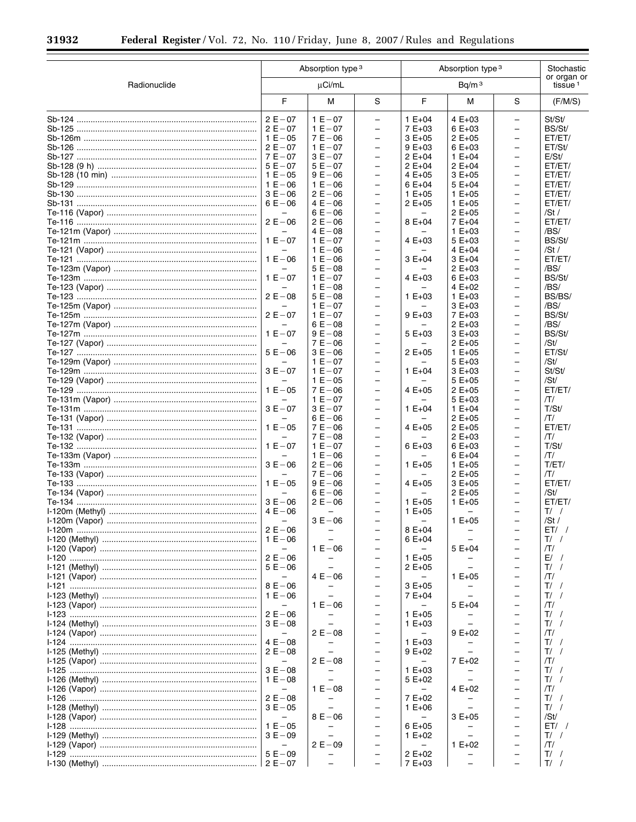$\equiv$ 

▀

|              |                          | Absorption type 3<br>Absorption type 3 |                          |                          |            |                          | Stochastic                         |
|--------------|--------------------------|----------------------------------------|--------------------------|--------------------------|------------|--------------------------|------------------------------------|
| Radionuclide | $\mu$ Ci/mL              |                                        |                          |                          |            |                          | or organ or<br>tissue <sup>1</sup> |
|              | F                        | М                                      | S                        | F                        | М          | S                        | (F/M/S)                            |
|              | $2E - 07$                | $1 E - 07$                             | $\overline{\phantom{0}}$ | $1 E + 04$               | $4E+03$    | $\overline{\phantom{0}}$ | St/St/                             |
|              | $2E - 07$                | $1 E - 07$                             | $\overline{\phantom{0}}$ | $7E+03$                  | $6E+03$    | $\overline{\phantom{0}}$ | BS/St/                             |
|              | $1 E - 05$               | $7E - 06$                              | $\overline{\phantom{0}}$ | $3E+05$                  | $2E+05$    | $\overline{\phantom{0}}$ | ET/ET/                             |
|              | $2E - 07$                | $1 E - 07$                             | $\overline{\phantom{0}}$ | $9E+03$                  | $6E+03$    | $\qquad \qquad -$        | ET/St/                             |
|              | $7E - 07$                | $3E - 07$                              | $\overline{a}$           | $2 E + 04$               | $1 E + 04$ | $\overline{\phantom{0}}$ | E/St/                              |
|              | $5E - 07$                | $5E - 07$                              | $\qquad \qquad -$        | $2 E + 04$               | $2 E + 04$ | $\qquad \qquad -$        | ET/ET/                             |
|              | $1 E - 05$               | $9E - 06$                              | $\overline{\phantom{0}}$ | $4E+05$                  | $3E+05$    | $\overline{\phantom{0}}$ | ET/ET/                             |
|              | $1 E - 06$               | $1 E - 06$                             | $\overline{\phantom{0}}$ | $6E+04$                  | $5E+04$    | $\qquad \qquad -$        | ET/ET/                             |
|              | $3E - 06$                | $2 E - 06$                             | $\overline{\phantom{0}}$ | $1 E + 05$               | $1 E + 05$ | $\overline{\phantom{0}}$ | ET/ET/                             |
|              | $6E - 06$                | $4E - 06$                              | $\overline{\phantom{0}}$ | $2 E + 05$               | $1 E + 05$ | $\overline{\phantom{0}}$ | ET/ET/                             |
|              | $\overline{\phantom{0}}$ | $6E - 06$                              | $\overline{\phantom{0}}$ |                          | $2 E + 05$ | $\overline{\phantom{0}}$ | /St $/$                            |
|              | $2 E - 06$               | $2 E - 06$                             | $\overline{\phantom{0}}$ | $8E+04$                  | 7 E+04     | $\overline{\phantom{0}}$ | ET/ET/                             |
|              |                          | $4E - 08$                              | $\overline{\phantom{0}}$ |                          | $1 E + 03$ | $\overline{\phantom{0}}$ | /BS/                               |
|              | $1 E - 07$               | $1 E - 07$                             | $\qquad \qquad -$        | $4E+03$                  | $5E+03$    | $\qquad \qquad -$        | BS/St/                             |
|              | $\overline{\phantom{0}}$ | $1 E - 06$                             | $\overline{\phantom{0}}$ |                          | $4E+04$    | $\overline{\phantom{0}}$ | /St $/$                            |
|              | $1 E - 06$               | $1 E - 06$                             | $\overline{\phantom{0}}$ | $3E+04$                  | $3E+04$    | $\qquad \qquad -$        | ET/ET/                             |
|              |                          | $5E - 08$                              | $\overline{\phantom{0}}$ |                          | $2 E + 03$ | $\overline{\phantom{0}}$ | /BS/                               |
|              | $1 E - 07$               | $1 E - 07$                             | $\overline{\phantom{0}}$ | $4E+03$                  | $6E+03$    | $\overline{\phantom{0}}$ | BS/St/                             |
|              |                          | $1 E - 08$                             | $\overline{\phantom{0}}$ |                          | 4 $E+02$   | $\overline{\phantom{0}}$ | /BS/                               |
|              | $2E - 08$                | $5E - 08$                              | $\overline{\phantom{0}}$ | $1 E + 03$               | $1 E + 03$ | $\overline{\phantom{0}}$ | BS/BS/                             |
|              |                          | $1 E - 07$                             | $\overline{\phantom{0}}$ |                          | $3E+03$    | $\overline{\phantom{0}}$ | /BS/                               |
|              | $2E - 07$                | $1 E - 07$                             | $\qquad \qquad -$        | $9E+03$                  | 7 E+03     | $\qquad \qquad -$        | BS/St/                             |
|              |                          | $6E - 08$                              | $\overline{\phantom{0}}$ |                          | $2 E + 03$ | $\overline{\phantom{0}}$ | /BS/                               |
|              | $1 E - 07$               | $9E - 08$                              | $\overline{\phantom{0}}$ | $5E+03$                  | $3E+03$    | $\qquad \qquad -$        | BS/St/                             |
|              |                          | $7E - 06$                              | $\overline{\phantom{0}}$ |                          | $2 E + 05$ | $\overline{\phantom{0}}$ | /St/                               |
|              | $5E - 06$                | $3E - 06$                              | $\overline{\phantom{0}}$ | $2 E + 05$               | $1 E + 05$ | $\overline{\phantom{0}}$ | ET/St/                             |
|              |                          | $1 E - 07$                             | $\overline{\phantom{0}}$ |                          | $5E+03$    | $\overline{\phantom{0}}$ | /St/                               |
|              | $3E - 07$                | $1 E - 07$                             | $\overline{\phantom{0}}$ | $1 E + 04$               | $3E+03$    | $\overline{\phantom{0}}$ | St/St/                             |
|              |                          | $1 E - 05$                             | $\overline{\phantom{0}}$ |                          | $5E+05$    | $\overline{\phantom{0}}$ | /St/                               |
|              | $1 E - 05$               | $7E - 06$                              | $\overline{\phantom{0}}$ | $4E+05$                  | $2 E + 05$ | $\qquad \qquad -$        | ET/ET/                             |
|              |                          | $1 E - 07$                             | $\overline{\phantom{0}}$ |                          | $5E+03$    | $\overline{\phantom{0}}$ | ΠI                                 |
|              | $3E - 07$                | $3E - 07$                              | $\overline{\phantom{0}}$ | $1 E + 04$               | $1 E + 04$ | $\qquad \qquad -$        | T/St/                              |
|              |                          | $6E - 06$                              | $\overline{\phantom{0}}$ |                          | $2 E + 05$ | $\overline{\phantom{0}}$ | ЛΊ                                 |
|              | $1 E - 05$               | $7E - 06$                              | $\overline{\phantom{0}}$ | $4E+05$                  | $2 E + 05$ | $\overline{\phantom{0}}$ | ET/ET/                             |
|              |                          | $7E - 08$                              | $\overline{\phantom{0}}$ |                          | $2 E + 03$ | $\overline{\phantom{0}}$ | ΠI                                 |
|              | $1 E - 07$               | $1 E - 07$                             | $\overline{\phantom{0}}$ | $6E+03$                  | $6E+03$    | $\overline{\phantom{0}}$ | T/St/                              |
|              |                          | $1 E - 06$                             | $\overline{\phantom{0}}$ |                          | $6E+04$    | $\overline{\phantom{0}}$ | ЛΊ                                 |
|              | $3E - 06$                | $2 E - 06$                             | $\overline{\phantom{0}}$ | $1 E + 05$               | $1 E + 05$ | $\qquad \qquad -$        | T/ET/                              |
|              | $\overline{\phantom{0}}$ | $7E - 06$                              | $\overline{\phantom{0}}$ |                          | $2 E + 05$ | $\overline{\phantom{0}}$ | ΠI                                 |
|              | $1 E - 05$               | $9E - 06$                              | $\qquad \qquad -$        | $4E+05$                  | $3E+05$    | $\qquad \qquad -$        | ET/ET/                             |
|              | $\overline{\phantom{0}}$ | $6E - 06$                              | $\overline{\phantom{0}}$ |                          | $2 E + 05$ | $\overline{\phantom{0}}$ | /St/                               |
|              | $3E - 06$                | $2 E - 06$                             | $\overline{\phantom{0}}$ | $1 E + 05$               | $1 E + 05$ | $\overline{\phantom{0}}$ | ET/ET/                             |
|              | $4E - 06$                |                                        | $\overline{\phantom{0}}$ | $1 E + 05$               |            | $\overline{\phantom{0}}$ | $T/$ /                             |
|              | $\overline{\phantom{0}}$ | $3E - 06$                              |                          | $\overline{\phantom{0}}$ | $1 E + 05$ |                          | /St $/$                            |
|              | $2 E - 06$               |                                        |                          | $8E+04$                  |            |                          | $ET/$ /                            |
|              | $1 E - 06$               |                                        |                          | $6E + 04$                |            |                          | $T/$ /                             |
|              |                          | $1 E - 06$                             |                          |                          | $5E+04$    |                          | ЛΊ                                 |
|              | $2 E - 06$               |                                        |                          | $1 E + 05$               |            |                          | E/<br>$\prime$                     |
|              | $5E - 06$                |                                        |                          | $2 E + 05$               |            |                          | T/                                 |
|              | $\overline{\phantom{0}}$ | $4E - 06$                              | $\overline{\phantom{0}}$ | $\overline{\phantom{0}}$ | $1 E + 05$ | $\overline{\phantom{0}}$ | /Τ/                                |
|              | $8E - 06$                |                                        |                          | $3E+05$                  |            |                          | T/                                 |
|              | $1 E - 06$               |                                        | $\overline{\phantom{0}}$ | 7 E+04                   |            | $\overline{\phantom{0}}$ | $T/$ /                             |
|              | $\overline{\phantom{m}}$ | $1 E - 06$                             |                          | $\overline{\phantom{0}}$ | $5E+04$    |                          | ЛΊ                                 |
|              | $2E - 06$                |                                        | $\overline{\phantom{0}}$ | $1 E + 05$               |            |                          | $T/$ /                             |
|              | $3E - 08$                |                                        | $\overline{\phantom{0}}$ | $1 E + 03$               |            |                          | T/                                 |
|              |                          | $2 E - 08$                             |                          |                          | $9E+02$    |                          | ПΙ                                 |
|              | $4E - 08$                |                                        |                          | $1 E + 03$               |            |                          | T/                                 |
|              | $2 E - 08$               |                                        | $\overline{\phantom{0}}$ | $9E+02$                  |            | -                        | $T/$ /                             |
|              |                          | $2 E - 08$                             |                          |                          | 7 E+02     |                          | ЛΊ                                 |
|              | $3E - 08$                |                                        | $\overline{\phantom{0}}$ | $1 E + 03$               |            | $\overline{\phantom{0}}$ | $T/$ /                             |
|              | $1 E - 08$               |                                        |                          | $5E+02$                  |            |                          | T/                                 |
|              | $\overline{\phantom{0}}$ | $1 E - 08$                             | $\overline{\phantom{0}}$ |                          | 4 $E+02$   | $\overline{\phantom{0}}$ | ПΙ                                 |
|              | $2E - 08$                |                                        | ÷                        | 7 E+02                   |            |                          | T/                                 |
|              | $3E - 05$                |                                        |                          | $1 E + 06$               |            |                          | $T/$ /                             |
|              | $\qquad \qquad -$        | $8E - 06$                              | ۳                        | $\overline{\phantom{0}}$ | $3E+05$    | L,                       | /St/                               |
|              | $1 E - 05$               |                                        | $\overline{\phantom{0}}$ | $6E+05$                  |            |                          | ET/                                |
|              | $3E - 09$                |                                        | $\overline{\phantom{0}}$ | 1 $E+02$                 |            |                          | $T/$ /                             |
|              |                          | $2 E - 09$                             | $\overline{\phantom{0}}$ |                          | $1 E + 02$ | $\overline{\phantom{0}}$ | ЛΊ                                 |
|              | $5E - 09$                |                                        |                          | $2 E + 02$               |            |                          | $T/$ /                             |
|              | $\vert 2E-07$            |                                        |                          | 7 E+03                   |            |                          | $T/$ /                             |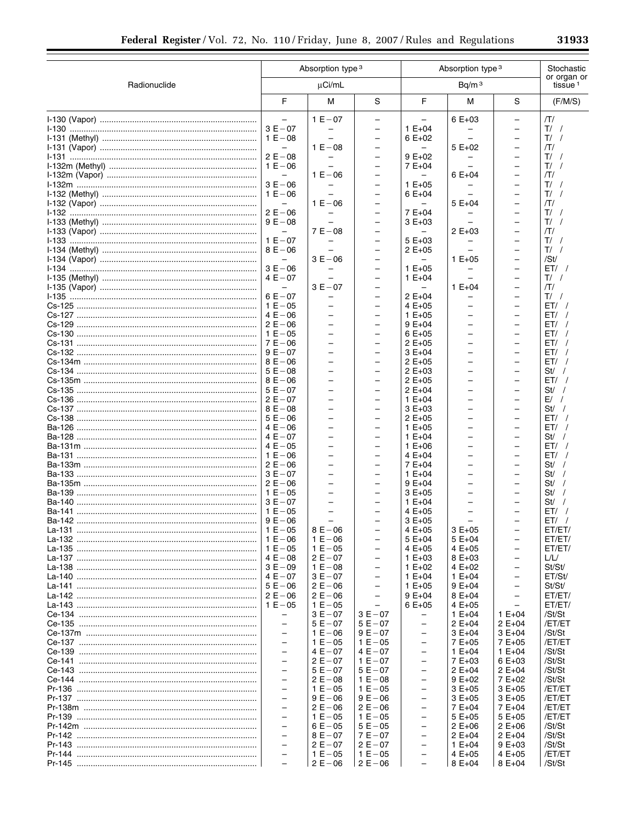ī

|              |                                                      | Absorption type 3<br>Absorption type 3               |                                               |                                                      |                                    | Stochastic                                           |                                    |
|--------------|------------------------------------------------------|------------------------------------------------------|-----------------------------------------------|------------------------------------------------------|------------------------------------|------------------------------------------------------|------------------------------------|
| Radionuclide |                                                      | µCi/mL                                               |                                               |                                                      | Bq/m <sup>3</sup>                  |                                                      | or organ or<br>tissue <sup>1</sup> |
|              | F                                                    | M                                                    | S                                             | F                                                    | M                                  | S                                                    | (F/M/S)                            |
|              |                                                      | $1 E - 07$                                           | $\overline{\phantom{0}}$                      |                                                      | $6E+03$                            | $\overline{\phantom{0}}$                             | ЛΊ                                 |
|              | $3E - 07$                                            |                                                      | $\overline{\phantom{0}}$                      | $1 E + 04$                                           |                                    | $\overline{\phantom{0}}$                             | $T/$ /                             |
|              | $1 E - 08$                                           | $\overline{\phantom{0}}$<br>$1 E - 08$               | $\qquad \qquad -$                             | $6E+02$                                              | $\overline{\phantom{m}}$<br>5 E+02 | $\overline{\phantom{0}}$                             | T/<br>/Τ/                          |
|              | $2 E - 08$                                           | -                                                    | -<br>$\qquad \qquad -$                        | $9E+02$                                              |                                    |                                                      | $T/$ /                             |
|              | $1 E - 06$                                           | $\overline{\phantom{0}}$                             | $\overline{\phantom{0}}$                      | $7E+04$                                              | $\overline{\phantom{0}}$           |                                                      | $T/$ /                             |
|              | $\qquad \qquad -$                                    | $1 E - 06$                                           | $\overline{\phantom{0}}$                      | $\qquad \qquad -$                                    | $6E+04$                            |                                                      | /Τ/                                |
|              | $3E - 06$                                            |                                                      | $\overline{\phantom{0}}$                      | $1 E + 05$                                           |                                    |                                                      | T/                                 |
|              | $1 E - 06$                                           | $1 E - 06$                                           | $\qquad \qquad -$<br>-                        | $6E+04$                                              | $5E+04$                            |                                                      | T/<br>/Τ/                          |
|              | $2E - 06$                                            |                                                      | $\overline{\phantom{0}}$                      | $7E+04$                                              |                                    |                                                      | T/                                 |
|              | $9E - 08$                                            |                                                      | -                                             | $3E+03$                                              |                                    |                                                      | $T/$ /                             |
|              |                                                      | $7E - 08$                                            | $\overline{\phantom{0}}$                      |                                                      | $2E+03$                            | $\overline{\phantom{0}}$                             | /Τ/                                |
|              | $1 E - 07$                                           |                                                      | -                                             | $5E+03$                                              |                                    |                                                      | T/                                 |
|              | $8E - 06$<br>$\overline{\phantom{m}}$                | $3E - 06$                                            | $\qquad \qquad -$<br>$\overline{\phantom{0}}$ | $2 E + 05$                                           | $1 E + 05$                         | $\overline{\phantom{0}}$                             | T/<br>/St/                         |
|              | $3E - 06$                                            |                                                      | $\qquad \qquad -$                             | $1 E + 05$                                           |                                    |                                                      | ET/                                |
|              | $4E - 07$                                            | $\equiv$                                             | $\overline{\phantom{0}}$                      | $1 E + 04$                                           | $\overline{\phantom{0}}$           |                                                      | $T/$ /                             |
|              | $\qquad \qquad -$                                    | $3E - 07$                                            | $\overline{\phantom{0}}$                      | $\qquad \qquad -$                                    | $1 E + 04$                         | $\overline{\phantom{0}}$                             | /Τ/                                |
|              | $6E - 07$                                            |                                                      | $\overline{\phantom{0}}$                      | $2 E + 04$                                           |                                    |                                                      | $T/$ /                             |
|              | $1 E - 05$                                           | $\overline{\phantom{0}}$                             | $\qquad \qquad -$                             | 4 E+05                                               |                                    |                                                      | ET/                                |
|              | $4E - 06$<br>$2E - 06$                               | $\overline{\phantom{0}}$                             | -<br>$\overline{\phantom{0}}$                 | $1 E + 05$<br>$9E+04$                                |                                    | $\overline{\phantom{0}}$                             | ET/<br>ET/                         |
|              | $1 E - 05$                                           | $\overline{\phantom{0}}$                             | -                                             | $6E+05$                                              |                                    |                                                      | ET/                                |
|              | $7E - 06$                                            | $\overline{\phantom{0}}$                             | $\qquad \qquad -$                             | $2E+05$                                              |                                    |                                                      | ET/                                |
|              | $9E - 07$                                            | $\overline{\phantom{0}}$                             | $\overline{\phantom{0}}$                      | $3E+04$                                              |                                    |                                                      | ET/                                |
|              | $8E - 06$                                            | $\overline{\phantom{0}}$<br>$\overline{\phantom{0}}$ | $\qquad \qquad -$<br>$\overline{\phantom{0}}$ | $2E+05$                                              |                                    | $\overline{\phantom{0}}$                             | ET/<br>$St/$ /                     |
|              | $5E - 08$<br>$8E - 06$                               | $\overline{\phantom{0}}$                             | $\overline{\phantom{0}}$                      | $2E+03$<br>$2E+05$                                   |                                    |                                                      | ET/                                |
|              | $5E - 07$                                            | $\overline{\phantom{0}}$                             | -                                             | $2 E + 04$                                           |                                    |                                                      | St/                                |
|              | $2E - 07$                                            | $\overline{\phantom{0}}$                             | $\overline{\phantom{0}}$                      | $1 E + 04$                                           |                                    | $\overline{\phantom{0}}$                             | $E/$ /                             |
|              | $8E - 08$                                            |                                                      | -                                             | $3E+03$                                              |                                    |                                                      | $St/$ /                            |
|              | $5E - 06$                                            | $\overline{\phantom{0}}$                             | $\overline{\phantom{0}}$                      | $2E+05$                                              |                                    | $\overline{\phantom{0}}$                             | ET/                                |
|              | $4E - 06$<br>$4E - 07$                               | $\overline{\phantom{0}}$<br>$\overline{\phantom{0}}$ | -<br>$\overline{\phantom{0}}$                 | $1 E + 05$<br>$1 E + 04$                             |                                    | $\overline{\phantom{0}}$                             | ET/<br>St /                        |
|              | $4E - 05$                                            | $\overline{\phantom{0}}$                             | $\overline{\phantom{0}}$                      | $1 E + 06$                                           |                                    |                                                      | ET/                                |
|              | $1 E - 06$                                           | $\overline{\phantom{0}}$                             | $\qquad \qquad -$                             | $4 E + 04$                                           |                                    |                                                      | ET/                                |
|              | $2E - 06$                                            | $\overline{\phantom{0}}$                             | $\overline{\phantom{0}}$                      | 7 E+04                                               |                                    | $\overline{\phantom{0}}$                             | St/                                |
|              | $3E - 07$                                            | $\overline{\phantom{0}}$<br>$\overline{\phantom{0}}$ | $\qquad \qquad -$<br>$\overline{\phantom{0}}$ | $1 E + 04$                                           |                                    |                                                      | St/<br>St/                         |
|              | $2 E - 06$<br>$1 E - 05$                             | $\overline{\phantom{0}}$                             | $\qquad \qquad -$                             | $9E+04$<br>$3E+05$                                   |                                    |                                                      | St/                                |
|              | $3E - 07$                                            |                                                      |                                               | $1 E + 04$                                           |                                    |                                                      | St/                                |
|              | $1 E - 05$                                           | $\overline{\phantom{0}}$                             | ÷                                             | $4E+05$                                              |                                    |                                                      | ET/                                |
|              | $9E - 06$                                            |                                                      |                                               | $3E+05$                                              |                                    |                                                      | ET/                                |
|              | $1 E - 06$                                           | $8E - 06$<br>$1 E - 06$                              | $\overline{\phantom{0}}$                      | 4 E+05<br>$5E+04$                                    | $3E+05$<br>5 E+04                  | $\overline{\phantom{0}}$<br>$\overline{\phantom{0}}$ | ET/ET/<br>ET/ET/                   |
|              |                                                      | $1 E - 05$                                           | $\overline{\phantom{0}}$                      | 4 E+05                                               | 4 E+05                             | $\overline{\phantom{0}}$                             | ET/ET/                             |
|              | $4E - 08$                                            | $2 E - 07$                                           | $\overline{\phantom{0}}$                      | $1 E + 03$                                           | 8 E+03                             | $\equiv$                                             | L/L/                               |
|              | $3E - 09$                                            | $1 E - 08$                                           | $\overline{\phantom{0}}$                      | $1 E + 02$                                           | 4 $E+02$                           | $\overline{\phantom{0}}$                             | St/St/                             |
|              | $4E - 07$                                            | $3E - 07$                                            | $\overline{\phantom{0}}$<br>$\equiv$          | $1 E + 04$                                           | $1 E + 04$                         | $\overline{\phantom{m}}$<br>$\overline{\phantom{0}}$ | ET/St/                             |
|              | $5E - 06$<br>$2E - 06$                               | $2 E - 06$<br>$2 E - 06$                             | $\overline{\phantom{0}}$                      | $1 E + 05$<br>$9E+04$                                | $9E+04$<br>$8E + 04$               | $\qquad \qquad -$                                    | St/St/<br>ET/ET/                   |
|              | $1 E - 05$                                           | $1 E - 05$                                           | $\overline{\phantom{0}}$                      | $6E+05$                                              | 4 E+05                             | $\overline{\phantom{0}}$                             | ET/ET/                             |
|              |                                                      | $3E - 07$                                            | $3E - 07$                                     |                                                      | $1 E + 04$                         | $1 E + 04$                                           | /St/St                             |
|              | $\bar{\phantom{0}}$                                  | $5E - 07$                                            | $5E - 07$                                     | $\overline{\phantom{0}}$                             | $2 E + 04$                         | $2 E + 04$                                           | /ET/ET                             |
|              | $\equiv$                                             | $1 E - 06$                                           | $9E - 07$                                     | $\overline{\phantom{0}}$                             | $3E+04$                            | $3E+04$                                              | /St/St                             |
|              | $\qquad \qquad -$<br>$\overline{\phantom{0}}$        | $1 E - 05$<br>$4E - 07$                              | $1 E - 05$<br>$4E - 07$                       | $\overline{\phantom{0}}$<br>$\qquad \qquad -$        | 7 E+05<br>$1 E + 04$               | 7 E+05<br>$1 E + 04$                                 | /ET/ET<br>/St/St                   |
|              | $\equiv$                                             | $2E - 07$                                            | $1 E - 07$                                    | $\overline{\phantom{0}}$                             | 7 E+03                             | $6E+03$                                              | /St/St                             |
|              | $\overline{\phantom{0}}$                             | $5E - 07$                                            | $5E - 07$                                     | $\overline{\phantom{0}}$                             | $2 E + 04$                         | $2 E + 04$                                           | /St/St                             |
|              | $\equiv$                                             | $2 E - 08$                                           | $1 E - 08$                                    | $\overline{\phantom{0}}$                             | $9E+02$                            | 7 E+02                                               | /St/St                             |
|              | $\overline{\phantom{0}}$<br>$\overline{\phantom{0}}$ | $1 E - 05$                                           | $1 E - 05$                                    | $\qquad \qquad -$                                    | $3E+05$                            | $3E+05$                                              | /ET/ET                             |
|              | $\overline{\phantom{0}}$                             | $9E - 06$<br>$2 E - 06$                              | $9E - 06$<br>$2 E - 06$                       | $\overline{\phantom{0}}$<br>$\qquad \qquad -$        | $3E+05$<br>7 E+04                  | $3E+05$<br>7 E+04                                    | /ET/ET<br>/ET/ET                   |
|              | $\equiv$                                             | $1 E - 05$                                           | $1 E - 05$                                    | $\overline{\phantom{0}}$                             | $5E+05$                            | $5E+05$                                              | /ET/ET                             |
|              | $\overline{\phantom{0}}$                             | $6E - 05$                                            | $5E - 05$                                     | $\overline{\phantom{0}}$                             | $2E+06$                            | $2 E + 06$                                           | /St/St                             |
|              | $\equiv$                                             | $8E - 07$                                            | $7E - 07$                                     | $\overline{\phantom{0}}$                             | $2 E + 04$                         | $2 E + 04$                                           | /St/St                             |
|              | $\overline{\phantom{0}}$                             | $2E - 07$                                            | $2E - 07$                                     | $\qquad \qquad -$                                    | $1 E + 04$                         | $9E+03$                                              | /St/St                             |
|              | $\qquad \qquad -$<br>$\overline{a}$                  | $1 E - 05$<br>$2E - 06$                              | $1 E - 05$<br>$2 E - 06$                      | $\overline{\phantom{m}}$<br>$\overline{\phantom{0}}$ | 4 E+05<br>8 E+04                   | $4E+05$<br>8 E+04                                    | /ET/ET<br>/St/St                   |
|              |                                                      |                                                      |                                               |                                                      |                                    |                                                      |                                    |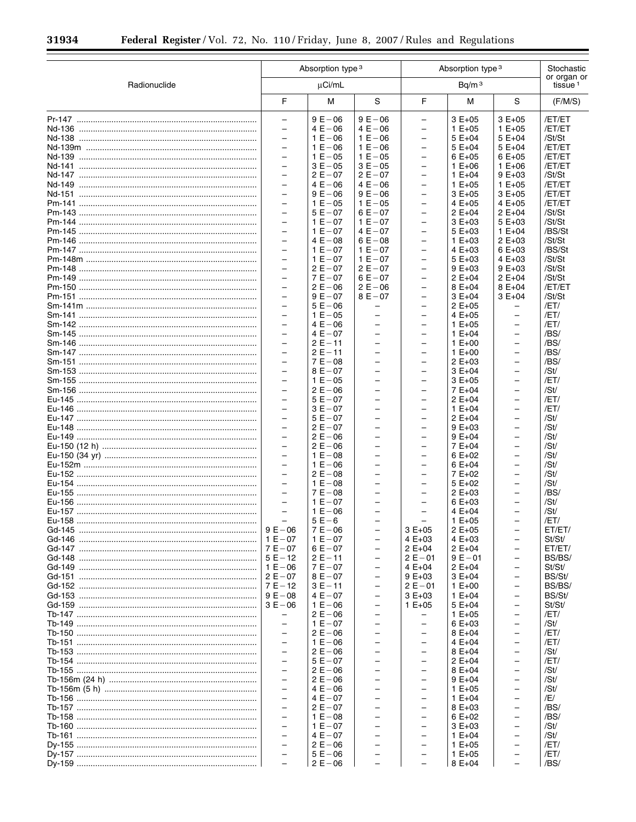$\equiv$ 

▀

|              | Absorption type 3                                    |                         | Absorption type 3        | Stochastic                                           |                          |                                    |                  |
|--------------|------------------------------------------------------|-------------------------|--------------------------|------------------------------------------------------|--------------------------|------------------------------------|------------------|
| Radionuclide | µCi/mL                                               |                         | Bq/m <sup>3</sup>        |                                                      |                          | or organ or<br>tissue <sup>1</sup> |                  |
|              | F                                                    | М                       | S                        | F                                                    | M                        | S                                  | (F/M/S)          |
|              | $\overline{\phantom{0}}$                             | $9E - 06$               | $9E - 06$                | $\overline{\phantom{0}}$                             | $3E+05$                  | $3E+05$                            | /ET/ET           |
|              | $\overline{\phantom{0}}$                             | $4E - 06$               | $4E - 06$                | $\qquad \qquad -$                                    | $1 E + 05$               | $1 E + 05$                         | /ET/ET           |
|              | $\equiv$                                             | $1 E - 06$              | $1 E - 06$               | $\overline{\phantom{0}}$                             | $5E+04$                  | $5E+04$                            | /St/St           |
|              | $\overline{\phantom{0}}$                             | $1 E - 06$              | $1 E - 06$               | $\overline{\phantom{0}}$                             | $5E+04$                  | $5E+04$                            | /ET/ET           |
|              | $\overline{\phantom{0}}$<br>$\overline{\phantom{0}}$ | $1 E - 05$<br>$3E - 05$ | $1 E - 05$<br>$3E - 05$  | $\overline{\phantom{0}}$<br>$\overline{\phantom{0}}$ | $6E+05$                  | $6E+05$<br>$1 E + 06$              | /ET/ET<br>/ET/ET |
|              | $\overline{\phantom{0}}$                             | $2E - 07$               | $2E - 07$                | $\overline{\phantom{0}}$                             | $1 E + 06$<br>$1 E + 04$ | $9E+03$                            | /St/St           |
|              | $\overline{\phantom{0}}$                             | $4E - 06$               | $4E - 06$                | -                                                    | $1 E + 05$               | $1 E + 05$                         | /ET/ET           |
|              | $\equiv$                                             | $9E - 06$               | $9E - 06$                | $\overline{\phantom{0}}$                             | $3E+05$                  | $3E+05$                            | /ET/ET           |
|              | $\overline{\phantom{0}}$                             | $1 E - 05$              | $1 E - 05$               | -                                                    | $4E+05$                  | $4E+05$                            | /ET/ET           |
|              | $\overline{\phantom{0}}$                             | $5E - 07$               | $6E - 07$                | $\overline{\phantom{0}}$                             | $2E+04$                  | $2 E + 04$                         | /St/St           |
|              | $\overline{\phantom{0}}$                             | $1 E - 07$              | $1 E - 07$               | $\overline{\phantom{0}}$                             | $3E+03$                  | 5 E+03                             | /St/St           |
|              | $\overline{\phantom{0}}$                             | $1 E - 07$              | $4E - 07$                | $\overline{\phantom{0}}$                             | $5E+03$                  | $1 E + 04$                         | /BS/St           |
|              | $\overline{\phantom{0}}$                             | $4E - 08$               | $6E - 08$                | $\overline{\phantom{0}}$                             | $1 E + 03$               | $2E+03$                            | /St/St           |
|              | $\overline{\phantom{0}}$                             | $1 E - 07$              | $1 E - 07$               | $\overline{\phantom{0}}$                             | $4E+03$                  | 6 E+03                             | /BS/St           |
|              | $\overline{\phantom{0}}$                             | $1 E - 07$              | $1 E - 07$               | -                                                    | $5E+03$                  | 4 E+03                             | /St/St           |
|              | $\equiv$                                             | $2E - 07$               | $2E - 07$                | $\overline{\phantom{0}}$                             | $9E+03$                  | $9E+03$                            | /St/St           |
|              | $\overline{\phantom{0}}$                             | $7E - 07$               | $6E - 07$                | -                                                    | $2E+04$                  | $2E+04$                            | /St/St           |
|              | $\overline{\phantom{0}}$                             | $2E - 06$               | $2E - 06$                | $\overline{\phantom{0}}$                             | $8E+04$                  | 8 E+04                             | /ET/ET           |
|              | $\overline{\phantom{0}}$                             | $9E - 07$               | $8E - 07$                | $\overline{\phantom{0}}$                             | $3E+04$                  | $3E+04$                            | /St/St           |
|              | $\overline{\phantom{0}}$                             | $5E - 06$               |                          | -                                                    | $2E+05$                  |                                    | /ET/             |
|              | $\overline{\phantom{0}}$                             | $1 E - 05$              | $\qquad \qquad -$        | $\overline{\phantom{0}}$                             | $4E+05$                  | $\overline{\phantom{m}}$           | /ET/             |
|              | $\overline{\phantom{0}}$                             | $4E - 06$               |                          | $\overline{\phantom{0}}$                             | $1 E + 05$               | $\overline{\phantom{0}}$           | /ET/             |
|              | $\overline{\phantom{0}}$                             | $4E - 07$               | $\qquad \qquad -$        | -                                                    | $1 E + 04$               | $\overline{\phantom{0}}$           | /BS/             |
|              | $\equiv$                                             | $2E - 11$               | $\overline{\phantom{0}}$ | $\overline{\phantom{0}}$                             | $1 E + 00$               | $\overline{\phantom{0}}$           | /BS/             |
|              | $\overline{\phantom{0}}$                             | $2E - 11$               | $\overline{\phantom{0}}$ | -                                                    | $1 E+00$                 | $\overline{\phantom{0}}$           | /BS/             |
|              | $\overline{\phantom{0}}$                             | $7E - 08$               |                          | $\overline{\phantom{0}}$                             | $2E+03$                  | $\overline{\phantom{0}}$           | /BS/             |
|              | $\overline{\phantom{0}}$                             | $8E - 07$               | $\qquad \qquad -$        | $\overline{\phantom{0}}$                             | $3E+04$                  | $\overline{\phantom{0}}$           | /St/             |
|              | $\overline{\phantom{0}}$                             | $1 E - 05$              |                          | $\overline{\phantom{0}}$                             | $3E+05$                  |                                    | /ET/             |
|              | $\overline{\phantom{0}}$                             | $2E - 06$               | $\qquad \qquad -$        | $\overline{\phantom{0}}$                             | 7 E+04                   | $\overline{\phantom{m}}$           | /St/             |
|              | $\overline{\phantom{0}}$                             | $5E - 07$               |                          | $\overline{\phantom{0}}$                             | $2E+04$                  | $\overline{\phantom{0}}$           | /ET/             |
|              | $\overline{\phantom{0}}$                             | $3E - 07$               | $\overline{\phantom{0}}$ | -                                                    | $1 E + 04$               | -                                  | /ET/             |
|              | $\equiv$                                             | $5E - 07$               |                          | $\overline{\phantom{0}}$                             | $2E+04$                  | $\overline{\phantom{0}}$           | /St/             |
|              | $\overline{\phantom{0}}$                             | $2E - 07$               | $\overline{\phantom{0}}$ | -                                                    | $9E+03$                  | -                                  | /St/             |
|              | $\overline{\phantom{0}}$                             | $2E - 06$               |                          | $\overline{\phantom{0}}$                             | $9E+04$                  | $\overline{\phantom{0}}$           | /St/             |
|              | $\overline{\phantom{0}}$                             | $2E - 06$               | $\qquad \qquad -$        | $\overline{\phantom{0}}$                             | $7E+04$                  | $\overline{\phantom{0}}$           | /St/             |
|              | $\overline{\phantom{0}}$                             | $1 E - 08$              |                          | $\overline{\phantom{0}}$                             | $6E+02$                  |                                    | /St/             |
|              | $\overline{\phantom{0}}$                             | $1 E - 06$              | $\qquad \qquad -$        | $\overline{\phantom{0}}$                             | $6E+04$                  | $\overline{\phantom{m}}$           | /St/             |
|              | $\overline{\phantom{0}}$                             | $2E - 08$               |                          | $\overline{\phantom{0}}$                             | $7E+02$                  | $\overline{\phantom{0}}$           | /St/             |
|              | $\overline{\phantom{0}}$                             | $1 E - 08$              | $\overline{\phantom{0}}$ | $\overline{\phantom{0}}$                             | $5E+02$                  | $\overline{\phantom{0}}$           | /St/             |
|              | $\equiv$                                             | $7E - 08$               |                          | $\overline{\phantom{0}}$                             | $2 E + 03$               | $\overline{\phantom{0}}$           | /BS/             |
|              | $\overline{\phantom{0}}$                             | $1 E - 07$              | $\overline{\phantom{0}}$ | -                                                    | $6E+03$                  | -                                  | /St/             |
|              | $\equiv$                                             | $1 E - 06$              |                          |                                                      | $4E+04$                  |                                    | /St/             |
|              |                                                      | $5E-6$                  |                          |                                                      | $1 E + 05$               |                                    | /ET/             |
|              | $9E - 06$                                            | $7 E - 06$              |                          | $3E+05$                                              | $2 E + 05$               |                                    | ET/ET/           |
|              | $1 E - 07$                                           | $1 E - 07$              | $\overline{\phantom{0}}$ | $4E+03$                                              | $4E+03$                  | $\overline{\phantom{0}}$           | St/St/           |
|              |                                                      | $6E - 07$               |                          | $2 E + 04$                                           | $2 E + 04$               |                                    | ET/ET/           |
|              | $5E - 12$                                            | $2E - 11$               | $\overline{\phantom{0}}$ | $2E - 01$                                            | $9E - 01$                | $\overline{\phantom{0}}$           | BS/BS/           |
|              | $1 E - 06$                                           | $7E - 07$               |                          | 4 E+04                                               | $2 E + 04$               | $\overline{\phantom{0}}$           | St/St/           |
|              | $2E - 07$                                            | $8E - 07$               | $\qquad \qquad -$        | $9E+03$                                              | $3E+04$                  | -                                  | BS/St/           |
|              |                                                      | $3E - 11$               |                          | $2E - 01$                                            | $1 E + 00$               | $\overline{\phantom{0}}$           | BS/BS/           |
|              | $9E - 08$                                            | $4E - 07$               | $\overline{\phantom{0}}$ | $3E+03$                                              | $1 E + 04$<br>$5E+04$    | -                                  | BS/St/           |
|              | $3E - 06$                                            | $1 E - 06$              |                          | $1 E + 05$                                           |                          |                                    | St/St/           |
|              | $\overline{\phantom{0}}$<br>$\overline{\phantom{0}}$ | $2E - 06$<br>$1 E - 07$ | $\overline{\phantom{0}}$ | -                                                    | $1 E + 05$               | $\overline{\phantom{0}}$           | /ET/             |
|              | $\overline{\phantom{0}}$                             |                         |                          | -                                                    | $6E+03$                  | $\overline{\phantom{0}}$           | /St/             |
|              | $\overline{\phantom{0}}$                             | $2 E - 06$              |                          |                                                      | 8 E+04                   |                                    | /ET/             |
|              | $\qquad \qquad -$                                    | $1 E - 06$<br>$2E - 06$ |                          | $\overline{\phantom{0}}$                             | $4E+04$                  | $\overline{\phantom{0}}$           | /ET/             |
|              | $\overline{\phantom{0}}$                             | $5E - 07$               |                          | -<br>$\overline{\phantom{0}}$                        | 8 E+04<br>$2 E + 04$     | -<br>$\overline{\phantom{0}}$      | /St/<br>/ET/     |
|              | $\qquad \qquad -$                                    | $2E - 06$               |                          | -                                                    | 8 E+04                   | $\overline{\phantom{0}}$           | /St/             |
|              | $\overline{\phantom{0}}$                             | $2 E - 06$              |                          |                                                      |                          |                                    | /St/             |
|              | $\overline{\phantom{0}}$                             | $4E - 06$               | $\overline{\phantom{0}}$ | $\overline{\phantom{0}}$                             | $9E+04$<br>$1 E + 05$    | $\overline{\phantom{0}}$           | /St/             |
|              | $\overline{\phantom{0}}$                             | $4E - 07$               |                          | $\overline{\phantom{0}}$                             |                          |                                    | /E/              |
|              | $\overline{\phantom{0}}$                             | $2E - 07$               |                          | $\overline{\phantom{0}}$                             | $1 E + 04$               | $\overline{\phantom{0}}$           |                  |
|              | $\overline{\phantom{0}}$                             | $1 E - 08$              |                          | $\overline{\phantom{0}}$                             | 8 E+03                   | $\overline{\phantom{0}}$           | /BS/<br>/BS/     |
|              |                                                      |                         |                          |                                                      | $6E+02$                  |                                    |                  |
|              | $\overline{\phantom{0}}$<br>$\overline{\phantom{0}}$ | $1 E - 07$<br>$4E - 07$ |                          | -<br>$\overline{\phantom{0}}$                        | $3E+03$                  | -<br>$\overline{\phantom{0}}$      | /St/             |
|              | $\qquad \qquad -$                                    | $2 E - 06$              |                          | -                                                    | $1 E + 04$               | $\overline{\phantom{0}}$           | /St/             |
|              | $\overline{\phantom{0}}$                             | $5E - 06$               |                          |                                                      | $1 E + 05$<br>$1 E + 05$ |                                    | /ET/<br>/ET/     |
|              | $\overline{\phantom{0}}$                             | $2 E - 06$              |                          | $\overline{\phantom{0}}$                             | $8E+04$                  | $\overline{\phantom{m}}$           | /BS/             |
|              |                                                      |                         |                          |                                                      |                          |                                    |                  |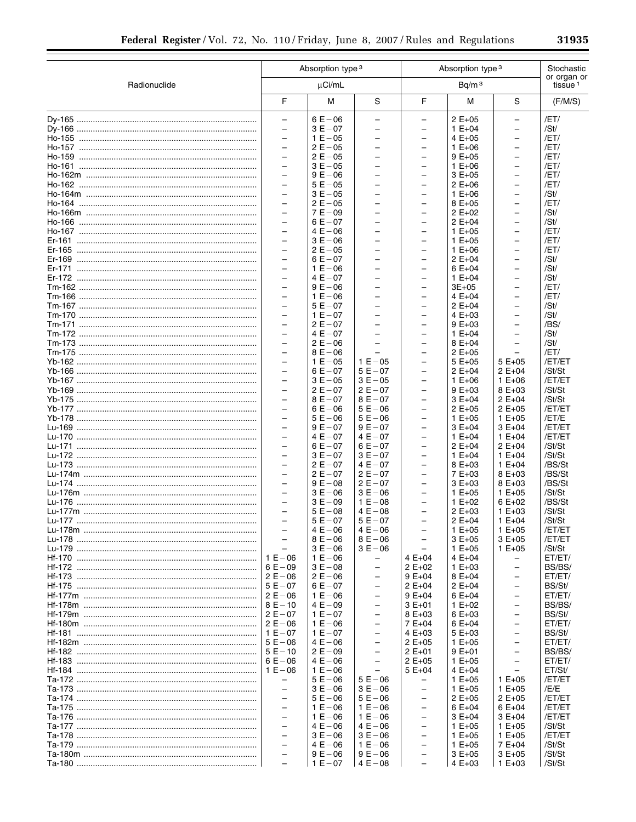|              |                                                      | Absorption type 3<br>Absorption type 3 |                                                      |                                                      |                          |                                                      | Stochastic                         |
|--------------|------------------------------------------------------|----------------------------------------|------------------------------------------------------|------------------------------------------------------|--------------------------|------------------------------------------------------|------------------------------------|
| Radionuclide |                                                      | $\mu$ Ci/mL                            |                                                      |                                                      | Bq/m <sup>3</sup>        |                                                      | or organ or<br>tissue <sup>1</sup> |
|              | F                                                    | М                                      | S                                                    | F                                                    | M                        | S                                                    | (F/M/S)                            |
|              | $\overline{\phantom{0}}$                             | $6E - 06$                              | -                                                    | -                                                    | $2 E + 05$               | $\qquad \qquad -$                                    | /ET/                               |
|              | $\overline{\phantom{0}}$                             | $3E - 07$                              | $\overline{\phantom{0}}$                             | $\overline{\phantom{0}}$                             | $1 E + 04$               | $\qquad \qquad -$                                    | /St/                               |
|              | $\overline{\phantom{0}}$                             | $1 E - 05$                             | $\overline{\phantom{0}}$                             | -                                                    | 4 E+05                   | $\qquad \qquad -$                                    | /ET/                               |
|              | $\overline{\phantom{0}}$                             | $2 E - 05$                             | -                                                    | -                                                    | $1 E + 06$               |                                                      | /ET/                               |
|              | $\overline{a}$                                       | $2E - 05$                              | $\overline{\phantom{0}}$                             | $\overline{\phantom{0}}$                             | $9E+05$                  | $\overline{\phantom{0}}$                             | /ET/                               |
|              |                                                      | $3E - 05$                              | -                                                    | -                                                    | $1 E + 06$               |                                                      | /ET/                               |
|              | $\overline{\phantom{0}}$                             | $9E - 06$                              | $\overline{\phantom{0}}$                             | $\overline{\phantom{0}}$                             | $3E+05$                  | $\overline{\phantom{0}}$                             | /ET/                               |
|              | $\overline{\phantom{0}}$                             | $5E - 05$                              | $\overline{\phantom{0}}$                             | $\overline{\phantom{0}}$                             | $2 E + 06$               | $\overline{\phantom{0}}$                             | /ET/                               |
|              | $\overline{\phantom{0}}$<br>$\overline{\phantom{0}}$ | $3E - 05$                              | -<br>$\overline{\phantom{0}}$                        | $\overline{\phantom{0}}$<br>$\overline{\phantom{0}}$ | $1 E + 06$               | $\overline{\phantom{0}}$<br>$\overline{\phantom{0}}$ | /St/                               |
|              | $\overline{\phantom{0}}$                             | $2E - 05$<br>$7E - 09$                 | $\overline{\phantom{0}}$                             | -                                                    | 8 E+05<br>$2 E + 02$     | $\qquad \qquad -$                                    | /ET/<br>/St/                       |
|              | $\overline{\phantom{0}}$                             | $6E - 07$                              | $\overline{\phantom{0}}$                             | $\overline{\phantom{0}}$                             | $2 E + 04$               | $\overline{\phantom{0}}$                             | /St/                               |
|              | $\overline{\phantom{0}}$                             | $4E - 06$                              | $\overline{\phantom{0}}$                             | $\overline{\phantom{0}}$                             | $1 E + 05$               | $\overline{\phantom{0}}$                             | /ET/                               |
|              | $\overline{\phantom{0}}$                             | $3E - 06$                              | $\overline{\phantom{0}}$                             | $\overline{\phantom{0}}$                             | $1 E + 05$               | $\overline{\phantom{0}}$                             | /ET/                               |
|              | $\overline{\phantom{0}}$                             | $2E - 05$                              | $\overline{\phantom{0}}$                             | $\overline{\phantom{0}}$                             | $1 E + 06$               | $\overline{\phantom{0}}$                             | /ET/                               |
|              |                                                      | $6E - 07$                              | -                                                    | -                                                    | $2 E + 04$               |                                                      | /St/                               |
|              | $\overline{a}$                                       | $1 E - 06$                             | $\overline{\phantom{0}}$                             | $\overline{\phantom{0}}$                             | $6E+04$                  | $\overline{\phantom{0}}$                             | /St/                               |
|              |                                                      | $4E - 07$                              | -                                                    | -                                                    | $1 E + 04$               |                                                      | /St/                               |
|              | $\overline{\phantom{0}}$                             | $9E - 06$                              | $\overline{\phantom{0}}$                             | $\overline{\phantom{0}}$                             | $3E + 05$                | $\overline{\phantom{0}}$                             | /ET/                               |
|              | $\overline{\phantom{0}}$                             | $1 E - 06$                             | $\overline{\phantom{0}}$                             | $\overline{\phantom{0}}$                             | 4 $E + 04$               | -                                                    | /ET/                               |
|              | $\overline{\phantom{0}}$                             | $5E - 07$                              | $\overline{\phantom{0}}$                             | $\overline{\phantom{0}}$                             | $2 E + 04$               | $\overline{\phantom{0}}$                             | /St/                               |
|              | $\overline{\phantom{0}}$                             | $1 E - 07$                             | $\overline{\phantom{0}}$                             | $\overline{\phantom{0}}$                             | $4E+03$                  | $\overline{\phantom{0}}$                             | /St/                               |
|              | $\overline{\phantom{0}}$                             | $2E - 07$                              | $\overline{\phantom{0}}$                             | -                                                    | $9E+03$                  | $\qquad \qquad -$                                    | /BS/                               |
|              | $\overline{\phantom{0}}$                             | $4E - 07$                              | $\overline{\phantom{0}}$                             | $\overline{\phantom{0}}$                             | $1 E + 04$               | $\overline{\phantom{0}}$                             | /St/                               |
|              | $\overline{\phantom{0}}$<br>$\overline{\phantom{0}}$ | $2E - 06$<br>$8E - 06$                 | $\overline{\phantom{0}}$                             | $\overline{\phantom{0}}$<br>$\overline{\phantom{0}}$ | 8 E+04<br>$2 E + 05$     | $\overline{\phantom{0}}$                             | /St/<br>/ET/                       |
|              | $\overline{\phantom{0}}$                             | $1 E - 05$                             | $1 E - 05$                                           | $\overline{\phantom{0}}$                             | $5E+05$                  | $5E+05$                                              | /ET/ET                             |
|              | $\overline{\phantom{0}}$                             | $6E - 07$                              | $5E - 07$                                            | -                                                    | $2 E + 04$               | $2 E + 04$                                           | /St/St                             |
|              | $\overline{a}$                                       | $3E - 05$                              | $3E - 05$                                            | $\overline{\phantom{0}}$                             | $1 E + 06$               | $1 E + 06$                                           | /ET/ET                             |
|              | $\overline{\phantom{0}}$                             | $2E - 07$                              | $2E - 07$                                            | -                                                    | $9E+03$                  | 8 E+03                                               | /St/St                             |
|              | $\overline{\phantom{0}}$                             | $8E - 07$                              | $8E - 07$                                            | $\overline{\phantom{0}}$                             | $3E+04$                  | $2 E + 04$                                           | /St/St                             |
|              | $\overline{\phantom{0}}$                             | $6E - 06$                              | $5E - 06$                                            | $\overline{\phantom{0}}$                             | $2 E + 05$               | $2E+05$                                              | /ET/ET                             |
|              | $\overline{\phantom{0}}$                             | $5E - 06$                              | $5E - 06$                                            | $\overline{\phantom{0}}$                             | $1 E + 05$               | $1 E + 05$                                           | /ET/E                              |
|              | $\overline{\phantom{0}}$                             | $9E - 07$                              | $9E - 07$                                            | $\overline{\phantom{0}}$                             | $3E+04$                  | 3 E+04                                               | /ET/ET                             |
|              | $\overline{\phantom{0}}$                             | $4E - 07$                              | $4E - 07$                                            | $\overline{\phantom{0}}$                             | $1 E + 04$               | $1 E + 04$                                           | /ET/ET                             |
|              | $\overline{\phantom{0}}$                             | $6E - 07$                              | $6E - 07$                                            | $\overline{\phantom{0}}$                             | $2 E + 04$               | $2 E + 04$                                           | /St/St                             |
|              | $\overline{\phantom{0}}$                             | $3E - 07$                              | $3E - 07$                                            | $\overline{\phantom{0}}$                             | $1 E + 04$               | $1 E + 04$                                           | /St/St                             |
|              | $\overline{\phantom{0}}$                             | $2E - 07$                              | $4E - 07$                                            | $\overline{\phantom{0}}$                             | 8 E+03                   | $1 E + 04$                                           | /BS/St                             |
|              | $\overline{\phantom{0}}$<br>$\overline{\phantom{0}}$ | $2E - 07$<br>$9E - 08$                 | $2E - 07$<br>$2E - 07$                               | $\overline{\phantom{0}}$<br>-                        | 7 E+03<br>$3E+03$        | 8 E+03<br>8 E+03                                     | /BS/St<br>/BS/St                   |
|              | $\overline{\phantom{0}}$                             | $3E - 06$                              | $3E - 06$                                            | $\overline{\phantom{0}}$                             | $1 E + 05$               | $1 E + 05$                                           | /St/St                             |
|              |                                                      | $3E - 09$                              | $1 E - 08$                                           | -                                                    | $1 E + 02$               | $6E+02$                                              | /BS/St                             |
|              | $\overline{\phantom{0}}$                             | $5E - 08$                              | $4E - 08$                                            | $\overline{\phantom{0}}$                             | $2 E + 03$               | $1 E + 03$                                           | /St/St                             |
|              |                                                      | $5E - 07$                              | $5E - 07$                                            |                                                      | $2 E + 04$               | $1 E + 04$                                           | /St/St                             |
|              |                                                      | $4E - 06$                              | $4E - 06$                                            |                                                      | $1 E + 05$               | $1 E + 05$                                           | /ET/ET                             |
|              | $\equiv$                                             | $8E - 06$                              | $8E - 06$                                            |                                                      | $3E+05$                  | $3E+05$                                              | /ET/ET                             |
|              |                                                      | $3E - 06$                              | $3E - 06$                                            |                                                      | $1 E + 05$               | $1 E + 05$                                           | /St/St                             |
|              | $1 E - 06$                                           | $1 E - 06$                             | -                                                    | 4 E+04                                               | $4E+04$                  |                                                      | ET/ET/                             |
|              | $6E - 09$                                            | $3E - 08$                              | $\overline{\phantom{0}}$                             | $2 E+02$                                             | $1 E + 03$               |                                                      | BS/BS/                             |
|              | $2E - 06$                                            | $2 E - 06$                             | $\overline{\phantom{0}}$                             | $9E+04$                                              | $8E+04$                  | $\overline{\phantom{0}}$                             | ET/ET/                             |
|              | $5E - 07$                                            | $6E - 07$                              | $\qquad \qquad -$                                    | $2 E + 04$                                           | $2 E + 04$               | $\overline{\phantom{0}}$                             | BS/St/                             |
|              | $2 E - 06$<br>$8E - 10$                              | $1 E - 06$<br>$4E - 09$                | $\overline{\phantom{0}}$<br>$\overline{\phantom{0}}$ | $9E+04$<br>$3E+01$                                   | $6E+04$<br>$1 E + 02$    | $\overline{a}$                                       | ET/ET/<br>BS/BS/                   |
|              | $2E - 07$                                            | $1 E - 07$                             | —                                                    | 8 E+03                                               | $6E+03$                  | $\overline{\phantom{0}}$                             | BS/St/                             |
|              | $2E - 06$                                            | $1 E - 06$                             | $\overline{\phantom{0}}$                             | 7 E+04                                               | $6E+04$                  | $\overline{a}$                                       | ET/ET/                             |
|              | $1 E - 07$                                           | $1 E - 07$                             | $\overline{\phantom{0}}$                             | $4E+03$                                              | $5E+03$                  |                                                      | BS/St/                             |
|              | $5E - 06$                                            | $4E - 06$                              | $\overline{\phantom{0}}$                             | $2 E + 05$                                           | $1 E + 05$               | $\overline{\phantom{0}}$                             | ET/ET/                             |
|              | $5E - 10$                                            | $2 E - 09$                             | $\overline{\phantom{0}}$                             | $2E+01$                                              | $9E+01$                  | $\overline{\phantom{0}}$                             | BS/BS/                             |
|              | $6E - 06$                                            | $4E - 06$                              | $\overline{\phantom{0}}$                             | $2 E + 05$                                           | $1 E + 05$               | $\overline{\phantom{0}}$                             | ET/ET/                             |
|              | $1 E - 06$                                           | $1 E - 06$                             | $\overline{\phantom{0}}$                             | $5E+04$                                              | $4E+04$                  |                                                      | ET/St/                             |
|              | -                                                    | $5E - 06$                              | $5E - 06$                                            | -                                                    | $1 E + 05$               | $1 E + 05$                                           | /ET/ET                             |
|              | $\overline{\phantom{0}}$                             | $3E - 06$                              | $3E - 06$                                            | $\overline{\phantom{0}}$                             | $1 E + 05$               | $1 E + 05$                                           | /E/E                               |
|              | $\qquad \qquad -$                                    | $5E - 06$                              | $5E - 06$                                            | $\overline{\phantom{0}}$                             | $2 E + 05$               | $2 E + 05$                                           | /ET/ET                             |
|              | $\overline{\phantom{0}}$                             | $1 E - 06$                             | $1 E - 06$                                           | $\overline{\phantom{0}}$                             | $6E+04$                  | $6E+04$                                              | /ET/ET                             |
|              | $\equiv$                                             | $1 E - 06$                             | $1 E - 06$                                           | $\overline{\phantom{0}}$                             | $3E+04$                  | $3E+04$                                              | /ET/ET                             |
|              | $\overline{\phantom{0}}$<br>$\overline{a}$           | $4E - 06$<br>$3E - 06$                 | $4E - 06$<br>$3E - 06$                               | $\overline{\phantom{0}}$<br>$\overline{\phantom{0}}$ | $1 E + 05$<br>$1 E + 05$ | $1 E + 05$<br>$1 E + 05$                             | /St/St<br>/ET/ET                   |
|              |                                                      | $4E - 06$                              | $1 E - 06$                                           | -                                                    | $1 E + 05$               | 7 E+04                                               | /St/St                             |
|              | $\equiv$                                             | $9E - 06$                              | $9E - 06$                                            | -                                                    | $3E+05$                  | $3E+05$                                              | /St/St                             |
|              | $\equiv$                                             | $1 E - 07$                             | $4E - 08$                                            | $\qquad \qquad -$                                    | $4E+03$                  | $1 E + 03$                                           | /St/St                             |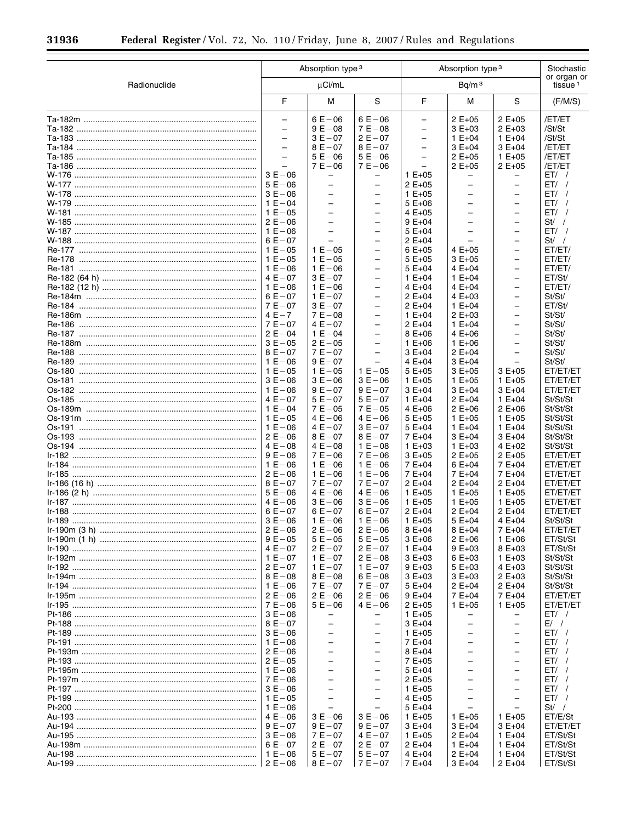$\equiv$ 

▀

|              |                                                      | Absorption type 3<br>Absorption type 3               |                                                      |                                                      |                          |                                                      | Stochastic                         |  |
|--------------|------------------------------------------------------|------------------------------------------------------|------------------------------------------------------|------------------------------------------------------|--------------------------|------------------------------------------------------|------------------------------------|--|
| Radionuclide |                                                      | µCi/mL                                               |                                                      |                                                      | Bq/m <sup>3</sup>        |                                                      | or organ or<br>tissue <sup>1</sup> |  |
|              | F                                                    | М                                                    | S                                                    | F                                                    | M                        | S                                                    | (F/M/S)                            |  |
|              | $\overline{\phantom{0}}$                             | $6E - 06$                                            | $6E - 06$                                            | $\overline{\phantom{0}}$                             | $2E+05$                  | $2 E + 05$                                           | /ET/ET                             |  |
|              | $\overline{\phantom{0}}$                             | $9E - 08$                                            | $7 E - 08$                                           | $\overline{\phantom{0}}$                             | $3E+03$                  | $2 E + 03$                                           | /St/St                             |  |
|              | $\overline{\phantom{0}}$<br>$\overline{\phantom{0}}$ | $3E - 07$<br>$8E - 07$                               | $2E - 07$<br>$8E - 07$                               | $\overline{\phantom{0}}$<br>$\overline{\phantom{0}}$ | $1 E + 04$<br>$3E+04$    | $1 E + 04$<br>$3E+04$                                | /St/St<br>/ET/ET                   |  |
|              | L.                                                   | $5E - 06$                                            | $5E - 06$                                            | $\equiv$                                             | $2 E + 05$               | $1 E + 05$                                           | /ET/ET                             |  |
|              | $\equiv$                                             | $7E - 06$                                            | $7E - 06$                                            | $\overline{\phantom{0}}$                             | $2 E + 05$               | $2E+05$                                              | /ET/ET                             |  |
|              | $3E - 06$                                            | $\overline{\phantom{0}}$                             | $\overline{\phantom{0}}$                             | $1 E + 05$                                           | -                        |                                                      | $ET/$ /                            |  |
|              | $5E - 06$                                            | $\overline{\phantom{0}}$                             | $\overline{\phantom{0}}$                             | $2 E + 05$                                           | $\overline{\phantom{0}}$ | $\overline{\phantom{0}}$                             | ET/                                |  |
|              | $3E - 06$                                            | $\overline{\phantom{a}}$                             | $\overline{\phantom{0}}$                             | $1 E + 05$                                           | $\overline{\phantom{0}}$ | $\overline{\phantom{0}}$                             | ET/ /                              |  |
|              | $1 E - 04$                                           | $\overline{\phantom{m}}$                             | $\overline{a}$                                       | $5E+06$                                              | $\overline{\phantom{0}}$ | $\overline{\phantom{0}}$                             | ET/                                |  |
|              | $1 E - 05$                                           |                                                      | $\overline{\phantom{0}}$                             | 4 E+05                                               |                          | $\overline{\phantom{0}}$                             | ET/ /                              |  |
|              | $2E - 06$                                            | $\overline{\phantom{m}}$                             | $\overline{\phantom{0}}$                             | $9E+04$                                              | $\overline{\phantom{0}}$ | $\overline{\phantom{0}}$                             | St / /                             |  |
|              | $1 E - 06$                                           | $\overline{a}$                                       | $\overline{\phantom{0}}$                             | $5E+04$                                              | L                        | ÷                                                    | $ET/$ /                            |  |
|              | $6E - 07$                                            |                                                      | $\qquad \qquad -$                                    | $2 E + 04$                                           |                          | $\overline{\phantom{0}}$                             | St /                               |  |
|              | $1 E - 05$                                           | $1 E - 05$                                           | $\overline{\phantom{0}}$                             | $6E+05$                                              | $4E+05$                  | $\overline{a}$                                       | ET/ET/                             |  |
|              | $1 E - 05$                                           | $1 E - 05$                                           | $\overline{\phantom{0}}$                             | $5E+05$                                              | $3E+05$                  | $\overline{\phantom{0}}$                             | ET/ET/                             |  |
|              | $1 E - 06$                                           | $1 E - 06$                                           | $\overline{\phantom{0}}$                             | $5E+04$                                              | $4E+04$                  | $\overline{\phantom{0}}$                             | ET/ET/                             |  |
|              | $4E - 07$                                            | $3E - 07$                                            | $\overline{\phantom{0}}$<br>$\overline{\phantom{0}}$ | $1 E + 04$                                           | $1 E + 04$<br>$4E+04$    | $\overline{\phantom{m}}$<br>$\overline{\phantom{0}}$ | ET/St/                             |  |
|              | $1 E - 06$<br>$6E - 07$                              | $1 E - 06$<br>$1 E - 07$                             | $\overline{\phantom{0}}$                             | $4E+04$<br>$2 E + 04$                                | $4E+03$                  | $\overline{\phantom{m}}$                             | ET/ET/<br>St/St/                   |  |
|              | $7E - 07$                                            | $3E - 07$                                            | $\overline{\phantom{0}}$                             | $2 E + 04$                                           | $1 E + 04$               | $\overline{\phantom{0}}$                             | ET/St/                             |  |
|              | $4E - 7$                                             | $7E - 08$                                            | $\qquad \qquad -$                                    | $1 E + 04$                                           | $2 E + 03$               | $\overline{\phantom{0}}$                             | St/St/                             |  |
|              | $7E - 07$                                            | $4E - 07$                                            | $\overline{\phantom{0}}$                             | $2 E + 04$                                           | $1 E + 04$               | $\overline{\phantom{0}}$                             | St/St/                             |  |
|              | $2E - 04$                                            | $1 E - 04$                                           | $\qquad \qquad -$                                    | $8E+06$                                              | $4E+06$                  | $\overline{\phantom{0}}$                             | St/St/                             |  |
|              | $3E - 05$                                            | $2E - 05$                                            | $\overline{\phantom{0}}$                             | $1 E + 06$                                           | $1 E + 06$               | $\overline{\phantom{0}}$                             | St/St/                             |  |
|              | $8E - 07$                                            | $7E - 07$                                            | $\overline{\phantom{0}}$                             | $3E+04$                                              | $2 E + 04$               | $\overline{\phantom{m}}$                             | St/St/                             |  |
|              | $1 E - 06$                                           | $9E - 07$                                            |                                                      | $4E+04$                                              | $3E+04$                  | $\overline{\phantom{0}}$                             | St/St/                             |  |
|              | $1 E - 05$                                           | $1 E - 05$                                           | $1 E - 05$                                           | $5E+05$                                              | $3E+05$                  | $3E+05$                                              | ET/ET/ET                           |  |
|              | $3E - 06$                                            | $3E - 06$                                            | $3E - 06$                                            | $1 E + 05$                                           | $1 E + 05$               | $1 E + 05$                                           | ET/ET/ET                           |  |
|              | $1 E - 06$                                           | $9E - 07$                                            | $9E - 07$                                            | $3E+04$                                              | $3E+04$                  | $3E+04$                                              | ET/ET/ET                           |  |
|              | $4E - 07$                                            | $5E - 07$                                            | $5E - 07$                                            | $1 E + 04$                                           | $2 E + 04$               | $1 E + 04$                                           | St/St/St                           |  |
|              | $1 E - 04$                                           | $7E - 05$                                            | $7E - 05$                                            | $4E+06$                                              | $2 E + 06$               | $2 E+06$                                             | St/St/St                           |  |
|              | $1 E - 05$                                           | $4E - 06$                                            | $4E - 06$                                            | $5E+05$                                              | $1 E + 05$               | $1 E + 05$                                           | St/St/St                           |  |
|              | $1 E - 06$<br>$2E - 06$                              | $4E - 07$<br>$8E - 07$                               | $3E - 07$<br>$8E - 07$                               | $5E+04$<br>7 E+04                                    | $1 E + 04$<br>$3E+04$    | $1 E + 04$<br>$3E+04$                                | St/St/St<br>St/St/St               |  |
|              | $4E - 08$                                            | $4E - 08$                                            | $1 E - 08$                                           | $1 E + 03$                                           | $1 E + 03$               | 4 E+02                                               | St/St/St                           |  |
|              | $9E - 06$                                            | $7E - 06$                                            | $7E - 06$                                            | $3E+05$                                              | $2 E + 05$               | 2 E+05                                               | ET/ET/ET                           |  |
|              | $1 E - 06$                                           | $1 E - 06$                                           | $1 E - 06$                                           | 7 E+04                                               | $6E+04$                  | 7 E+04                                               | ET/ET/ET                           |  |
|              | $2E - 06$                                            | $1 E - 06$                                           | $1 E - 06$                                           | 7 E+04                                               | 7 E+04                   | 7 E+04                                               | ET/ET/ET                           |  |
|              | $8E - 07$                                            | $7E - 07$                                            | $7E - 07$                                            | $2 E + 04$                                           | $2 E + 04$               | $2 E + 04$                                           | ET/ET/ET                           |  |
|              | $5E - 06$                                            | $4E - 06$                                            | $4E - 06$                                            | $1 E + 05$                                           | $1 E + 05$               | $1 E + 05$                                           | ET/ET/ET                           |  |
|              | $4E - 06$                                            | $3E - 06$                                            | $3E - 06$                                            | $1 E + 05$                                           | $1 E + 05$               | $1 E + 05$                                           | ET/ET/ET                           |  |
|              | $6E - 07$                                            | $6E - 07$                                            | $6E - 07$                                            | $2 E + 04$                                           | $2 E + 04$               | $2 E + 04$                                           | ET/ET/ET                           |  |
|              | $3E - 06$                                            | $1 E - 06$                                           | $1 E - 06$                                           | $1 E + 05$                                           | $5E+04$                  | $4E+04$                                              | St/St/St                           |  |
|              | $2E - 06$                                            | $2 E - 06$                                           | $2 E - 06$                                           | $8E + 04$                                            | $8E+04$                  | 7 E+04                                               | ET/ET/ET                           |  |
|              | $9E - 05$<br>$4E - 07$                               | $5E - 05$                                            | $5E - 05$                                            | $3E+06$                                              | $2 E + 06$               | $1 E + 06$                                           | ET/St/St<br>ET/St/St               |  |
|              | $1 E - 07$                                           | $2E - 07$<br>$1 E - 07$                              | $2E - 07$<br>$2 E - 08$                              | $1 E + 04$<br>$3E+03$                                | $9E+03$<br>$6E+03$       | 8 E+03<br>$1 E + 03$                                 | St/St/St                           |  |
|              | $2E - 07$                                            | $1 E - 07$                                           | $1 E - 07$                                           | $9E+03$                                              | $5E+03$                  | $4E+03$                                              | St/St/St                           |  |
|              | $8E - 08$                                            | $8E - 08$                                            | $6E - 08$                                            | $3E+03$                                              | $3E+03$                  | $2E+03$                                              | St/St/St                           |  |
|              | $1 E - 06$                                           | $7E - 07$                                            | $7E - 07$                                            | $5E+04$                                              | $2 E + 04$               | $2 E + 04$                                           | St/St/St                           |  |
|              | $2E - 06$                                            | $2E - 06$                                            | $2 E - 06$                                           | $9E+04$                                              | 7 E+04                   | 7 E+04                                               | ET/ET/ET                           |  |
|              | ∣7 E-06                                              | $5E - 06$                                            | $4E - 06$                                            | $2 E + 05$                                           | $1 E + 05$               | $1 E + 05$                                           | ET/ET/ET                           |  |
|              | $3E - 06$                                            |                                                      | -                                                    | $1 E + 05$                                           | $\overline{\phantom{0}}$ |                                                      | $ET/$ /                            |  |
|              | $8E - 07$                                            | $\overline{\phantom{0}}$                             | $\overline{\phantom{0}}$                             | $3E+04$                                              |                          |                                                      | E/ /                               |  |
|              | $3E - 06$                                            |                                                      | $\overline{\phantom{0}}$                             | $1 E + 05$                                           |                          | $\overline{\phantom{0}}$                             | ET/ /                              |  |
|              | $1 E - 06$                                           | $\equiv$                                             | $\overline{\phantom{0}}$                             | 7 E+04                                               |                          |                                                      | ET/ /                              |  |
|              | $2E - 06$                                            | $\overline{\phantom{m}}$                             | $\overline{\phantom{0}}$                             | $8E+04$                                              | $\overline{\phantom{0}}$ | $\overline{\phantom{m}}$                             | ET/                                |  |
|              | $2E - 05$                                            | $\overline{\phantom{0}}$<br>$\overline{\phantom{m}}$ | $\overline{\phantom{0}}$<br>$\overline{\phantom{0}}$ | 7 E+05                                               | L                        | $\overline{\phantom{0}}$<br>$\overline{\phantom{m}}$ | ET/ /                              |  |
|              | $1 E - 06$                                           | $\overline{\phantom{0}}$                             | $\overline{\phantom{0}}$                             | $5E+04$                                              |                          | $\overline{\phantom{0}}$                             | ET/                                |  |
|              | $7E - 06$<br>$3E - 06$                               | $\overline{\phantom{m}}$                             | $\overline{\phantom{0}}$                             | $2 E + 05$<br>$1 E + 05$                             | $\overline{\phantom{0}}$ | $\overline{\phantom{0}}$                             | ET/ /<br>$ET/$ /                   |  |
|              | $1 E - 05$                                           | $\overline{a}$                                       | $\overline{\phantom{0}}$                             | $4E+05$                                              | $\overline{\phantom{0}}$ | $\overline{a}$                                       | $ET/$ /                            |  |
|              | $1 E - 06$                                           |                                                      |                                                      | $5E+04$                                              |                          | $\overline{\phantom{0}}$                             | $St/$ /                            |  |
|              | $4E - 06$                                            | $3E - 06$                                            | $3E - 06$                                            | $1 E + 05$                                           | $1 E + 05$               | $1 E + 05$                                           | ET/E/St                            |  |
|              | $9E - 07$                                            | $9E - 07$                                            | $9E - 07$                                            | $3E+04$                                              | $3E+04$                  | $3E+04$                                              | ET/ET/ET                           |  |
|              | $3E - 06$                                            | $7E - 07$                                            | $4E - 07$                                            | $1 E + 05$                                           | $2 E + 04$               | $1 E + 04$                                           | ET/St/St                           |  |
|              | $6E - 07$                                            | $2E - 07$                                            | $2E - 07$                                            | $2 E + 04$                                           | $1 E + 04$               | $1 E + 04$                                           | ET/St/St                           |  |
|              |                                                      | $5E - 07$                                            | $5E - 07$                                            | $4E+04$                                              | $2 E + 04$               | $1 E + 04$                                           | ET/St/St                           |  |
|              |                                                      | $8E - 07$                                            | $7E - 07$                                            | 7 E+04                                               | $3E+04$                  | $2 E + 04$                                           | ET/St/St                           |  |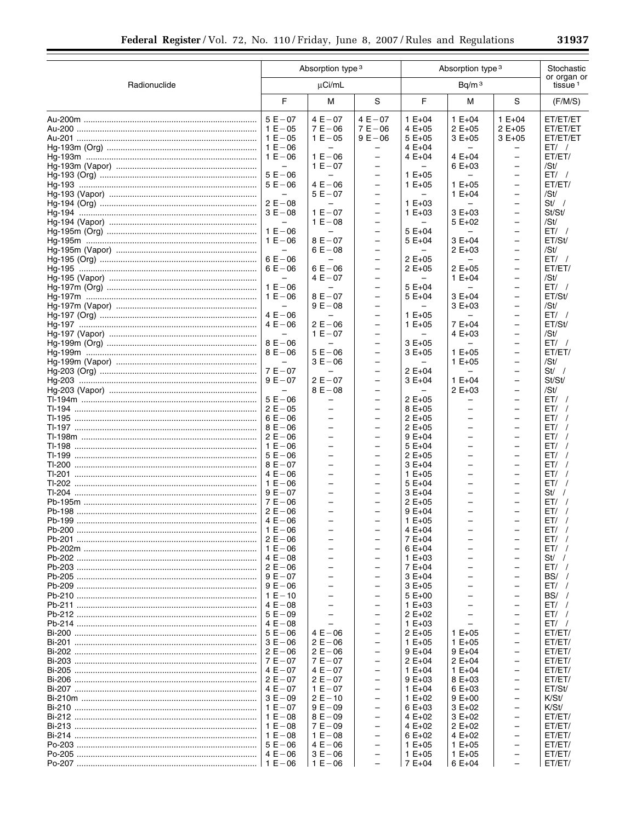|  | г   |     |  |
|--|-----|-----|--|
|  | . . | . . |  |
|  |     |     |  |

۰

|              | Absorption type 3                                                                                                                                                                                                                                                                                                                                                                                                                                                                                                                                                                                                                                                              |                                                                                                                                                                                                                                                                                                                                                                                                                                                                             |                                                                                                                                                                                                                                                                                                                                                                                                                                                                                                                                                                                                                                                                                                                                                                                                                                                                                         | Absorption type 3                                                                                                                                                                                                                                                                                                                                                                                                                     |                                                                                                                                                                                                                                                                                                                                       |                                                                                                                                                                                                                                                                                                                                                                                                                                                                                                                                                                                                                                                                                                                                          | Stochastic                                                                                                                                                                                                                                                                                                                                                                              |
|--------------|--------------------------------------------------------------------------------------------------------------------------------------------------------------------------------------------------------------------------------------------------------------------------------------------------------------------------------------------------------------------------------------------------------------------------------------------------------------------------------------------------------------------------------------------------------------------------------------------------------------------------------------------------------------------------------|-----------------------------------------------------------------------------------------------------------------------------------------------------------------------------------------------------------------------------------------------------------------------------------------------------------------------------------------------------------------------------------------------------------------------------------------------------------------------------|-----------------------------------------------------------------------------------------------------------------------------------------------------------------------------------------------------------------------------------------------------------------------------------------------------------------------------------------------------------------------------------------------------------------------------------------------------------------------------------------------------------------------------------------------------------------------------------------------------------------------------------------------------------------------------------------------------------------------------------------------------------------------------------------------------------------------------------------------------------------------------------------|---------------------------------------------------------------------------------------------------------------------------------------------------------------------------------------------------------------------------------------------------------------------------------------------------------------------------------------------------------------------------------------------------------------------------------------|---------------------------------------------------------------------------------------------------------------------------------------------------------------------------------------------------------------------------------------------------------------------------------------------------------------------------------------|------------------------------------------------------------------------------------------------------------------------------------------------------------------------------------------------------------------------------------------------------------------------------------------------------------------------------------------------------------------------------------------------------------------------------------------------------------------------------------------------------------------------------------------------------------------------------------------------------------------------------------------------------------------------------------------------------------------------------------------|-----------------------------------------------------------------------------------------------------------------------------------------------------------------------------------------------------------------------------------------------------------------------------------------------------------------------------------------------------------------------------------------|
| Radionuclide |                                                                                                                                                                                                                                                                                                                                                                                                                                                                                                                                                                                                                                                                                | $\mu$ Ci/mL                                                                                                                                                                                                                                                                                                                                                                                                                                                                 |                                                                                                                                                                                                                                                                                                                                                                                                                                                                                                                                                                                                                                                                                                                                                                                                                                                                                         | Bq/m <sup>3</sup>                                                                                                                                                                                                                                                                                                                                                                                                                     |                                                                                                                                                                                                                                                                                                                                       |                                                                                                                                                                                                                                                                                                                                                                                                                                                                                                                                                                                                                                                                                                                                          | tissue <sup>1</sup>                                                                                                                                                                                                                                                                                                                                                                     |
|              | F                                                                                                                                                                                                                                                                                                                                                                                                                                                                                                                                                                                                                                                                              | М                                                                                                                                                                                                                                                                                                                                                                                                                                                                           | S                                                                                                                                                                                                                                                                                                                                                                                                                                                                                                                                                                                                                                                                                                                                                                                                                                                                                       | F                                                                                                                                                                                                                                                                                                                                                                                                                                     | М                                                                                                                                                                                                                                                                                                                                     | S                                                                                                                                                                                                                                                                                                                                                                                                                                                                                                                                                                                                                                                                                                                                        | (F/M/S)                                                                                                                                                                                                                                                                                                                                                                                 |
|              | $5E - 07$<br>$1 E - 05$<br>$1 E - 05$<br>$1 E - 06$<br>$1 E - 06$<br>$\qquad \qquad -$<br>$5E - 06$<br>$5E - 06$<br>$\overline{\phantom{0}}$<br>$2 E - 08$<br>$3E - 08$<br>$\qquad \qquad -$<br>$1 E - 06$<br>$1 E - 06$<br>$\overline{\phantom{0}}$<br>$6E - 06$<br>$6E - 06$<br>$\overline{\phantom{0}}$<br>$1 E - 06$<br>$1 E - 06$<br>$\overline{\phantom{0}}$<br>$4E - 06$<br>$4E - 06$<br>$\overline{\phantom{0}}$<br>$8E - 06$<br>$8E - 06$<br>$\overline{\phantom{0}}$<br>$7E - 07$<br>$9E - 07$<br>$\qquad \qquad -$<br>$5E - 06$<br>$2E - 05$<br>$6E - 06$<br>$8E - 06$<br>$2E - 06$<br>$1 E - 06$<br>$5E - 06$<br>$8E - 07$<br>$4E - 06$<br>$1 E - 06$<br>$9E - 07$ | $4E - 07$<br>$7E - 06$<br>$1 E - 05$<br>$\overline{\phantom{0}}$<br>$1 E - 06$<br>$1 E - 07$<br>$\overline{\phantom{0}}$<br>$4E - 06$<br>$5E - 07$<br>$1 E - 07$<br>$1 E - 08$<br>$\qquad \qquad -$<br>$8E - 07$<br>$6E - 08$<br>$\qquad \qquad -$<br>$6E - 06$<br>$4E - 07$<br>$8E - 07$<br>$9E - 08$<br>$2E - 06$<br>$1 E - 07$<br>$5E - 06$<br>$3E - 06$<br>-<br>$2E - 07$<br>$8E - 08$<br>-<br>-<br>$\overline{\phantom{0}}$<br>-<br>-<br>-<br>$\overline{\phantom{0}}$ | $4E - 07$<br>$7E - 06$<br>$9E - 06$<br>$\qquad \qquad -$<br>$\overline{\phantom{0}}$<br>$\qquad \qquad -$<br>$\qquad \qquad -$<br>$\qquad \qquad -$<br>-<br>$\overline{\phantom{0}}$<br>$\overline{\phantom{0}}$<br>$\overline{\phantom{m}}$<br>$\qquad \qquad -$<br>$\qquad \qquad -$<br>$\overline{\phantom{0}}$<br>$\overline{\phantom{0}}$<br>-<br>$\overline{\phantom{0}}$<br>$\overline{\phantom{0}}$<br>$\qquad \qquad -$<br>$\qquad \qquad -$<br>$\qquad \qquad -$<br>$\overline{\phantom{0}}$<br>$\overline{\phantom{0}}$<br>$\qquad \qquad -$<br>$\overline{\phantom{0}}$<br>$\qquad \qquad -$<br>$\overline{\phantom{0}}$<br>$\overline{\phantom{0}}$<br>$\overline{\phantom{0}}$<br>$\overline{\phantom{0}}$<br>$\qquad \qquad -$<br>$\overline{\phantom{0}}$<br>$\overline{\phantom{m}}$<br>$\overline{\phantom{0}}$<br>-<br>$\overline{\phantom{m}}$<br>$\qquad \qquad -$ | $1 E + 04$<br>4 E+05<br>$5E+05$<br>$4E+04$<br>$4E+04$<br>$1 E + 05$<br>$1 E + 05$<br>$1 E + 03$<br>$1 E + 03$<br>$\qquad \qquad -$<br>$5E+04$<br>$5E+04$<br>$2E+05$<br>$2E+05$<br>$5E+04$<br>$5E+04$<br>$1 E + 05$<br>$1 E + 05$<br>$\overline{\phantom{0}}$<br>$3E+05$<br>$3E+05$<br>2 E+04<br>$3E+04$<br>$2E+05$<br>$8E+05$<br>2 E+05<br>$2E+05$<br>$9E+04$<br>$5E+04$<br>$2 E + 05$<br>$3E+04$<br>$1 E + 05$<br>$5E+04$<br>$3E+04$ | $1 E + 04$<br>$2E+05$<br>$3E+05$<br>$4E+04$<br>$6E+03$<br>$1 E + 05$<br>$1 E + 04$<br>$3E+03$<br>$5E+02$<br>$3E+04$<br>$2 E + 03$<br>$\overline{\phantom{0}}$<br>$2 E + 05$<br>$1 E + 04$<br>$3E+04$<br>$3E+03$<br>$7E+04$<br>$4E+03$<br>$1 E + 05$<br>$1 E + 05$<br>$1 E + 04$<br>$2E+03$<br>-<br>-<br>$\overline{\phantom{0}}$<br>- | $1 E + 04$<br>$2E+05$<br>$3E+05$<br>-<br>$\qquad \qquad -$<br>$\qquad \qquad -$<br>$\overline{\phantom{0}}$<br>$\qquad \qquad -$<br>-<br>$\overline{\phantom{0}}$<br>-<br>$\qquad \qquad -$<br>$\overline{\phantom{0}}$<br>$\qquad \qquad -$<br>$\overline{\phantom{0}}$<br>$\qquad \qquad -$<br>-<br>$\qquad \qquad -$<br>$\overline{\phantom{0}}$<br>$\qquad \qquad -$<br>$\overline{\phantom{0}}$<br>-<br>$\overline{\phantom{0}}$<br>$\qquad \qquad -$<br>-<br>$\qquad \qquad -$<br>$\overline{\phantom{0}}$<br>$\qquad \qquad -$<br>$\overline{\phantom{0}}$<br>$\qquad \qquad -$<br>-<br>$\overline{\phantom{0}}$<br>-<br>$\qquad \qquad -$<br>$\overline{\phantom{0}}$<br>$\qquad \qquad -$<br>$\overline{\phantom{0}}$<br>-<br>- | or organ or<br>ET/ET/ET<br>ET/ET/ET<br>ET/ET/ET<br>$ET/$ /<br>ET/ET/<br>/St/<br>$ET/$ /<br>ET/ET/<br>/St/<br>$St/$ /<br>St/St/<br>/St/<br>ET/<br>ET/St/<br>/St/<br>ET/<br>ET/ET/<br>/St/<br>$ET/$ /<br>ET/St/<br>/St/<br>ET/<br>ET/St/<br>/St/<br>$ET/$ /<br>ET/ET/<br>/St/<br>$St/$ /<br>St/St/<br>/St/<br>ET/<br>ET/<br>ET/<br>ET/<br>ET/<br>ET/<br>ET/<br>ET/<br>ET/<br>ET/<br>St/ / |
|              | $7E - 06$<br>$2E - 06$<br>$4E - 06$<br>$1 E - 06$<br>$2E - 06$<br>$1 E - 06$<br>$4E-08$<br>$2E - 06$<br>$9E - 07$<br>$9E - 06$<br>$1 E - 10$<br>$4E - 08$<br>$5E - 09$<br>$4E - 08$<br>$5E - 06$<br>$3E - 06$<br>$2E - 06$<br>$7E - 07$<br>$4E - 07$<br>$2E - 07$<br>$4E - 07$<br>$3E - 09$<br>$1 E - 07$<br>$1 E - 08$<br>$1 E - 08$<br>$1 E - 08$<br>$5E - 06$                                                                                                                                                                                                                                                                                                               | -<br>÷.<br>$\overline{\phantom{0}}$<br>$\overline{\phantom{0}}$<br>$4E - 06$<br>$2 E - 06$<br>$2E - 06$<br>$7E - 07$<br>$4E - 07$<br>$2E - 07$<br>$1 E - 07$<br>$2E - 10$<br>$9E - 09$<br>$8E - 09$<br>$7E - 09$<br>$1 E - 08$<br>$4E - 06$<br>$3E - 06$<br>$1 E - 06$                                                                                                                                                                                                      | $\qquad \qquad -$<br>$\overline{\phantom{0}}$<br>$\qquad \qquad -$<br>$\overline{\phantom{0}}$<br>$\qquad \qquad -$<br>$\overline{\phantom{0}}$<br>$\overline{\phantom{0}}$<br>$\overline{\phantom{0}}$<br>$\overline{\phantom{0}}$<br>$\qquad \qquad -$<br>$\overline{\phantom{0}}$<br>$\qquad \qquad -$<br>$\qquad \qquad -$<br>$\overline{\phantom{0}}$<br>$\overline{\phantom{0}}$<br>$\overline{\phantom{0}}$<br>$\qquad \qquad -$                                                                                                                                                                                                                                                                                                                                                                                                                                                 | $2E+05$<br>$9E+04$<br>$1 E + 05$<br>$4E+04$<br>$7E+04$<br>$6E+04$<br>$1 E + 03$<br>7 E+04<br>$3E+04$<br>$3E+05$<br>$5E+00$<br>$1 E + 03$<br>$2E+02$<br>$1 E + 03$<br>$2E+05$<br>$1 E + 05$<br>$9E+04$<br>$2 E + 04$<br>$1 E + 04$<br>$9E+03$<br>$1 E + 04$<br>$1 E + 02$<br>$6E+03$<br>4 $E+02$<br>4 $E+02$<br>$6E+02$<br>$1 E + 05$<br>$1 E + 05$<br>7 E+04                                                                          | $\overline{\phantom{0}}$<br>$1 E + 05$<br>$1 E + 05$<br>$9E+04$<br>$2 E + 04$<br>$1 E + 04$<br>8 E+03<br>$6E+03$<br>$9E+00$<br>$3 E + 02$<br>$3 E + 02$<br>$2 E+02$<br>4 $E+02$<br>$1 E + 05$<br>$1 E + 05$<br>$6E+04$                                                                                                                | -<br>$\overline{\phantom{0}}$<br>$\overline{\phantom{0}}$<br>$\overline{\phantom{0}}$<br>$\qquad \qquad -$<br>$\overline{\phantom{0}}$<br>$\overline{\phantom{0}}$<br>$\overline{\phantom{0}}$<br>$\overline{\phantom{0}}$<br>$\qquad \qquad -$<br>$\overline{\phantom{0}}$<br>$\qquad \qquad -$<br>-<br>$\overline{\phantom{0}}$<br>$\qquad \qquad -$<br>$\qquad \qquad -$<br>$\overline{\phantom{0}}$<br>$\qquad \qquad -$<br>$\overline{\phantom{0}}$<br>$\qquad \qquad -$<br>$\qquad \qquad -$<br>$\qquad \qquad -$<br>$\qquad \qquad -$<br>-                                                                                                                                                                                        | ET/<br>ET/<br>ET/<br>$ET/$ /<br>ET/<br>FT/<br>$St/$ /<br>$ET/$ /<br>$BS/$ /<br>$ET/$ /<br>$BS/$ /<br>$ET/$ /<br>$ET/$ /<br>$ET/$ /<br>ET/ET/<br>ET/ET/<br>ET/ET/<br>ET/ET/<br>ET/ET/<br>ET/ET/<br>ET/St/<br>$K\!I\!S$ t/<br>K/St/<br>ET/ET/<br>ET/ET/<br>ET/ET/<br>ET/ET/<br>ET/ET/<br>ET/ET/                                                                                           |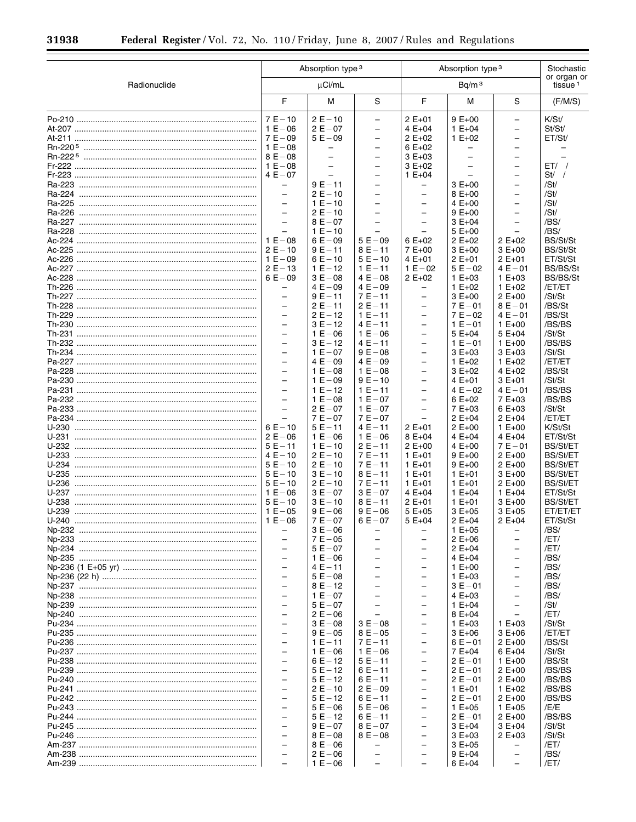$\equiv$ 

▀

|              |                                                      | Absorption type 3                   |                                                           | Absorption type 3                                    |                                                      |                                                                           |                                    |  | Stochastic |
|--------------|------------------------------------------------------|-------------------------------------|-----------------------------------------------------------|------------------------------------------------------|------------------------------------------------------|---------------------------------------------------------------------------|------------------------------------|--|------------|
| Radionuclide |                                                      | µCi/mL                              |                                                           |                                                      | Bq/m <sup>3</sup>                                    |                                                                           | or organ or<br>tissue <sup>1</sup> |  |            |
|              | F                                                    | М                                   | S                                                         | F                                                    | М                                                    | S                                                                         | (F/M/S)                            |  |            |
|              | $7E - 10$<br>$1 E - 06$<br>$7E - 09$                 | $2E - 10$<br>$2E - 07$<br>$5E - 09$ | $\equiv$<br>$\qquad \qquad -$<br>$\overline{\phantom{0}}$ | $2E+01$<br>$4E+04$<br>$2 E + 02$                     | $9E+00$<br>$1 E + 04$<br>$1 E + 02$                  | $\overline{\phantom{0}}$<br>$\qquad \qquad -$<br>$\overline{\phantom{0}}$ | K/St/<br>St/St/<br>ET/St/          |  |            |
|              | $1 E - 08$<br>$8E - 08$                              | -<br>$\overline{\phantom{0}}$       | $\overline{\phantom{0}}$                                  | $6E+02$<br>$3E+03$                                   | $\overline{\phantom{0}}$<br>$\overline{\phantom{0}}$ | $\qquad \qquad -$                                                         |                                    |  |            |
|              | $1 E - 08$<br>$4E - 07$                              | $\qquad \qquad -$<br>$\equiv$       | $\qquad \qquad -$                                         | $3E+02$<br>$1 E + 04$                                | $\overline{\phantom{m}}$                             | $\overline{\phantom{0}}$                                                  | $ET/$ /<br>$St/$ /                 |  |            |
|              | $\qquad \qquad -$                                    | $9E - 11$                           | $\overline{\phantom{0}}$                                  | -                                                    | $3E+00$                                              | $\overline{\phantom{0}}$                                                  | /St/                               |  |            |
|              | $\overline{\phantom{0}}$<br>$\qquad \qquad -$        | $2E - 10$<br>$1 E - 10$             | $\overline{\phantom{0}}$<br>$\qquad \qquad -$             | $\overline{\phantom{0}}$<br>-                        | $8E+00$<br>$4 E + 00$                                | $\overline{\phantom{0}}$<br>$\qquad \qquad -$                             | /St/<br>/St/                       |  |            |
|              | $\overline{\phantom{0}}$                             | $2E - 10$                           | $\overline{\phantom{0}}$                                  | $\overline{\phantom{0}}$                             | $9E+00$                                              | $\overline{\phantom{0}}$                                                  | /St/                               |  |            |
|              | $\overline{\phantom{0}}$<br>$\equiv$                 | $8E - 07$<br>$1 E - 10$             | $\overline{\phantom{0}}$                                  | $\overline{\phantom{0}}$<br>$\overline{\phantom{0}}$ | $3E+04$<br>$5E+00$                                   | $\qquad \qquad -$<br>$\equiv$                                             | /BS/<br>/BS/                       |  |            |
|              | $1 E - 08$                                           | $6E - 09$                           | $5E - 09$                                                 | $6E+02$                                              | $2 E + 02$                                           | $2E+02$                                                                   | BS/St/St                           |  |            |
|              | $2E - 10$<br>$1 E - 09$                              | $9E - 11$<br>$6E - 10$              | $8E - 11$<br>$5E - 10$                                    | 7 E+00<br>4 E+01                                     | $3E+00$<br>$2E+01$                                   | $3E+00$<br>$2E+01$                                                        | BS/St/St<br>ET/St/St               |  |            |
|              | $2E - 13$                                            | $1 E - 12$                          | $1 E - 11$                                                | $1 E - 02$                                           | $5E - 02$                                            | $4E - 01$                                                                 | <b>BS/BS/St</b>                    |  |            |
|              | $6E - 09$<br>$\overline{\phantom{0}}$                | $3E - 08$<br>$4E - 09$              | $4E - 08$<br>$4E - 09$                                    | $2E+02$<br>$\overline{\phantom{0}}$                  | $1 E + 03$<br>$1 E + 02$                             | $1 E + 03$<br>$1 E + 02$                                                  | <b>BS/BS/St</b><br>/ET/ET          |  |            |
|              | $\qquad \qquad -$                                    | $9E - 11$                           | $7E - 11$                                                 | -                                                    | $3E+00$                                              | $2E+00$                                                                   | /St/St                             |  |            |
|              | $\overline{\phantom{0}}$<br>$\qquad \qquad -$        | $2E - 11$<br>$2E - 12$              | $2E - 11$<br>$1E - 11$                                    | $\overline{\phantom{0}}$<br>$\overline{\phantom{0}}$ | $7E - 01$<br>$7E - 02$                               | $8E - 01$<br>$4E - 01$                                                    | /BS/St<br>/BS/St                   |  |            |
|              | $\equiv$<br>$\overline{\phantom{0}}$                 | $3E - 12$<br>$1 E - 06$             | $4E - 11$<br>$1 E - 06$                                   | $\overline{\phantom{0}}$<br>$\overline{\phantom{0}}$ | $1 E - 01$<br>$5E+04$                                | $1 E + 00$<br>5 E+04                                                      | /BS/BS<br>/St/St                   |  |            |
|              | $\overline{\phantom{0}}$                             | $3E - 12$                           | $4E - 11$                                                 | $\overline{\phantom{0}}$                             | $1 E - 01$                                           | $1 E + 00$                                                                | /BS/BS                             |  |            |
|              | $\overline{\phantom{0}}$<br>$\overline{\phantom{0}}$ | $1 E - 07$<br>$4E - 09$             | $9E - 08$<br>$4E - 09$                                    | $\overline{\phantom{0}}$<br>$\overline{\phantom{0}}$ | $3E+03$<br>$1 E + 02$                                | $3E+03$<br>$1 E + 02$                                                     | /St/St<br>/ET/ET                   |  |            |
|              | $\overline{\phantom{0}}$                             | $1 E - 08$                          | $1 E - 08$                                                | $\overline{\phantom{0}}$                             | $3E+02$                                              | $4E+02$                                                                   | /BS/St                             |  |            |
|              | $\equiv$<br>$\qquad \qquad -$                        | $1 E - 09$<br>$1 E - 12$            | $9E - 10$<br>$1E - 11$                                    | $\overline{\phantom{0}}$<br>-                        | $4E+01$<br>$4E - 02$                                 | $3E+01$<br>$4E - 01$                                                      | /St/St<br>/BS/BS                   |  |            |
|              | $\overline{a}$                                       | $1 E - 08$                          | $1 E - 07$                                                | $\overline{\phantom{0}}$                             | $6E+02$                                              | 7 E+03                                                                    | /BS/BS                             |  |            |
|              | $\overline{\phantom{0}}$<br>$\equiv$                 | $2E - 07$<br>$7E - 07$              | $1 E - 07$<br>$7E - 07$                                   | -<br>$\overline{\phantom{0}}$                        | 7 E+03<br>$2 E + 04$                                 | $6E+03$<br>$2 E + 04$                                                     | /St/St<br>/ET/ET                   |  |            |
|              | $6E - 10$                                            | $5E - 11$                           | $4E - 11$                                                 | $2E+01$                                              | $2 E+00$                                             | $1 E + 00$                                                                | K/St/St                            |  |            |
|              | $2E - 06$<br>$5E - 11$                               | $1 E - 06$<br>$1 E - 10$            | $1 E - 06$<br>$2E - 11$                                   | $8E+04$<br>$2 E+00$                                  | $4 E + 04$<br>$4 E + 00$                             | $4E+04$<br>$7E - 01$                                                      | ET/St/St<br><b>BS/St/ET</b>        |  |            |
|              | $4E - 10$<br>$5E - 10$                               | $2E - 10$<br>$2E - 10$              | $7E - 11$<br>$7E - 11$                                    | $1 E + 01$<br>$1 E + 01$                             | $9E+00$                                              | $2 E+00$<br>$2 E+00$                                                      | <b>BS/St/ET</b><br><b>BS/St/ET</b> |  |            |
|              | $5E - 10$                                            | $3E - 10$                           | $8E - 11$                                                 | $1 E + 01$                                           | $9E+00$<br>$1 E + 01$                                | $3E+00$                                                                   | <b>BS/St/ET</b>                    |  |            |
|              | $5E - 10$<br>$1 E - 06$                              | $2E - 10$<br>$3E - 07$              | $7E - 11$<br>$3E - 07$                                    | $1 E + 01$<br>$4E+04$                                | $1 E + 01$<br>$1 E + 04$                             | $2 E+00$<br>$1 E + 04$                                                    | <b>BS/St/ET</b><br>ET/St/St        |  |            |
|              | $5E - 10$                                            | $3E - 10$                           | $8E - 11$                                                 | $2E+01$                                              | $1 E + 01$                                           | $3E+00$                                                                   | <b>BS/St/ET</b>                    |  |            |
| $U-240$      | $1 E - 05$                                           | $9E - 06$<br>$7E - 07$              | $9E - 06$<br>$6E - 07$                                    | $5E+05$<br>5 E+04                                    | $3E+05$<br>$2E+04$                                   | $3E+05$<br>2 E+04                                                         | ET/ET/ET<br>ET/St/St               |  |            |
|              |                                                      | $3E - 06$                           |                                                           |                                                      | $1 E + 05$                                           |                                                                           | /BS/                               |  |            |
|              | $\overline{\phantom{0}}$<br>$\overline{\phantom{0}}$ | $7E - 05$<br>$5E - 07$              |                                                           |                                                      | $2E+06$<br>$2E+04$                                   | $\overline{\phantom{0}}$                                                  | /ET/<br>/ET/                       |  |            |
|              | $\overline{\phantom{0}}$<br>$\equiv$                 | $1 E - 06$                          |                                                           | $\overline{\phantom{0}}$                             | $4E+04$                                              | $\overline{\phantom{0}}$                                                  | /BS/                               |  |            |
|              | $\qquad \qquad -$                                    | $4E - 11$<br>$5E - 08$              |                                                           | $\overline{\phantom{0}}$                             | $1 E + 00$<br>$1 E + 03$                             | $\overline{\phantom{0}}$                                                  | /BS/<br>/BS/                       |  |            |
|              | $\overline{a}$<br>$\qquad \qquad -$                  | $8E - 12$<br>$1 E - 07$             |                                                           | $\overline{\phantom{0}}$<br>$\overline{\phantom{0}}$ | $3E - 01$<br>$4E+03$                                 | $\equiv$<br>$\overline{\phantom{m}}$                                      | /BS/<br>/BS/                       |  |            |
|              | $\equiv$                                             | $5E - 07$                           |                                                           | $\overline{\phantom{0}}$                             | $1 E + 04$                                           | $\equiv$                                                                  | /St/                               |  |            |
|              | $\qquad \qquad -$<br>$\equiv$                        | $2E - 06$<br>$3E - 08$              | $3E - 08$                                                 | $\overline{\phantom{0}}$                             | $8E+04$<br>$1 E + 03$                                | $\overline{\phantom{0}}$<br>$1 E + 03$                                    | /ET/<br>/St/St                     |  |            |
|              | $\overline{\phantom{0}}$                             | $9E - 05$                           | $8E - 05$                                                 | $\overline{\phantom{0}}$                             | $3E+06$                                              | $3E+06$                                                                   | /ET/ET                             |  |            |
|              | $\equiv$<br>$\overline{\phantom{0}}$                 | $1E - 11$<br>$1 E - 06$             | $7E - 11$<br>$1 E - 06$                                   | $\overline{\phantom{0}}$                             | $6E - 01$<br>$7E+04$                                 | $2 E+00$<br>$6E+04$                                                       | /BS/St<br>/St/St                   |  |            |
|              | $\equiv$                                             | $6E - 12$                           | $5E - 11$                                                 | $\overline{\phantom{0}}$                             | $2E - 01$                                            | $1 E + 00$                                                                | /BS/St                             |  |            |
|              | $\qquad \qquad -$<br>$\overline{a}$                  | $5E - 12$<br>$5E - 12$              | $6E - 11$<br>$6E - 11$                                    | $\overline{\phantom{0}}$<br>$\overline{\phantom{0}}$ | $2E - 01$<br>$2E - 01$                               | $2 E+00$<br>$2 E+00$                                                      | /BS/BS<br>/BS/BS                   |  |            |
|              | $\qquad \qquad -$                                    | $2E - 10$                           | $2E - 09$                                                 | $\overline{\phantom{0}}$                             | $1 E + 01$                                           | $1 E + 02$                                                                | /BS/BS                             |  |            |
|              | $\equiv$<br>$\overline{\phantom{0}}$                 | $5E - 12$<br>$5E - 06$              | $6E - 11$<br>$5E - 06$                                    | $\overline{\phantom{0}}$<br>$\overline{\phantom{0}}$ | $2E - 01$<br>$1 E + 05$                              | $2 E+00$<br>$1 E + 05$                                                    | /BS/BS<br>/E/E                     |  |            |
|              | $\equiv$                                             | $5E - 12$                           | $6E - 11$                                                 |                                                      | $2E - 01$                                            | $2 E+00$                                                                  | /BS/BS                             |  |            |
|              | $\overline{\phantom{0}}$<br>$\equiv$                 | $9E - 07$<br>$8E - 08$              | $8E - 07$<br>$8E - 08$                                    | $\overline{\phantom{0}}$                             | $3E+04$<br>$3E+03$                                   | $3E+04$<br>$2 E + 03$                                                     | /St/St<br>/St/St                   |  |            |
|              | $\overline{\phantom{0}}$<br>$\overline{\phantom{0}}$ | $8E - 06$                           |                                                           |                                                      | $3E+05$                                              |                                                                           | /ET/                               |  |            |
|              | $\qquad \qquad -$                                    | $2 E - 06$<br>$1 E - 06$            |                                                           |                                                      | $9E+04$<br>$6E+04$                                   | $\qquad \qquad -$                                                         | /BS/<br>/ET/                       |  |            |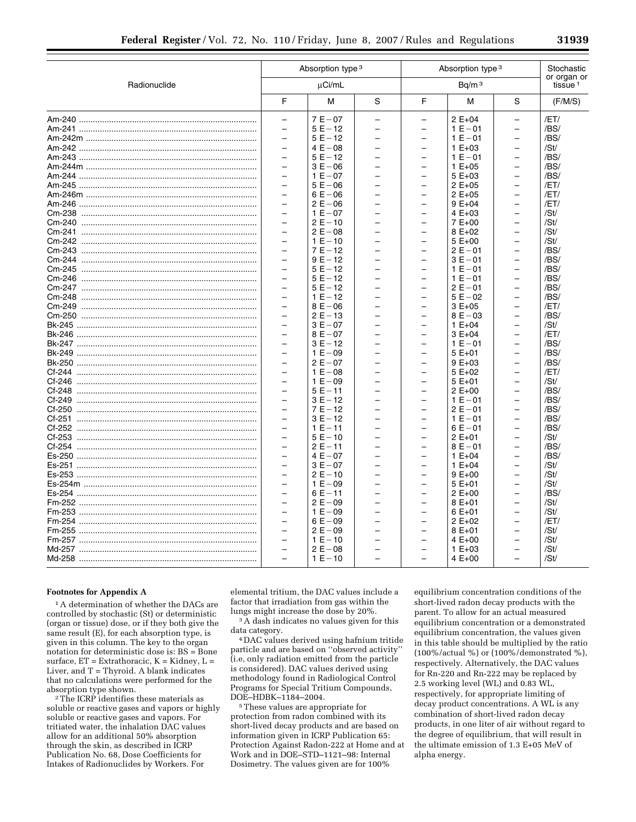|               |                          | Absorption type 3 |   |                          | Absorption type 3 | Stochastic               |                                    |
|---------------|--------------------------|-------------------|---|--------------------------|-------------------|--------------------------|------------------------------------|
| Radionuclide  |                          | µCi/mL            |   | Bq/m <sup>3</sup>        |                   |                          | or organ or<br>tissue <sup>1</sup> |
|               | F                        | M                 | S | F                        | M                 | S                        | (F/M/S)                            |
|               | $\equiv$                 | $7E - 07$         |   |                          | $2 E + 04$        | $\overline{\phantom{0}}$ | /ET/                               |
|               | $\overline{\phantom{m}}$ | $5E - 12$         |   | —                        | $1 E - 01$        | $\overline{\phantom{0}}$ | /BS/                               |
|               | $\equiv$                 | $5E - 12$         |   | $\overline{\phantom{0}}$ | $1 E - 01$        | $\overline{\phantom{0}}$ | /BS/                               |
|               |                          | $4E - 08$         |   | $\overline{\phantom{0}}$ | $1 E + 03$        |                          | /St/                               |
|               |                          | $5E - 12$         |   | $\overline{\phantom{0}}$ | $1 E - 01$        | $\overline{a}$           | /BS/                               |
|               | $\overline{\phantom{0}}$ | $3E - 06$         |   | -                        | $1 E + 05$        | $\overline{\phantom{0}}$ | /BS/                               |
| Am-244        | $\overline{\phantom{0}}$ | $1 E - 07$        |   | $\overline{\phantom{0}}$ | $5E+03$           | $\equiv$                 | /BS/                               |
|               | $\overline{\phantom{0}}$ | $5E - 06$         |   | -                        | $2E+05$           | -                        | /ET/                               |
|               |                          | $6E - 06$         |   | -                        | $2E+05$           |                          | /ET/                               |
| Am-246        |                          | $2 E - 06$        |   |                          | $9E+04$           | $\overline{\phantom{0}}$ | /ET/                               |
| Cm-238        | $\equiv$                 | $1 E - 07$        |   | -                        | $4E+03$           | $\overline{a}$           | /St/                               |
| Cm-240        | $\overline{\phantom{0}}$ | $2E - 10$         |   | $\overline{\phantom{0}}$ | $7E+00$           | $\overline{\phantom{0}}$ | /St/                               |
| Cm-241        |                          | $2 E - 08$        |   | $\equiv$                 | $8E+02$           | $\overline{\phantom{0}}$ | /St/                               |
| Cm-242        |                          | $1 E - 10$        |   | $\overline{\phantom{0}}$ | $5E+00$           | $\equiv$                 | /St/                               |
| Cm-243        | $\overline{\phantom{0}}$ | $7E - 12$         |   | -                        | $2E - 01$         | -                        | /BS/                               |
| Cm-244        | $\equiv$                 | $9E - 12$         |   | $\overline{\phantom{0}}$ | $3E - 01$         | $\equiv$                 | /BS/                               |
| Cm-245        | $\overline{\phantom{0}}$ | $5E - 12$         |   | -                        | $1 E - 01$        | -                        | /BS/                               |
| Cm-246        |                          | $5E - 12$         |   | -                        | $1 E - 01$        | $\overline{a}$           | /BS/                               |
|               |                          | $5E - 12$         |   | $\overline{\phantom{0}}$ | $2E - 01$         | $\overline{\phantom{0}}$ | /BS/                               |
| Cm-248        | $\equiv$                 | $1 E - 12$        |   | $\overline{\phantom{0}}$ | $5E - 02$         | $\equiv$                 | /BS/                               |
| Cm-249        | $\overline{\phantom{0}}$ | $8E - 06$         |   | -                        | $3E+05$           | $\overline{\phantom{0}}$ | /ET/                               |
|               |                          | $2E - 13$         |   | -                        | $8E - 03$         | $\overline{a}$           | /BS/                               |
| Bk-245        |                          | $3E - 07$         |   | $\overline{\phantom{0}}$ | $1 E + 04$        | $\equiv$                 | /St/                               |
|               | $\overline{\phantom{0}}$ | $8E - 07$         |   | -                        | $3E+04$           | -                        | /ET/                               |
|               | $\overline{\phantom{0}}$ | $3E - 12$         |   | -                        | $1 E - 01$        | $\overline{\phantom{0}}$ | /BS/                               |
| <b>Bk-249</b> | $\overline{\phantom{0}}$ | $1 E - 09$        |   | -                        | $5E+01$           | -                        | /BS/                               |
| Bk-250        |                          | $2E - 07$         |   | -                        | $9E+03$           | $\overline{a}$           | /BS/                               |
| Cf-244        |                          | $1 E - 08$        |   | $\overline{\phantom{0}}$ | $5E+02$           |                          | /ET/                               |
| $Cf-246$      | $\equiv$                 | $1 E - 09$        |   | $\overline{\phantom{0}}$ | $5E+01$           | $\equiv$                 | /St/                               |
| Cf-248        | $\overline{\phantom{0}}$ | $5E - 11$         |   | -                        | $2E+00$           | $\overline{\phantom{0}}$ | /BS/                               |
| $Cf-249$      | $\overline{\phantom{a}}$ | $3E - 12$         |   | —                        | $1 E - 01$        | $\overline{\phantom{0}}$ | /BS/                               |
| $Cf-250$      |                          | $7E - 12$         |   | $\overline{\phantom{0}}$ | $2E - 01$         | $\equiv$                 | /BS/                               |
| Cf-251        | $\overline{\phantom{0}}$ | $3E - 12$         |   |                          | $1 E - 01$        |                          | /BS/                               |
|               |                          |                   |   |                          |                   | $\overline{\phantom{0}}$ |                                    |
| Cf-252        |                          | $1 E - 11$        |   |                          | $6E - 01$         |                          | /BS/                               |
| Cf-253        |                          | $5E - 10$         |   |                          | $2E+01$           |                          | /St/                               |

### **Footnotes for Appendix A**

<sup>1</sup>A determination of whether the DACs are controlled by stochastic (St) or deterministic (organ or tissue) dose, or if they both give the same result (E), for each absorption type, is given in this column. The key to the organ notation for deterministic dose is: BS = Bone surface,  $ET = Extracthoracic, K = Kidney, L =$ Liver, and  $T = Thvroid$ . A blank indicates that no calculations were performed for the absorption type shown.

<sup>2</sup> The ICRP identifies these materials as soluble or reactive gases and vapors or highly soluble or reactive gases and vapors. For tritiated water, the inhalation DAC values allow for an additional 50% absorption through the skin, as described in ICRP Publication No. 68, Dose Coefficients for Intakes of Radionuclides by Workers. For

elemental tritium, the DAC values include a factor that irradiation from gas within the lungs might increase the dose by 20%.

 $2E - 11$ 

 $4E - 07$ 

 $3E - 07$ 

 $2E - 10$ 

 $1 E - 09$ 

 $6E - 11$ 

 $2E - 09$ 

 $1 E - 09$ 

 $6E - 09$ 

 $2E - 09$ 

 $1 E - 10$ 

 $2 E - 08$ 

 $1 E - 10$ 

 $\overline{\phantom{0}}$ 

 $\overline{a}$ 

 $\overline{a}$ 

 $\overline{\phantom{0}}$ 

 $\overline{a}$ 

 $\overline{a}$ 

 $\overline{a}$ 

 $\overline{a}$ 

 $\overline{\phantom{0}}$ 

L,

 $\overline{a}$ 

 $\overline{a}$ 

 $\overline{a}$ 

 $\overline{a}$ 

 $\overline{a}$ 

 $\overline{\phantom{0}}$ 

 $\overline{a}$ 

 $\overline{a}$ 

 $\overline{\phantom{0}}$ 

 $\overline{a}$ 

 $\overline{\phantom{0}}$ 

 $\overline{a}$ 

 $\overline{a}$ 

 $\overline{\phantom{0}}$ 

 $\overline{\phantom{0}}$ 

 $\overline{a}$ 

 $\overline{a}$ 

 $\overline{\phantom{a}}$ 

 $\frac{1}{2}$ 

 $\overline{a}$ 

 $\overline{\phantom{0}}$ 

 $\overline{a}$ 

 $\overline{\phantom{0}}$ 

 $\overline{\phantom{0}}$ 

 $\frac{1}{2}$ 

 $\qquad \qquad -$ 

 $8E - 01$ 

 $1 E + 04$ 

 $1 E + 04$ 

 $9E+00$ 

 $5E+01$ 

 $2 E+00$ 

8 E+01

 $6E+01$ 

 $2E+02$ 

8 E+01

 $4E+00$ 

 $1 E + 03$ 

4 E+00

/BS/

 $/BS/$ 

/St/

/St/

/St/

 $/BS/$ 

/St/

/St/

 $/ET/$ 

/St/

/St/

/St/

/St/

 $\frac{1}{2}$ 

 $\overline{\phantom{0}}$ 

 $\overline{a}$ 

 $\overline{a}$ 

 $\overline{\phantom{0}}$ 

 $\overline{a}$ 

 $\overline{\phantom{0}}$ 

 $\overline{a}$ 

 $\overline{a}$ 

 $\overline{a}$ 

<sup>3</sup> A dash indicates no values given for this data category.

DAC values derived using hafnium tritide particle and are based on "observed activity" (i.e, only radiation emitted from the particle is considered). DAC values derived using methodology found in Radiological Control Programs for Special Tritium Compounds, DOE-HDBK-1184-2004.

<sup>5</sup>These values are appropriate for protection from radon combined with its short-lived decay products and are based on information given in ICRP Publication 65: Protection Against Radon-222 at Home and at Work and in DOE-STD-1121-98: Internal Dosimetry. The values given are for 100%

equilibrium concentration conditions of the short-lived radon decay products with the parent. To allow for an actual measured equilibrium concentration or a demonstrated equilibrium concentration, the values given in this table should be multiplied by the ratio  $(100\% / \text{actual %})$  or  $(100\% / \text{demonstrated %}),$ respectively. Alternatively, the DAC values for Rn-220 and Rn-222 may be replaced by 2.5 working level (WL) and 0.83 WL, respectively, for appropriate limiting of decay product concentrations. A WL is any combination of short-lived radon decay products, in one liter of air without regard to the degree of equilibrium, that will result in the ultimate emission of 1.3 E+05 MeV of alpha energy.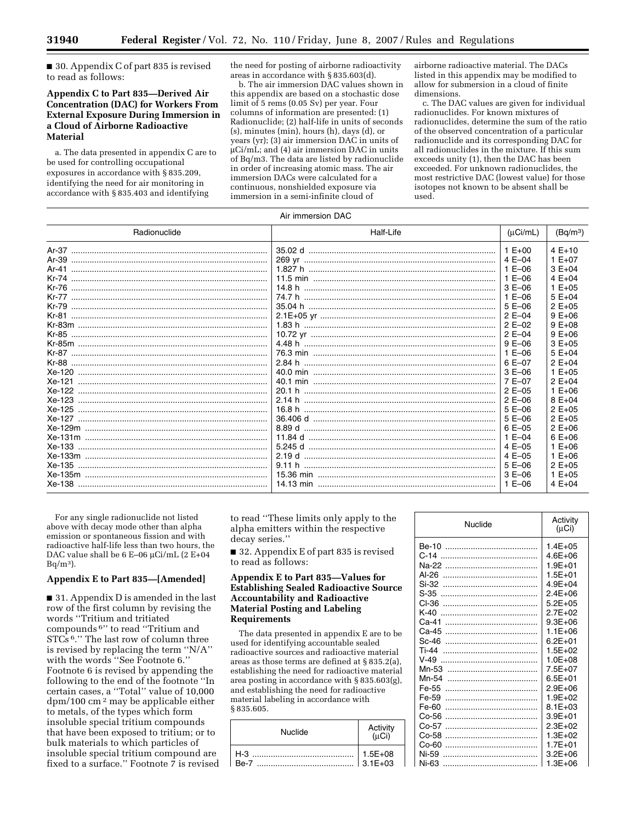■ 30. Appendix C of part 835 is revised to read as follows:

## **Appendix C to Part 835—Derived Air Concentration (DAC) for Workers From External Exposure During Immersion in a Cloud of Airborne Radioactive Material**

a. The data presented in appendix C are to be used for controlling occupational exposures in accordance with § 835.209, identifying the need for air monitoring in accordance with § 835.403 and identifying

the need for posting of airborne radioactivity areas in accordance with § 835.603(d).

b. The air immersion DAC values shown in this appendix are based on a stochastic dose limit of 5 rems (0.05 Sv) per year. Four columns of information are presented: (1) Radionuclide; (2) half-life in units of seconds (s), minutes (min), hours (h), days (d), or years (yr); (3) air immersion DAC in units of µCi/mL; and (4) air immersion DAC in units of Bq/m3. The data are listed by radionuclide in order of increasing atomic mass. The air immersion DACs were calculated for a continuous, nonshielded exposure via immersion in a semi-infinite cloud of

airborne radioactive material. The DACs listed in this appendix may be modified to allow for submersion in a cloud of finite dimensions.

c. The DAC values are given for individual radionuclides. For known mixtures of radionuclides, determine the sum of the ratio of the observed concentration of a particular radionuclide and its corresponding DAC for all radionuclides in the mixture. If this sum exceeds unity (1), then the DAC has been exceeded. For unknown radionuclides, the most restrictive DAC (lowest value) for those isotopes not known to be absent shall be used.

| Air immersion DAC |           |            |                      |  |  |  |
|-------------------|-----------|------------|----------------------|--|--|--|
| Radionuclide      | Half-Life | (uCi/mL)   | (Bq/m <sup>3</sup> ) |  |  |  |
|                   |           | $1 E + 00$ | $4E+10$              |  |  |  |
|                   |           | 4 E-04     | $1 E + 07$           |  |  |  |
|                   | 1.827 h   | $1 E - 06$ | $3E+04$              |  |  |  |
|                   |           | $1 E - 06$ | 4 $E + 04$           |  |  |  |
|                   | 14.8 h    | $3E-06$    | $1 E + 05$           |  |  |  |
|                   |           | $1 E - 06$ | $5E+04$              |  |  |  |
|                   |           | $5E-06$    | $2E+05$              |  |  |  |
|                   |           | $2E - 04$  | $9E+06$              |  |  |  |
|                   |           | $2E-02$    | $9E+08$              |  |  |  |
|                   |           | $2E-04$    | $9E+06$              |  |  |  |
|                   |           | $9E-06$    | $3E+05$              |  |  |  |
|                   |           | $1 E - 06$ | $5E+04$              |  |  |  |
|                   | 2.84 h    | $6E - 07$  | $2E+04$              |  |  |  |
|                   |           | $3E-06$    | $1 E + 0.5$          |  |  |  |
|                   |           | 7 E-07     | $2E+04$              |  |  |  |
|                   |           | $2E-05$    | $1 E + 06$           |  |  |  |
|                   |           | $2E-06$    | $8E+04$              |  |  |  |
|                   |           | $5E-06$    | $2E+05$              |  |  |  |
|                   |           | $5E-06$    | $2E+05$              |  |  |  |
|                   |           | $6E - 05$  | $2E+06$              |  |  |  |
|                   |           | $1 E - 04$ | $6E+06$              |  |  |  |
|                   |           | $4E-05$    | $1 E + 06$           |  |  |  |
|                   |           | $4E - 05$  | $1 E + 06$           |  |  |  |
|                   | 9.11 h    | $5E-06$    | $2E+05$              |  |  |  |
|                   |           | $3E-06$    | $1 E + 05$           |  |  |  |
|                   |           | $1 E - 06$ | $4E+04$              |  |  |  |

For any single radionuclide not listed above with decay mode other than alpha emission or spontaneous fission and with radioactive half-life less than two hours, the DAC value shall be 6 E-06 µCi/mL (2 E+04  $Ba/m<sup>3</sup>$ .

### **Appendix E to Part 835—[Amended]**

■ 31. Appendix D is amended in the last row of the first column by revising the words ''Tritium and tritiated compounds 6'' to read ''Tritium and  $STCs$ <sup>6</sup>." The last row of column three is revised by replacing the term ''N/A'' with the words ''See Footnote 6.'' Footnote 6 is revised by appending the following to the end of the footnote ''In certain cases, a ''Total'' value of 10,000 dpm/100 cm 2 may be applicable either to metals, of the types which form insoluble special tritium compounds that have been exposed to tritium; or to bulk materials to which particles of insoluble special tritium compound are fixed to a surface.'' Footnote 7 is revised to read ''These limits only apply to the alpha emitters within the respective decay series.''

■ 32. Appendix E of part 835 is revised to read as follows:

### **Appendix E to Part 835—Values for Establishing Sealed Radioactive Source Accountability and Radioactive Material Posting and Labeling Requirements**

The data presented in appendix E are to be used for identifying accountable sealed radioactive sources and radioactive material areas as those terms are defined at § 835.2(a), establishing the need for radioactive material area posting in accordance with § 835.603(g), and establishing the need for radioactive material labeling in accordance with § 835.605.

| Nuclide              | Activity<br>(uCi)       |
|----------------------|-------------------------|
| $H-3$<br><b>Be-7</b> | $ 1.5E+08$<br>$3.1E+03$ |

| Nuclide | Activity<br>$(\mu Ci)$ |
|---------|------------------------|
| Be-10   | $1.4E + 0.5$           |
| $C-14$  | $4.6E + 06$            |
|         | $1.9E + 01$            |
| $AI-26$ | $1.5E + 01$            |
| Si-32   | $4.9E + 04$            |
| $S-35$  | $2.4E + 06$            |
| CI-36   | $5.2E + 0.5$           |
| $K-40$  | $2.7E + 02$            |
| Ca-41   | $9.3E + 06$            |
| Ca-45   | $1.1E + 06$            |
| $Sc-46$ | $6.2F + 01$            |
| $Ti-44$ | $1.5E + 02$            |
| $V-49$  | $1.0E + 08$            |
| Mn-53   | $7.5E + 07$            |
| Mn-54   | $6.5E + 01$            |
| Fe-55   | $2.9E + 06$            |
| Fe-59   | $1.9E + 02$            |
| Fe-60   | $8.1E + 03$            |
| Co-56   | $3.9E + 01$            |
| $Co-57$ | $2.3E + 02$            |
| Co-58   | $1.3E + 02$            |
| Co-60   | $1.7F + 01$            |
| Ni-59   | $3.2E + 06$            |
| Ni-63   | $1.3E + 06$            |